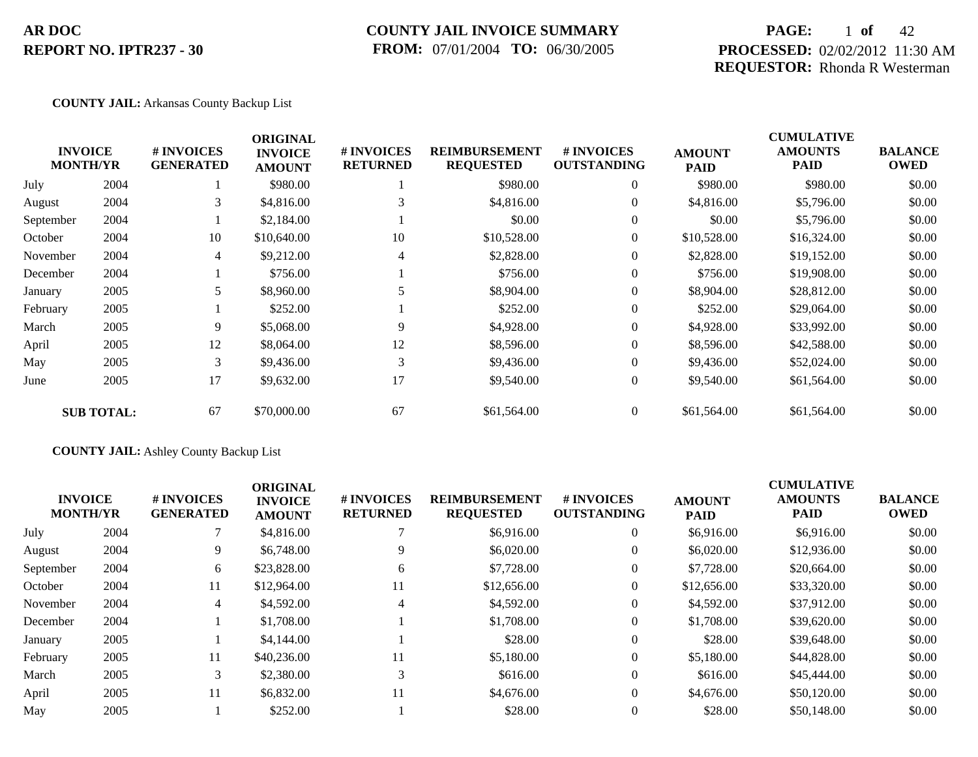### **COUNTY JAIL INVOICE SUMMARY FROM:** 07/01/2004 **TO:** 06/30/2005

## **PAGE:** 1 **of** 42 **PROCESSED:** 02/02/2012 11:30 AM **REQUESTOR:** Rhonda R Westerman

#### **COUNTY JAIL:** Arkansas County Backup List

|           | <b>INVOICE</b><br><b>MONTH/YR</b> | # INVOICES<br><b>GENERATED</b> | <b>ORIGINAL</b><br><b>INVOICE</b><br><b>AMOUNT</b> | # INVOICES<br><b>RETURNED</b> | <b>REIMBURSEMENT</b><br><b>REQUESTED</b> | <b>#INVOICES</b><br><b>OUTSTANDING</b> | <b>AMOUNT</b><br><b>PAID</b> | <b>CUMULATIVE</b><br><b>AMOUNTS</b><br><b>PAID</b> | <b>BALANCE</b><br><b>OWED</b> |
|-----------|-----------------------------------|--------------------------------|----------------------------------------------------|-------------------------------|------------------------------------------|----------------------------------------|------------------------------|----------------------------------------------------|-------------------------------|
| July      | 2004                              |                                | \$980.00                                           |                               | \$980.00                                 | $\overline{0}$                         | \$980.00                     | \$980.00                                           | \$0.00                        |
| August    | 2004                              | 3                              | \$4,816.00                                         | 3                             | \$4,816.00                               | $\overline{0}$                         | \$4,816.00                   | \$5,796.00                                         | \$0.00                        |
| September | 2004                              |                                | \$2,184.00                                         |                               | \$0.00                                   | $\overline{0}$                         | \$0.00                       | \$5,796.00                                         | \$0.00                        |
| October   | 2004                              | 10                             | \$10,640.00                                        | 10                            | \$10,528.00                              | $\overline{0}$                         | \$10,528.00                  | \$16,324.00                                        | \$0.00                        |
| November  | 2004                              | 4                              | \$9,212.00                                         | 4                             | \$2,828.00                               | $\overline{0}$                         | \$2,828.00                   | \$19,152.00                                        | \$0.00                        |
| December  | 2004                              |                                | \$756.00                                           |                               | \$756.00                                 | $\overline{0}$                         | \$756.00                     | \$19,908.00                                        | \$0.00                        |
| January   | 2005                              | 5                              | \$8,960.00                                         |                               | \$8,904.00                               | $\theta$                               | \$8,904.00                   | \$28,812.00                                        | \$0.00                        |
| February  | 2005                              |                                | \$252.00                                           |                               | \$252.00                                 | $\overline{0}$                         | \$252.00                     | \$29,064.00                                        | \$0.00                        |
| March     | 2005                              | 9                              | \$5,068.00                                         | 9                             | \$4,928.00                               | $\overline{0}$                         | \$4,928.00                   | \$33,992.00                                        | \$0.00                        |
| April     | 2005                              | 12                             | \$8,064.00                                         | 12                            | \$8,596.00                               | $\overline{0}$                         | \$8,596.00                   | \$42,588.00                                        | \$0.00                        |
| May       | 2005                              | 3                              | \$9,436.00                                         | 3                             | \$9,436.00                               | $\overline{0}$                         | \$9,436.00                   | \$52,024.00                                        | \$0.00                        |
| June      | 2005                              | 17                             | \$9,632.00                                         | 17                            | \$9,540.00                               | $\overline{0}$                         | \$9,540.00                   | \$61,564.00                                        | \$0.00                        |
|           | <b>SUB TOTAL:</b>                 | 67                             | \$70,000.00                                        | 67                            | \$61,564.00                              | $\overline{0}$                         | \$61,564.00                  | \$61,564.00                                        | \$0.00                        |

### **COUNTY JAIL:** Ashley County Backup List

| <b>INVOICE</b><br><b>MONTH/YR</b> |      | # INVOICES<br><b>GENERATED</b> | <b>ORIGINAL</b><br><b>INVOICE</b><br><b>AMOUNT</b> | # INVOICES<br><b>RETURNED</b> | <b>REIMBURSEMENT</b><br><b>REQUESTED</b> | <b>#INVOICES</b><br><b>OUTSTANDING</b> | <b>AMOUNT</b><br><b>PAID</b> | <b>CUMULATIVE</b><br><b>AMOUNTS</b><br><b>PAID</b> | <b>BALANCE</b><br><b>OWED</b> |
|-----------------------------------|------|--------------------------------|----------------------------------------------------|-------------------------------|------------------------------------------|----------------------------------------|------------------------------|----------------------------------------------------|-------------------------------|
| July                              | 2004 |                                | \$4,816.00                                         |                               | \$6,916.00                               | $\theta$                               | \$6,916.00                   | \$6,916.00                                         | \$0.00                        |
| August                            | 2004 | 9                              | \$6,748.00                                         |                               | \$6,020.00                               | $\theta$                               | \$6,020.00                   | \$12,936.00                                        | \$0.00                        |
| September                         | 2004 | 6                              | \$23,828.00                                        | 6                             | \$7,728.00                               |                                        | \$7,728.00                   | \$20,664.00                                        | \$0.00                        |
| October                           | 2004 | 11                             | \$12,964.00                                        | 11                            | \$12,656.00                              | $\theta$                               | \$12,656.00                  | \$33,320.00                                        | \$0.00                        |
| November                          | 2004 | 4                              | \$4,592.00                                         | 4                             | \$4,592.00                               | $\theta$                               | \$4,592.00                   | \$37,912.00                                        | \$0.00                        |
| December                          | 2004 |                                | \$1,708.00                                         |                               | \$1,708.00                               | $\theta$                               | \$1,708.00                   | \$39,620.00                                        | \$0.00                        |
| January                           | 2005 |                                | \$4,144.00                                         |                               | \$28.00                                  | $\theta$                               | \$28.00                      | \$39,648.00                                        | \$0.00                        |
| February                          | 2005 | 11                             | \$40,236.00                                        | 11                            | \$5,180.00                               | $\theta$                               | \$5,180.00                   | \$44,828.00                                        | \$0.00                        |
| March                             | 2005 | 3                              | \$2,380.00                                         | 3                             | \$616.00                                 | $\overline{0}$                         | \$616.00                     | \$45,444.00                                        | \$0.00                        |
| April                             | 2005 | 11                             | \$6,832.00                                         | 11                            | \$4,676.00                               | $\Omega$                               | \$4,676.00                   | \$50,120.00                                        | \$0.00                        |
| May                               | 2005 |                                | \$252.00                                           |                               | \$28.00                                  | $\Omega$                               | \$28.00                      | \$50,148.00                                        | \$0.00                        |
|                                   |      |                                |                                                    |                               |                                          |                                        |                              |                                                    |                               |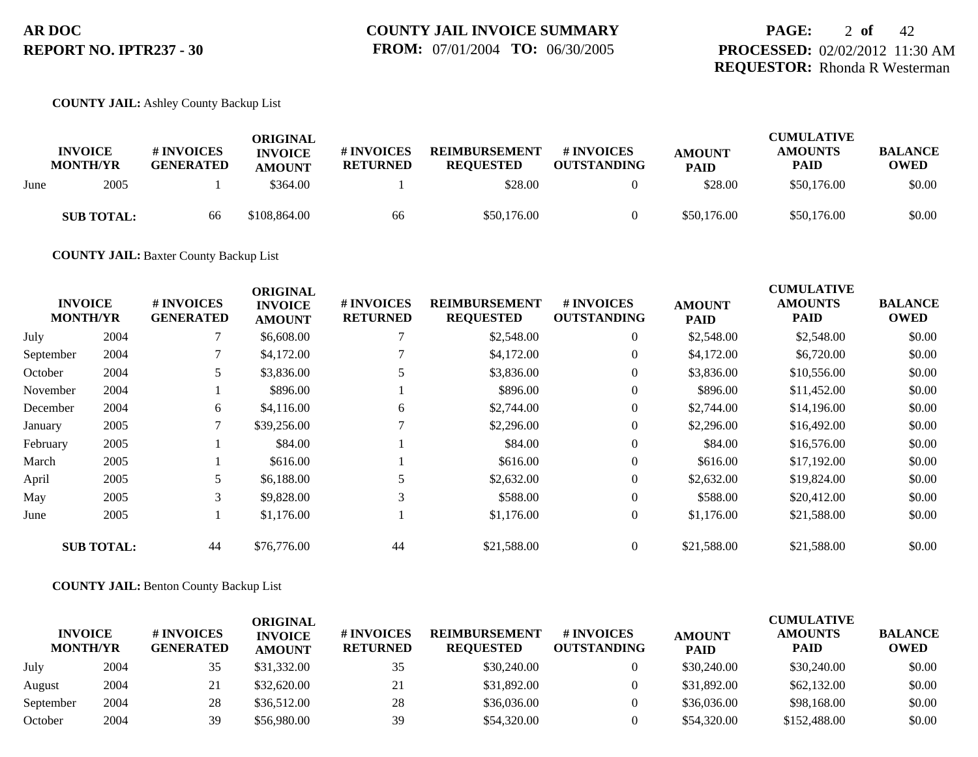### **COUNTY JAIL:** Ashley County Backup List

|      | <b>INVOICE</b><br><b>MONTH/YR</b> | # INVOICES<br><b>GENERATED</b> | <b>ORIGINAL</b><br><b>INVOICE</b><br><b>AMOUNT</b> | # INVOICES<br><b>RETURNED</b> | <b>REIMBURSEMENT</b><br><b>REQUESTED</b> | # INVOICES<br><b>OUTSTANDING</b> | <b>AMOUNT</b><br><b>PAID</b> | <b>CUMULATIVE</b><br><b>AMOUNTS</b><br><b>PAID</b> | <b>BALANCE</b><br><b>OWED</b> |
|------|-----------------------------------|--------------------------------|----------------------------------------------------|-------------------------------|------------------------------------------|----------------------------------|------------------------------|----------------------------------------------------|-------------------------------|
| June | 2005                              |                                | \$364.00                                           |                               | \$28.00                                  |                                  | \$28.00                      | \$50,176.00                                        | \$0.00                        |
|      | <b>SUB TOTAL:</b>                 | 66                             | \$108,864.00                                       | 66                            | \$50,176.00                              |                                  | \$50,176.00                  | \$50,176.00                                        | \$0.00                        |

**COUNTY JAIL:** Baxter County Backup List

|           |                                   |                                | <b>ORIGINAL</b>                 |                                     |                                          |                                  |                              | <b>CUMULATIVE</b>      |                               |
|-----------|-----------------------------------|--------------------------------|---------------------------------|-------------------------------------|------------------------------------------|----------------------------------|------------------------------|------------------------|-------------------------------|
|           | <b>INVOICE</b><br><b>MONTH/YR</b> | # INVOICES<br><b>GENERATED</b> | <b>INVOICE</b><br><b>AMOUNT</b> | <b>#INVOICES</b><br><b>RETURNED</b> | <b>REIMBURSEMENT</b><br><b>REQUESTED</b> | # INVOICES<br><b>OUTSTANDING</b> | <b>AMOUNT</b><br><b>PAID</b> | <b>AMOUNTS</b><br>PAID | <b>BALANCE</b><br><b>OWED</b> |
| July      | 2004                              |                                | \$6,608.00                      |                                     | \$2,548.00                               | $\overline{0}$                   | \$2,548.00                   | \$2,548.00             | \$0.00                        |
| September | 2004                              |                                | \$4,172.00                      |                                     | \$4,172.00                               | $\overline{0}$                   | \$4,172.00                   | \$6,720.00             | \$0.00                        |
| October   | 2004                              | 5                              | \$3,836.00                      |                                     | \$3,836.00                               | $\overline{0}$                   | \$3,836.00                   | \$10,556.00            | \$0.00                        |
| November  | 2004                              |                                | \$896.00                        |                                     | \$896.00                                 | $\overline{0}$                   | \$896.00                     | \$11,452.00            | \$0.00                        |
| December  | 2004                              | 6                              | \$4,116.00                      | 6                                   | \$2,744.00                               | $\overline{0}$                   | \$2,744.00                   | \$14,196.00            | \$0.00                        |
| January   | 2005                              | 7                              | \$39,256.00                     |                                     | \$2,296.00                               | $\overline{0}$                   | \$2,296.00                   | \$16,492.00            | \$0.00                        |
| February  | 2005                              |                                | \$84.00                         |                                     | \$84.00                                  | $\overline{0}$                   | \$84.00                      | \$16,576.00            | \$0.00                        |
| March     | 2005                              |                                | \$616.00                        |                                     | \$616.00                                 | $\overline{0}$                   | \$616.00                     | \$17,192.00            | \$0.00                        |
| April     | 2005                              |                                | \$6,188.00                      |                                     | \$2,632.00                               | $\overline{0}$                   | \$2,632.00                   | \$19,824.00            | \$0.00                        |
| May       | 2005                              | 3                              | \$9,828.00                      | $\mathcal{R}$                       | \$588.00                                 | $\overline{0}$                   | \$588.00                     | \$20,412.00            | \$0.00                        |
| June      | 2005                              |                                | \$1,176.00                      |                                     | \$1,176.00                               | $\overline{0}$                   | \$1,176.00                   | \$21,588.00            | \$0.00                        |
|           | <b>SUB TOTAL:</b>                 | 44                             | \$76,776.00                     | 44                                  | \$21,588.00                              | $\overline{0}$                   | \$21,588.00                  | \$21,588.00            | \$0.00                        |

#### **COUNTY JAIL:** Benton County Backup List

| <b>INVOICE</b><br><b>MONTH/YR</b> |      | <b>#INVOICES</b><br><b>GENERATED</b> | ORIGINAL<br><b>INVOICE</b><br><b>AMOUNT</b> | <b># INVOICES</b><br><b>RETURNED</b> | <b>REIMBURSEMENT</b><br><b>REOUESTED</b> | # INVOICES<br><b>OUTSTANDING</b> | <b>AMOUNT</b><br><b>PAID</b> | <b>CUMULATIVE</b><br><b>AMOUNTS</b><br><b>PAID</b> | <b>BALANCE</b><br><b>OWED</b> |
|-----------------------------------|------|--------------------------------------|---------------------------------------------|--------------------------------------|------------------------------------------|----------------------------------|------------------------------|----------------------------------------------------|-------------------------------|
| July                              | 2004 | 35                                   | \$31,332.00                                 | 35                                   | \$30,240.00                              |                                  | \$30,240.00                  | \$30,240.00                                        | \$0.00                        |
| August                            | 2004 | 21                                   | \$32,620.00                                 | 21                                   | \$31,892.00                              |                                  | \$31,892.00                  | \$62,132.00                                        | \$0.00                        |
| September                         | 2004 | 28                                   | \$36,512.00                                 | 28                                   | \$36,036.00                              |                                  | \$36,036.00                  | \$98,168,00                                        | \$0.00                        |
| October                           | 2004 | 39                                   | \$56,980.00                                 | 39                                   | \$54,320.00                              |                                  | \$54,320.00                  | \$152,488.00                                       | \$0.00                        |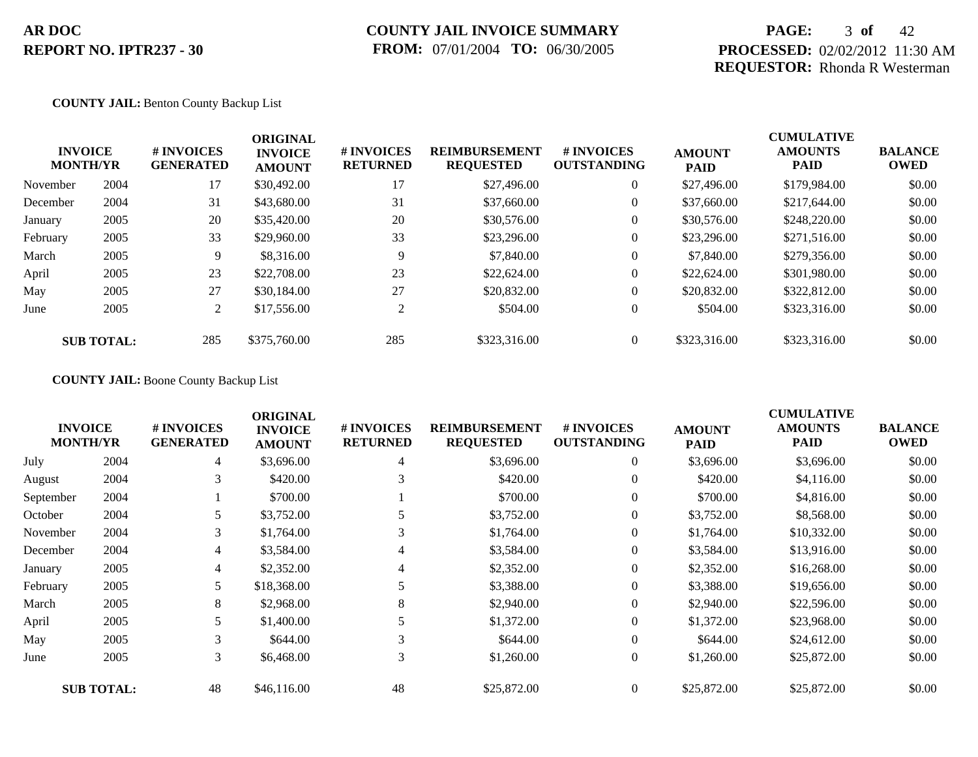## **PAGE:** 3 **of** 42 **PROCESSED:** 02/02/2012 11:30 AM **REQUESTOR:** Rhonda R Westerman

#### **COUNTY JAIL:** Benton County Backup List

|          | <b>INVOICE</b><br><b>MONTH/YR</b> | # INVOICES<br><b>GENERATED</b> | <b>ORIGINAL</b><br><b>INVOICE</b><br><b>AMOUNT</b> | # INVOICES<br><b>RETURNED</b> | <b>REIMBURSEMENT</b><br><b>REQUESTED</b> | <b>#INVOICES</b><br><b>OUTSTANDING</b> | <b>AMOUNT</b><br><b>PAID</b> | <b>CUMULATIVE</b><br><b>AMOUNTS</b><br><b>PAID</b> | <b>BALANCE</b><br><b>OWED</b> |
|----------|-----------------------------------|--------------------------------|----------------------------------------------------|-------------------------------|------------------------------------------|----------------------------------------|------------------------------|----------------------------------------------------|-------------------------------|
| November | 2004                              | 17                             | \$30,492.00                                        | 17                            | \$27,496.00                              | $\overline{0}$                         | \$27,496.00                  | \$179,984.00                                       | \$0.00                        |
| December | 2004                              | 31                             | \$43,680.00                                        | 31                            | \$37,660.00                              | $\overline{0}$                         | \$37,660.00                  | \$217,644.00                                       | \$0.00                        |
| January  | 2005                              | 20                             | \$35,420.00                                        | 20                            | \$30,576.00                              | $\overline{0}$                         | \$30,576.00                  | \$248,220.00                                       | \$0.00                        |
| February | 2005                              | 33                             | \$29,960.00                                        | 33                            | \$23,296.00                              | $\overline{0}$                         | \$23,296.00                  | \$271,516.00                                       | \$0.00                        |
| March    | 2005                              | 9                              | \$8,316.00                                         | 9                             | \$7,840.00                               | $\overline{0}$                         | \$7,840.00                   | \$279,356.00                                       | \$0.00                        |
| April    | 2005                              | 23                             | \$22,708.00                                        | 23                            | \$22,624.00                              | $\overline{0}$                         | \$22,624.00                  | \$301,980.00                                       | \$0.00                        |
| May      | 2005                              | 27                             | \$30,184.00                                        | 27                            | \$20,832.00                              | $\overline{0}$                         | \$20,832.00                  | \$322,812.00                                       | \$0.00                        |
| June     | 2005                              | $\overline{2}$                 | \$17,556.00                                        | $\overline{c}$                | \$504.00                                 | $\overline{0}$                         | \$504.00                     | \$323,316.00                                       | \$0.00                        |
|          | <b>SUB TOTAL:</b>                 | 285                            | \$375,760.00                                       | 285                           | \$323,316.00                             | $\Omega$                               | \$323,316.00                 | \$323,316.00                                       | \$0.00                        |

#### **COUNTY JAIL:** Boone County Backup List

|           | <b>INVOICE</b><br><b>MONTH/YR</b> | # INVOICES<br><b>GENERATED</b> | <b>ORIGINAL</b><br><b>INVOICE</b><br><b>AMOUNT</b> | # INVOICES<br><b>RETURNED</b> | <b>REIMBURSEMENT</b><br><b>REQUESTED</b> | # INVOICES<br><b>OUTSTANDING</b> | <b>AMOUNT</b><br><b>PAID</b> | <b>CUMULATIVE</b><br><b>AMOUNTS</b><br>PAID | <b>BALANCE</b><br><b>OWED</b> |
|-----------|-----------------------------------|--------------------------------|----------------------------------------------------|-------------------------------|------------------------------------------|----------------------------------|------------------------------|---------------------------------------------|-------------------------------|
| July      | 2004                              | 4                              | \$3,696.00                                         | $\overline{4}$                | \$3,696.00                               | $\overline{0}$                   | \$3,696.00                   | \$3,696.00                                  | \$0.00                        |
| August    | 2004                              | 3                              | \$420.00                                           | 3                             | \$420.00                                 | $\overline{0}$                   | \$420.00                     | \$4,116.00                                  | \$0.00                        |
| September | 2004                              |                                | \$700.00                                           |                               | \$700.00                                 | $\overline{0}$                   | \$700.00                     | \$4,816.00                                  | \$0.00                        |
| October   | 2004                              | 5                              | \$3,752.00                                         |                               | \$3,752.00                               | $\overline{0}$                   | \$3,752.00                   | \$8,568.00                                  | \$0.00                        |
| November  | 2004                              | 3                              | \$1,764.00                                         | 3                             | \$1,764.00                               | $\overline{0}$                   | \$1,764.00                   | \$10,332.00                                 | \$0.00                        |
| December  | 2004                              | 4                              | \$3,584.00                                         | 4                             | \$3,584.00                               | $\overline{0}$                   | \$3,584.00                   | \$13,916.00                                 | \$0.00                        |
| January   | 2005                              | 4                              | \$2,352.00                                         | 4                             | \$2,352.00                               | $\overline{0}$                   | \$2,352.00                   | \$16,268.00                                 | \$0.00                        |
| February  | 2005                              | 5                              | \$18,368.00                                        |                               | \$3,388.00                               | $\overline{0}$                   | \$3,388.00                   | \$19,656.00                                 | \$0.00                        |
| March     | 2005                              | 8                              | \$2,968.00                                         | 8                             | \$2,940.00                               | $\overline{0}$                   | \$2,940.00                   | \$22,596.00                                 | \$0.00                        |
| April     | 2005                              | 5                              | \$1,400.00                                         |                               | \$1,372.00                               | $\overline{0}$                   | \$1,372.00                   | \$23,968.00                                 | \$0.00                        |
| May       | 2005                              | 3                              | \$644.00                                           | 3                             | \$644.00                                 | $\overline{0}$                   | \$644.00                     | \$24,612.00                                 | \$0.00                        |
| June      | 2005                              | 3                              | \$6,468.00                                         | 3                             | \$1,260.00                               | $\overline{0}$                   | \$1,260.00                   | \$25,872.00                                 | \$0.00                        |
|           | <b>SUB TOTAL:</b>                 | 48                             | \$46,116.00                                        | 48                            | \$25,872.00                              | $\overline{0}$                   | \$25,872.00                  | \$25,872.00                                 | \$0.00                        |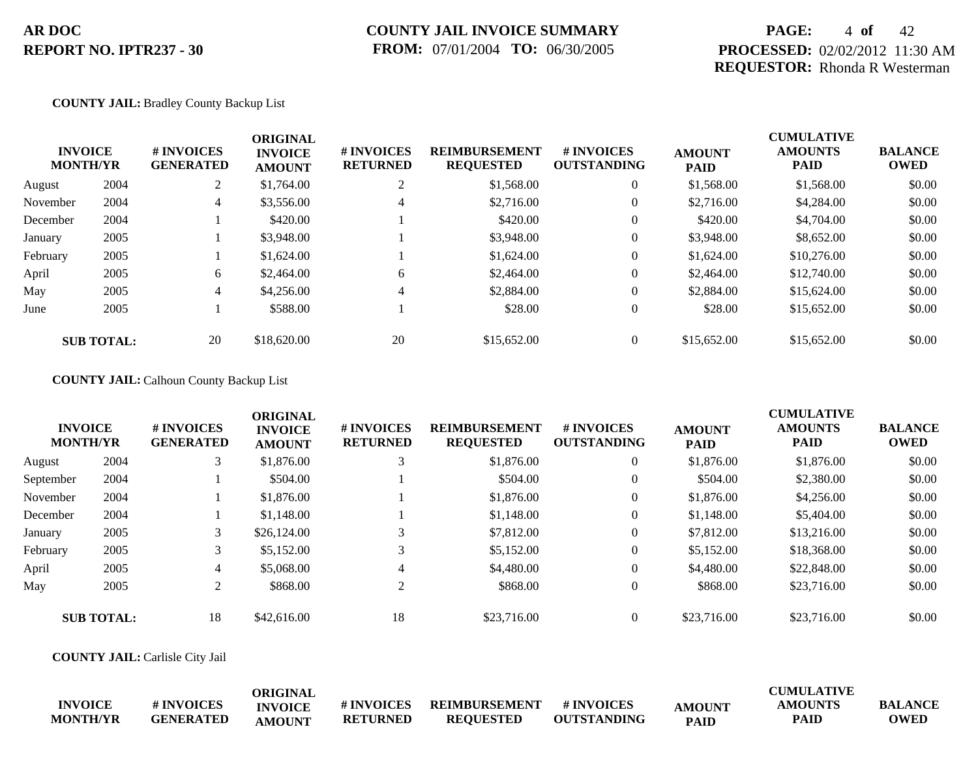## **COUNTY JAIL INVOICE SUMMARY FROM:** 07/01/2004 **TO:** 06/30/2005

## **PAGE:** 4 **of** 42 **PROCESSED:** 02/02/2012 11:30 AM **REQUESTOR:** Rhonda R Westerman

#### **COUNTY JAIL:** Bradley County Backup List

|          | <b>INVOICE</b><br><b>MONTH/YR</b> | # INVOICES<br><b>GENERATED</b> | <b>ORIGINAL</b><br><b>INVOICE</b><br><b>AMOUNT</b> | # INVOICES<br><b>RETURNED</b> | <b>REIMBURSEMENT</b><br><b>REQUESTED</b> | <b>#INVOICES</b><br><b>OUTSTANDING</b> | <b>AMOUNT</b><br><b>PAID</b> | <b>CUMULATIVE</b><br><b>AMOUNTS</b><br><b>PAID</b> | <b>BALANCE</b><br><b>OWED</b> |
|----------|-----------------------------------|--------------------------------|----------------------------------------------------|-------------------------------|------------------------------------------|----------------------------------------|------------------------------|----------------------------------------------------|-------------------------------|
| August   | 2004                              | 2                              | \$1,764.00                                         |                               | \$1,568.00                               | $\overline{0}$                         | \$1,568.00                   | \$1,568.00                                         | \$0.00                        |
| November | 2004                              | $\overline{4}$                 | \$3,556.00                                         | 4                             | \$2,716.00                               | $\overline{0}$                         | \$2,716.00                   | \$4,284.00                                         | \$0.00                        |
| December | 2004                              |                                | \$420.00                                           |                               | \$420.00                                 | $\overline{0}$                         | \$420.00                     | \$4,704.00                                         | \$0.00                        |
| January  | 2005                              |                                | \$3,948.00                                         |                               | \$3,948.00                               | $\overline{0}$                         | \$3,948.00                   | \$8,652.00                                         | \$0.00                        |
| February | 2005                              |                                | \$1,624.00                                         |                               | \$1,624.00                               | $\overline{0}$                         | \$1,624.00                   | \$10,276.00                                        | \$0.00                        |
| April    | 2005                              | 6                              | \$2,464.00                                         | 6                             | \$2,464.00                               | $\overline{0}$                         | \$2,464.00                   | \$12,740.00                                        | \$0.00                        |
| May      | 2005                              | $\overline{4}$                 | \$4,256.00                                         | 4                             | \$2,884.00                               | $\overline{0}$                         | \$2,884.00                   | \$15,624.00                                        | \$0.00                        |
| June     | 2005                              |                                | \$588.00                                           |                               | \$28.00                                  | $\overline{0}$                         | \$28.00                      | \$15,652.00                                        | \$0.00                        |
|          | <b>SUB TOTAL:</b>                 | 20                             | \$18,620.00                                        | 20                            | \$15,652.00                              | $\theta$                               | \$15,652.00                  | \$15,652.00                                        | \$0.00                        |

#### **COUNTY JAIL:** Calhoun County Backup List

|           | <b>INVOICE</b><br><b>MONTH/YR</b> | # INVOICES<br><b>GENERATED</b> | <b>ORIGINAL</b><br><b>INVOICE</b><br><b>AMOUNT</b> | # INVOICES<br><b>RETURNED</b> | <b>REIMBURSEMENT</b><br><b>REQUESTED</b> | <b>#INVOICES</b><br><b>OUTSTANDING</b> | <b>AMOUNT</b><br><b>PAID</b> | <b>CUMULATIVE</b><br><b>AMOUNTS</b><br><b>PAID</b> | <b>BALANCE</b><br><b>OWED</b> |
|-----------|-----------------------------------|--------------------------------|----------------------------------------------------|-------------------------------|------------------------------------------|----------------------------------------|------------------------------|----------------------------------------------------|-------------------------------|
| August    | 2004                              | 3                              | \$1,876.00                                         |                               | \$1,876.00                               | $\overline{0}$                         | \$1,876.00                   | \$1,876.00                                         | \$0.00                        |
| September | 2004                              |                                | \$504.00                                           |                               | \$504.00                                 | $\overline{0}$                         | \$504.00                     | \$2,380.00                                         | \$0.00                        |
| November  | 2004                              |                                | \$1,876.00                                         |                               | \$1,876.00                               | $\overline{0}$                         | \$1,876.00                   | \$4,256.00                                         | \$0.00                        |
| December  | 2004                              |                                | \$1,148.00                                         |                               | \$1,148.00                               | $\overline{0}$                         | \$1,148.00                   | \$5,404.00                                         | \$0.00                        |
| January   | 2005                              | 3                              | \$26,124.00                                        |                               | \$7,812.00                               | $\overline{0}$                         | \$7,812.00                   | \$13,216.00                                        | \$0.00                        |
| February  | 2005                              | 3                              | \$5,152.00                                         |                               | \$5,152.00                               | $\overline{0}$                         | \$5,152.00                   | \$18,368.00                                        | \$0.00                        |
| April     | 2005                              | 4                              | \$5,068.00                                         | 4                             | \$4,480.00                               | $\overline{0}$                         | \$4,480.00                   | \$22,848.00                                        | \$0.00                        |
| May       | 2005                              | $\gamma$                       | \$868.00                                           | $\sim$                        | \$868.00                                 | $\overline{0}$                         | \$868.00                     | \$23,716.00                                        | \$0.00                        |
|           | <b>SUB TOTAL:</b>                 | 18                             | \$42,616.00                                        | 18                            | \$23,716.00                              | $\Omega$                               | \$23,716.00                  | \$23,716.00                                        | \$0.00                        |

**COUNTY JAIL:** Carlisle City Jail

|                 |                  | ORIGINAL       |                 |                  |                    |               | <b>CUMULATIVE</b> |                |
|-----------------|------------------|----------------|-----------------|------------------|--------------------|---------------|-------------------|----------------|
| <b>INVOICE</b>  | # INVOICES       | <b>INVOICE</b> | # INVOICES      | REIMBURSEMENT    | # INVOICES         | <b>AMOUNT</b> | AMOUNTS           | <b>BALANCE</b> |
| <b>MONTH/YR</b> | <b>GENERATED</b> | <b>AMOUNT</b>  | <b>RETURNED</b> | <b>REOUESTED</b> | <b>OUTSTANDING</b> | <b>PAID</b>   | PAID              | <b>OWED</b>    |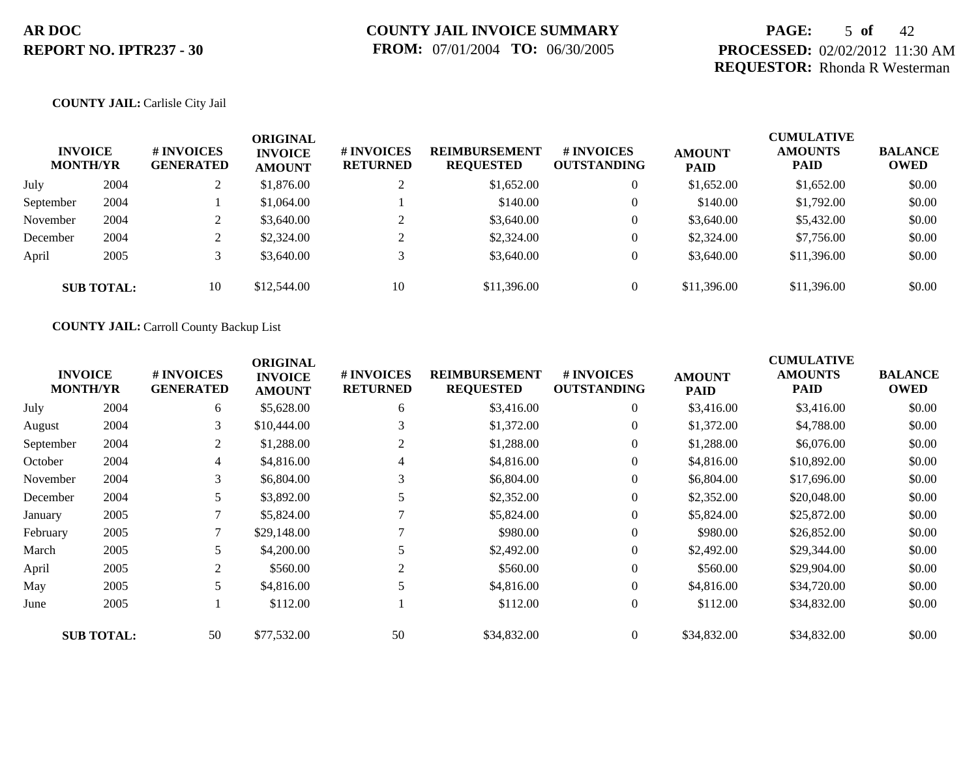## **PAGE:** 5 **of** 42 **PROCESSED:** 02/02/2012 11:30 AM **REQUESTOR:** Rhonda R Westerman

#### **COUNTY JAIL:** Carlisle City Jail

| <b>INVOICE</b><br><b>MONTH/YR</b> |                   | <b># INVOICES</b><br><b>GENERATED</b> | <b>ORIGINAL</b><br><b>INVOICE</b><br><b>AMOUNT</b> | <b>#INVOICES</b><br><b>RETURNED</b> | <b>REIMBURSEMENT</b><br><b>REQUESTED</b> | # INVOICES<br><b>OUTSTANDING</b> | <b>AMOUNT</b><br><b>PAID</b> | <b>CUMULATIVE</b><br><b>AMOUNTS</b><br><b>PAID</b> | <b>BALANCE</b><br><b>OWED</b> |
|-----------------------------------|-------------------|---------------------------------------|----------------------------------------------------|-------------------------------------|------------------------------------------|----------------------------------|------------------------------|----------------------------------------------------|-------------------------------|
| July                              | 2004              |                                       | \$1,876.00                                         | $\bigcap$                           | \$1,652.00                               | $\overline{0}$                   | \$1,652.00                   | \$1,652.00                                         | \$0.00                        |
| September                         | 2004              |                                       | \$1,064.00                                         |                                     | \$140.00                                 | $\overline{0}$                   | \$140.00                     | \$1,792.00                                         | \$0.00                        |
| November                          | 2004              |                                       | \$3,640.00                                         | $\bigcap$                           | \$3,640.00                               | $\theta$                         | \$3,640.00                   | \$5,432.00                                         | \$0.00                        |
| December                          | 2004              |                                       | \$2,324.00                                         | $\bigcap$                           | \$2,324.00                               | $\theta$                         | \$2,324.00                   | \$7,756.00                                         | \$0.00                        |
| April                             | 2005              | $\mathcal{R}$                         | \$3,640.00                                         | 3                                   | \$3,640.00                               | $\overline{0}$                   | \$3,640.00                   | \$11,396.00                                        | \$0.00                        |
|                                   | <b>SUB TOTAL:</b> | 10                                    | \$12,544.00                                        | 10                                  | \$11,396.00                              | $\overline{0}$                   | \$11,396.00                  | \$11,396.00                                        | \$0.00                        |

**COUNTY JAIL:** Carroll County Backup List

|           | <b>INVOICE</b><br><b>MONTH/YR</b> | # INVOICES<br><b>GENERATED</b> | <b>ORIGINAL</b><br><b>INVOICE</b><br><b>AMOUNT</b> | # INVOICES<br><b>RETURNED</b> | <b>REIMBURSEMENT</b><br><b>REQUESTED</b> | <b># INVOICES</b><br><b>OUTSTANDING</b> | <b>AMOUNT</b><br><b>PAID</b> | <b>CUMULATIVE</b><br><b>AMOUNTS</b><br><b>PAID</b> | <b>BALANCE</b><br><b>OWED</b> |
|-----------|-----------------------------------|--------------------------------|----------------------------------------------------|-------------------------------|------------------------------------------|-----------------------------------------|------------------------------|----------------------------------------------------|-------------------------------|
| July      | 2004                              | 6                              | \$5,628.00                                         | 6                             | \$3,416.00                               | $\overline{0}$                          | \$3,416.00                   | \$3,416.00                                         | \$0.00                        |
| August    | 2004                              | 3                              | \$10,444.00                                        | 3                             | \$1,372.00                               | $\overline{0}$                          | \$1,372.00                   | \$4,788.00                                         | \$0.00                        |
| September | 2004                              | 2                              | \$1,288.00                                         | 2                             | \$1,288.00                               | $\overline{0}$                          | \$1,288.00                   | \$6,076.00                                         | \$0.00                        |
| October   | 2004                              | $\overline{4}$                 | \$4,816.00                                         | 4                             | \$4,816.00                               | $\overline{0}$                          | \$4,816.00                   | \$10,892.00                                        | \$0.00                        |
| November  | 2004                              | 3                              | \$6,804.00                                         | 3                             | \$6,804.00                               | $\overline{0}$                          | \$6,804.00                   | \$17,696.00                                        | \$0.00                        |
| December  | 2004                              | 5                              | \$3,892.00                                         |                               | \$2,352.00                               | $\boldsymbol{0}$                        | \$2,352.00                   | \$20,048.00                                        | \$0.00                        |
| January   | 2005                              |                                | \$5,824.00                                         |                               | \$5,824.00                               | $\overline{0}$                          | \$5,824.00                   | \$25,872.00                                        | \$0.00                        |
| February  | 2005                              |                                | \$29,148.00                                        |                               | \$980.00                                 | $\overline{0}$                          | \$980.00                     | \$26,852.00                                        | \$0.00                        |
| March     | 2005                              | 5                              | \$4,200.00                                         |                               | \$2,492.00                               | $\overline{0}$                          | \$2,492.00                   | \$29,344.00                                        | \$0.00                        |
| April     | 2005                              | 2                              | \$560.00                                           | 2                             | \$560.00                                 | $\overline{0}$                          | \$560.00                     | \$29,904.00                                        | \$0.00                        |
| May       | 2005                              | 5                              | \$4,816.00                                         |                               | \$4,816.00                               | $\overline{0}$                          | \$4,816.00                   | \$34,720.00                                        | \$0.00                        |
| June      | 2005                              |                                | \$112.00                                           |                               | \$112.00                                 | $\overline{0}$                          | \$112.00                     | \$34,832.00                                        | \$0.00                        |
|           | <b>SUB TOTAL:</b>                 | 50                             | \$77,532.00                                        | 50                            | \$34,832.00                              | $\theta$                                | \$34,832.00                  | \$34,832.00                                        | \$0.00                        |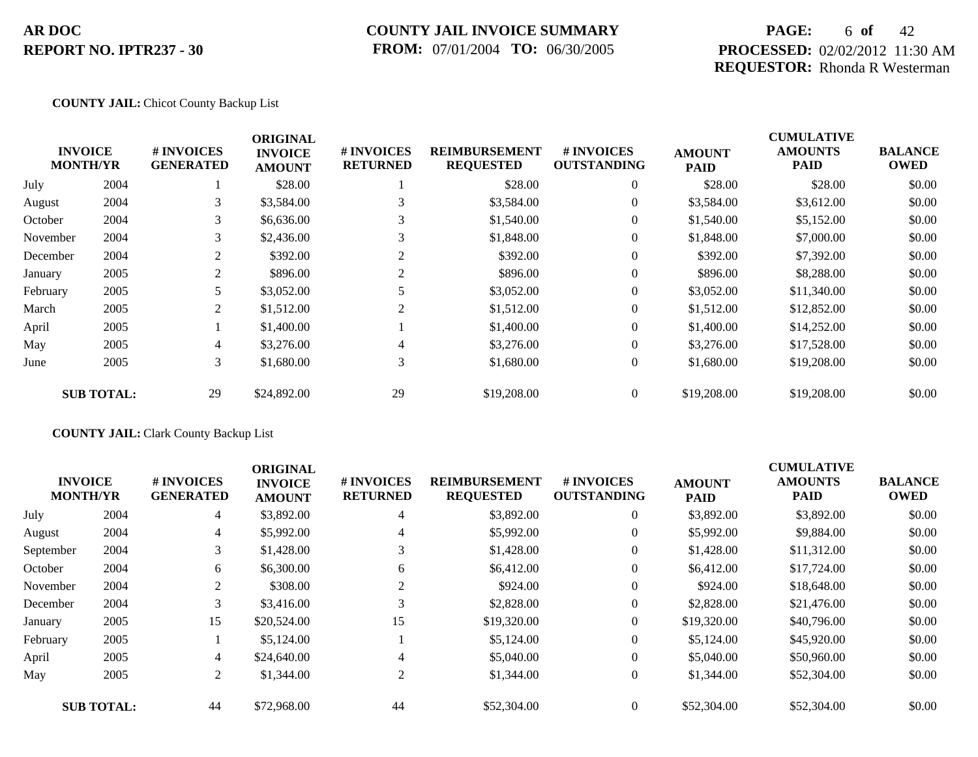### **COUNTY JAIL INVOICE SUMMARY FROM:** 07/01/2004 **TO:** 06/30/2005

## **PAGE:** 6 **of** 42 **PROCESSED:** 02/02/2012 11:30 AM **REQUESTOR:** Rhonda R Westerman

#### **COUNTY JAIL:** Chicot County Backup List

|          | <b>INVOICE</b><br><b>MONTH/YR</b> | # INVOICES<br><b>GENERATED</b> | <b>ORIGINAL</b><br><b>INVOICE</b><br><b>AMOUNT</b> | # INVOICES<br><b>RETURNED</b> | <b>REIMBURSEMENT</b><br><b>REQUESTED</b> | <b># INVOICES</b><br><b>OUTSTANDING</b> | <b>AMOUNT</b><br><b>PAID</b> | <b>CUMULATIVE</b><br><b>AMOUNTS</b><br>PAID | <b>BALANCE</b><br><b>OWED</b> |
|----------|-----------------------------------|--------------------------------|----------------------------------------------------|-------------------------------|------------------------------------------|-----------------------------------------|------------------------------|---------------------------------------------|-------------------------------|
| July     | 2004                              |                                | \$28.00                                            |                               | \$28.00                                  | $\overline{0}$                          | \$28.00                      | \$28.00                                     | \$0.00                        |
| August   | 2004                              | 3                              | \$3,584.00                                         | 3                             | \$3,584.00                               | $\overline{0}$                          | \$3,584.00                   | \$3,612.00                                  | \$0.00                        |
| October  | 2004                              | 3                              | \$6,636.00                                         |                               | \$1,540.00                               | $\overline{0}$                          | \$1,540.00                   | \$5,152.00                                  | \$0.00                        |
| November | 2004                              | 3                              | \$2,436.00                                         |                               | \$1,848.00                               | $\overline{0}$                          | \$1,848.00                   | \$7,000.00                                  | \$0.00                        |
| December | 2004                              | 2                              | \$392.00                                           |                               | \$392.00                                 | $\overline{0}$                          | \$392.00                     | \$7,392.00                                  | \$0.00                        |
| January  | 2005                              | 2                              | \$896.00                                           | 2                             | \$896.00                                 | $\overline{0}$                          | \$896.00                     | \$8,288.00                                  | \$0.00                        |
| February | 2005                              | 5                              | \$3,052.00                                         |                               | \$3,052.00                               | $\overline{0}$                          | \$3,052.00                   | \$11,340.00                                 | \$0.00                        |
| March    | 2005                              | 2                              | \$1,512.00                                         | 2                             | \$1,512.00                               | $\overline{0}$                          | \$1,512.00                   | \$12,852.00                                 | \$0.00                        |
| April    | 2005                              |                                | \$1,400.00                                         |                               | \$1,400.00                               | $\overline{0}$                          | \$1,400.00                   | \$14,252.00                                 | \$0.00                        |
| May      | 2005                              | $\overline{4}$                 | \$3,276.00                                         | 4                             | \$3,276.00                               | $\overline{0}$                          | \$3,276.00                   | \$17,528.00                                 | \$0.00                        |
| June     | 2005                              | 3 <sup>1</sup>                 | \$1,680.00                                         | 3                             | \$1,680.00                               | $\overline{0}$                          | \$1,680.00                   | \$19,208.00                                 | \$0.00                        |
|          | <b>SUB TOTAL:</b>                 | 29                             | \$24,892.00                                        | 29                            | \$19,208.00                              | $\Omega$                                | \$19,208.00                  | \$19,208.00                                 | \$0.00                        |

### **COUNTY JAIL:** Clark County Backup List

|           | <b>INVOICE</b><br><b>MONTH/YR</b> | # INVOICES<br><b>GENERATED</b> | <b>ORIGINAL</b><br><b>INVOICE</b><br><b>AMOUNT</b> | # INVOICES<br><b>RETURNED</b> | <b>REIMBURSEMENT</b><br><b>REQUESTED</b> | # INVOICES<br><b>OUTSTANDING</b> | <b>AMOUNT</b><br><b>PAID</b> | <b>CUMULATIVE</b><br><b>AMOUNTS</b><br><b>PAID</b> | <b>BALANCE</b><br><b>OWED</b> |
|-----------|-----------------------------------|--------------------------------|----------------------------------------------------|-------------------------------|------------------------------------------|----------------------------------|------------------------------|----------------------------------------------------|-------------------------------|
| July      | 2004                              | $\overline{4}$                 | \$3,892.00                                         | 4                             | \$3,892.00                               | $\overline{0}$                   | \$3,892.00                   | \$3,892.00                                         | \$0.00                        |
| August    | 2004                              | 4                              | \$5,992.00                                         | 4                             | \$5,992.00                               | $\overline{0}$                   | \$5,992.00                   | \$9,884.00                                         | \$0.00                        |
| September | 2004                              | 3                              | \$1,428.00                                         | 3                             | \$1,428.00                               | $\overline{0}$                   | \$1,428.00                   | \$11,312.00                                        | \$0.00                        |
| October   | 2004                              | 6                              | \$6,300.00                                         | 6                             | \$6,412.00                               | $\overline{0}$                   | \$6,412.00                   | \$17,724.00                                        | \$0.00                        |
| November  | 2004                              | 2                              | \$308.00                                           | 2                             | \$924.00                                 | $\overline{0}$                   | \$924.00                     | \$18,648.00                                        | \$0.00                        |
| December  | 2004                              |                                | \$3,416.00                                         | 3                             | \$2,828.00                               | $\overline{0}$                   | \$2,828.00                   | \$21,476.00                                        | \$0.00                        |
| January   | 2005                              | 15                             | \$20,524.00                                        | 15                            | \$19,320.00                              | $\overline{0}$                   | \$19,320.00                  | \$40,796.00                                        | \$0.00                        |
| February  | 2005                              |                                | \$5,124.00                                         |                               | \$5,124.00                               | $\overline{0}$                   | \$5,124.00                   | \$45,920.00                                        | \$0.00                        |
| April     | 2005                              | $\overline{4}$                 | \$24,640.00                                        | 4                             | \$5,040.00                               | $\overline{0}$                   | \$5,040.00                   | \$50,960.00                                        | \$0.00                        |
| May       | 2005                              | 2                              | \$1,344.00                                         | 2                             | \$1,344.00                               | $\overline{0}$                   | \$1,344.00                   | \$52,304.00                                        | \$0.00                        |
|           | <b>SUB TOTAL:</b>                 | 44                             | \$72,968.00                                        | 44                            | \$52,304.00                              | $\overline{0}$                   | \$52,304.00                  | \$52,304.00                                        | \$0.00                        |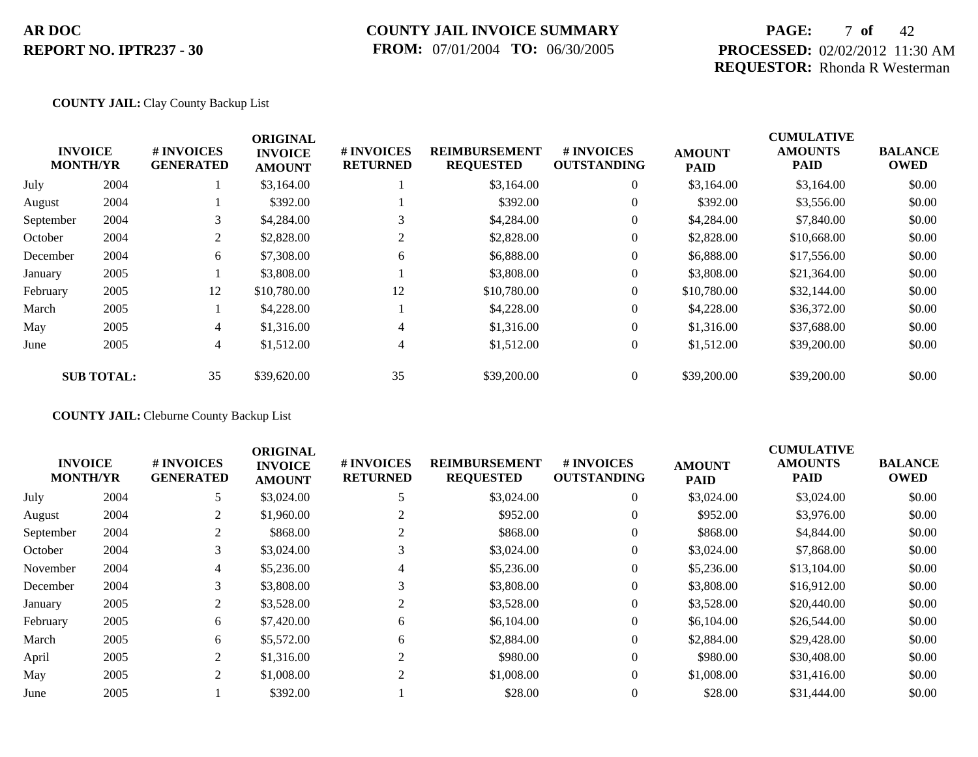### **COUNTY JAIL INVOICE SUMMARY FROM:** 07/01/2004 **TO:** 06/30/2005

## **PAGE:** 7 **of** 42 **PROCESSED:** 02/02/2012 11:30 AM **REQUESTOR:** Rhonda R Westerman

#### **COUNTY JAIL:** Clay County Backup List

|           | <b>INVOICE</b><br><b>MONTH/YR</b> | # INVOICES<br><b>GENERATED</b> | <b>ORIGINAL</b><br><b>INVOICE</b> | # INVOICES<br><b>RETURNED</b> | <b>REIMBURSEMENT</b><br><b>REQUESTED</b> | <b>#INVOICES</b><br><b>OUTSTANDING</b> | <b>AMOUNT</b> | <b>CUMULATIVE</b><br><b>AMOUNTS</b><br><b>PAID</b> | <b>BALANCE</b><br><b>OWED</b> |
|-----------|-----------------------------------|--------------------------------|-----------------------------------|-------------------------------|------------------------------------------|----------------------------------------|---------------|----------------------------------------------------|-------------------------------|
|           |                                   |                                | <b>AMOUNT</b>                     |                               |                                          |                                        | <b>PAID</b>   |                                                    |                               |
| July      | 2004                              |                                | \$3,164.00                        |                               | \$3,164.00                               | $\overline{0}$                         | \$3,164.00    | \$3,164.00                                         | \$0.00                        |
| August    | 2004                              |                                | \$392.00                          |                               | \$392.00                                 | $\overline{0}$                         | \$392.00      | \$3,556.00                                         | \$0.00                        |
| September | 2004                              | 3                              | \$4,284.00                        |                               | \$4,284.00                               | $\overline{0}$                         | \$4,284.00    | \$7,840.00                                         | \$0.00                        |
| October   | 2004                              | 2                              | \$2,828.00                        |                               | \$2,828.00                               | $\overline{0}$                         | \$2,828.00    | \$10,668.00                                        | \$0.00                        |
| December  | 2004                              | 6                              | \$7,308.00                        | 6                             | \$6,888.00                               | $\mathbf{0}$                           | \$6,888.00    | \$17,556.00                                        | \$0.00                        |
| January   | 2005                              |                                | \$3,808.00                        |                               | \$3,808.00                               | $\overline{0}$                         | \$3,808.00    | \$21,364.00                                        | \$0.00                        |
| February  | 2005                              | 12                             | \$10,780.00                       | 12                            | \$10,780.00                              | $\overline{0}$                         | \$10,780.00   | \$32,144.00                                        | \$0.00                        |
| March     | 2005                              |                                | \$4,228.00                        |                               | \$4,228.00                               | $\overline{0}$                         | \$4,228.00    | \$36,372.00                                        | \$0.00                        |
| May       | 2005                              | $\overline{4}$                 | \$1,316.00                        | 4                             | \$1,316.00                               | $\overline{0}$                         | \$1,316.00    | \$37,688.00                                        | \$0.00                        |
| June      | 2005                              | $\overline{4}$                 | \$1,512.00                        | 4                             | \$1,512.00                               | $\overline{0}$                         | \$1,512.00    | \$39,200.00                                        | \$0.00                        |
|           | <b>SUB TOTAL:</b>                 | 35                             | \$39,620.00                       | 35                            | \$39,200.00                              | $\Omega$                               | \$39,200.00   | \$39,200.00                                        | \$0.00                        |

**COUNTY JAIL:** Cleburne County Backup List

| <b>INVOICE</b><br><b>MONTH/YR</b> |      | # INVOICES<br><b>GENERATED</b> | <b>ORIGINAL</b><br><b>INVOICE</b><br><b>AMOUNT</b> | # INVOICES<br><b>RETURNED</b> | <b>REIMBURSEMENT</b><br><b>REQUESTED</b> | # INVOICES<br><b>OUTSTANDING</b> | <b>AMOUNT</b><br><b>PAID</b> | <b>CUMULATIVE</b><br><b>AMOUNTS</b><br><b>PAID</b> | <b>BALANCE</b><br><b>OWED</b> |
|-----------------------------------|------|--------------------------------|----------------------------------------------------|-------------------------------|------------------------------------------|----------------------------------|------------------------------|----------------------------------------------------|-------------------------------|
| July                              | 2004 | 5                              | \$3,024.00                                         |                               | \$3,024.00                               | $\overline{0}$                   | \$3,024.00                   | \$3,024.00                                         | \$0.00                        |
| August                            | 2004 | 2                              | \$1,960.00                                         |                               | \$952.00                                 | $\overline{0}$                   | \$952.00                     | \$3,976.00                                         | \$0.00                        |
| September                         | 2004 |                                | \$868.00                                           |                               | \$868.00                                 | $\overline{0}$                   | \$868.00                     | \$4,844.00                                         | \$0.00                        |
| October                           | 2004 | 3                              | \$3,024.00                                         | 3                             | \$3,024.00                               | $\overline{0}$                   | \$3,024.00                   | \$7,868.00                                         | \$0.00                        |
| November                          | 2004 | 4                              | \$5,236.00                                         | 4                             | \$5,236.00                               | $\overline{0}$                   | \$5,236.00                   | \$13,104.00                                        | \$0.00                        |
| December                          | 2004 | 3                              | \$3,808.00                                         | 3                             | \$3,808.00                               | $\overline{0}$                   | \$3,808.00                   | \$16,912.00                                        | \$0.00                        |
| January                           | 2005 | 2                              | \$3,528.00                                         | $\overline{2}$                | \$3,528.00                               | $\overline{0}$                   | \$3,528.00                   | \$20,440.00                                        | \$0.00                        |
| February                          | 2005 | 6                              | \$7,420.00                                         | 6                             | \$6,104.00                               | $\overline{0}$                   | \$6,104.00                   | \$26,544.00                                        | \$0.00                        |
| March                             | 2005 | 6                              | \$5,572.00                                         | 6                             | \$2,884.00                               | $\overline{0}$                   | \$2,884.00                   | \$29,428.00                                        | \$0.00                        |
| April                             | 2005 | 2                              | \$1,316.00                                         |                               | \$980.00                                 | $\overline{0}$                   | \$980.00                     | \$30,408.00                                        | \$0.00                        |
| May                               | 2005 | 2                              | \$1,008.00                                         | 2                             | \$1,008.00                               | $\overline{0}$                   | \$1,008.00                   | \$31,416.00                                        | \$0.00                        |
| June                              | 2005 |                                | \$392.00                                           |                               | \$28.00                                  | $\Omega$                         | \$28.00                      | \$31,444.00                                        | \$0.00                        |
|                                   |      |                                |                                                    |                               |                                          |                                  |                              |                                                    |                               |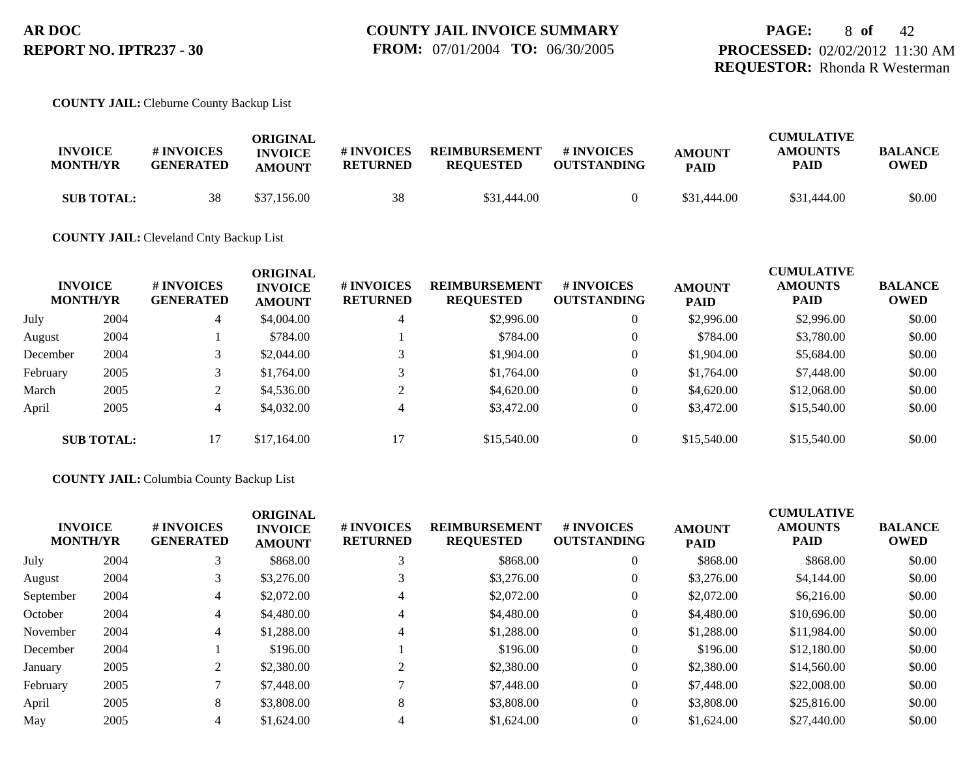#### **COUNTY JAIL:** Cleburne County Backup List

| <b>INVOICE</b><br><b>MONTH/YR</b> | # INVOICES<br><b>GENERATED</b> | ORIGINAL<br><b>INVOICE</b><br><b>AMOUNT</b> | # INVOICES<br><b>RETURNED</b> | <b>REIMBURSEMENT</b><br><b>REOUESTED</b> | # INVOICES<br><b>OUTSTANDING</b> | <b>AMOUNT</b><br><b>PAID</b> | <b>CUMULATIVE</b><br><b>AMOUNTS</b><br>PAID | <b>BALANCE</b><br><b>OWED</b> |
|-----------------------------------|--------------------------------|---------------------------------------------|-------------------------------|------------------------------------------|----------------------------------|------------------------------|---------------------------------------------|-------------------------------|
| <b>SUB TOTAL:</b>                 | 38                             | \$37,156.00                                 | 38                            | \$31,444.00                              |                                  | \$31,444.00                  | \$31,444.00                                 | \$0.00                        |

#### **COUNTY JAIL:** Cleveland Cnty Backup List

| <b>INVOICE</b><br><b>MONTH/YR</b> |                   | # INVOICES<br><b>GENERATED</b> | <b>ORIGINAL</b><br><b>INVOICE</b><br><b>AMOUNT</b> | # INVOICES<br><b>RETURNED</b> | <b>REIMBURSEMENT</b><br><b>REQUESTED</b> | # INVOICES<br><b>OUTSTANDING</b> | <b>AMOUNT</b><br><b>PAID</b> | <b>CUMULATIVE</b><br><b>AMOUNTS</b><br><b>PAID</b> | <b>BALANCE</b><br><b>OWED</b> |
|-----------------------------------|-------------------|--------------------------------|----------------------------------------------------|-------------------------------|------------------------------------------|----------------------------------|------------------------------|----------------------------------------------------|-------------------------------|
| July                              | 2004              | 4                              | \$4,004.00                                         | 4                             | \$2,996.00                               | $\theta$                         | \$2,996.00                   | \$2,996.00                                         | \$0.00                        |
| August                            | 2004              |                                | \$784.00                                           |                               | \$784.00                                 | $\overline{0}$                   | \$784.00                     | \$3,780.00                                         | \$0.00                        |
| December                          | 2004              |                                | \$2,044.00                                         | 3                             | \$1,904.00                               | $\overline{0}$                   | \$1,904.00                   | \$5,684.00                                         | \$0.00                        |
| February                          | 2005              | 3                              | \$1,764.00                                         |                               | \$1,764.00                               | $\boldsymbol{0}$                 | \$1,764.00                   | \$7,448.00                                         | \$0.00                        |
| March                             | 2005              | ◠<br>∠                         | \$4,536.00                                         | ◠                             | \$4,620.00                               | $\overline{0}$                   | \$4,620.00                   | \$12,068.00                                        | \$0.00                        |
| April                             | 2005              | $\overline{4}$                 | \$4,032.00                                         | 4                             | \$3,472.00                               | $\overline{0}$                   | \$3,472.00                   | \$15,540.00                                        | \$0.00                        |
|                                   | <b>SUB TOTAL:</b> | 17                             | \$17,164.00                                        | 17                            | \$15,540.00                              | $\overline{0}$                   | \$15,540.00                  | \$15,540.00                                        | \$0.00                        |

#### **COUNTY JAIL:** Columbia County Backup List

| <b>INVOICE</b><br><b>MONTH/YR</b> | # INVOICES<br><b>GENERATED</b> | <b>ORIGINAL</b><br><b>INVOICE</b><br><b>AMOUNT</b> | # INVOICES<br><b>RETURNED</b> | <b>REIMBURSEMENT</b><br><b>REQUESTED</b> | <b>#INVOICES</b><br><b>OUTSTANDING</b> | <b>AMOUNT</b><br><b>PAID</b> | <b>CUMULATIVE</b><br><b>AMOUNTS</b><br><b>PAID</b> | <b>BALANCE</b><br><b>OWED</b> |
|-----------------------------------|--------------------------------|----------------------------------------------------|-------------------------------|------------------------------------------|----------------------------------------|------------------------------|----------------------------------------------------|-------------------------------|
| 2004                              |                                | \$868.00                                           |                               | \$868.00                                 | $\theta$                               | \$868.00                     | \$868.00                                           | \$0.00                        |
| 2004                              |                                | \$3,276.00                                         |                               | \$3,276.00                               | $\overline{0}$                         | \$3,276.00                   | \$4,144.00                                         | \$0.00                        |
| 2004                              | 4                              | \$2,072.00                                         | 4                             | \$2,072.00                               | $\overline{0}$                         | \$2,072.00                   | \$6,216.00                                         | \$0.00                        |
| 2004                              | 4                              | \$4,480.00                                         | 4                             | \$4,480.00                               | $\overline{0}$                         | \$4,480.00                   | \$10,696.00                                        | \$0.00                        |
| 2004                              | 4                              | \$1,288.00                                         | 4                             | \$1,288.00                               | $\overline{0}$                         | \$1,288.00                   | \$11.984.00                                        | \$0.00                        |
| 2004                              |                                | \$196.00                                           |                               | \$196.00                                 | $\overline{0}$                         | \$196.00                     | \$12,180.00                                        | \$0.00                        |
| 2005                              |                                | \$2,380.00                                         | 2                             | \$2,380.00                               | $\theta$                               | \$2,380.00                   | \$14,560.00                                        | \$0.00                        |
| 2005                              |                                | \$7,448.00                                         |                               | \$7,448.00                               | $\overline{0}$                         | \$7,448.00                   | \$22,008.00                                        | \$0.00                        |
| 2005                              | 8                              | \$3,808.00                                         | 8                             | \$3,808.00                               | $\overline{0}$                         | \$3,808.00                   | \$25,816.00                                        | \$0.00                        |
| 2005                              | 4                              | \$1,624.00                                         | 4                             | \$1,624.00                               | $\Omega$                               | \$1,624.00                   | \$27,440.00                                        | \$0.00                        |
|                                   |                                |                                                    |                               |                                          |                                        |                              |                                                    |                               |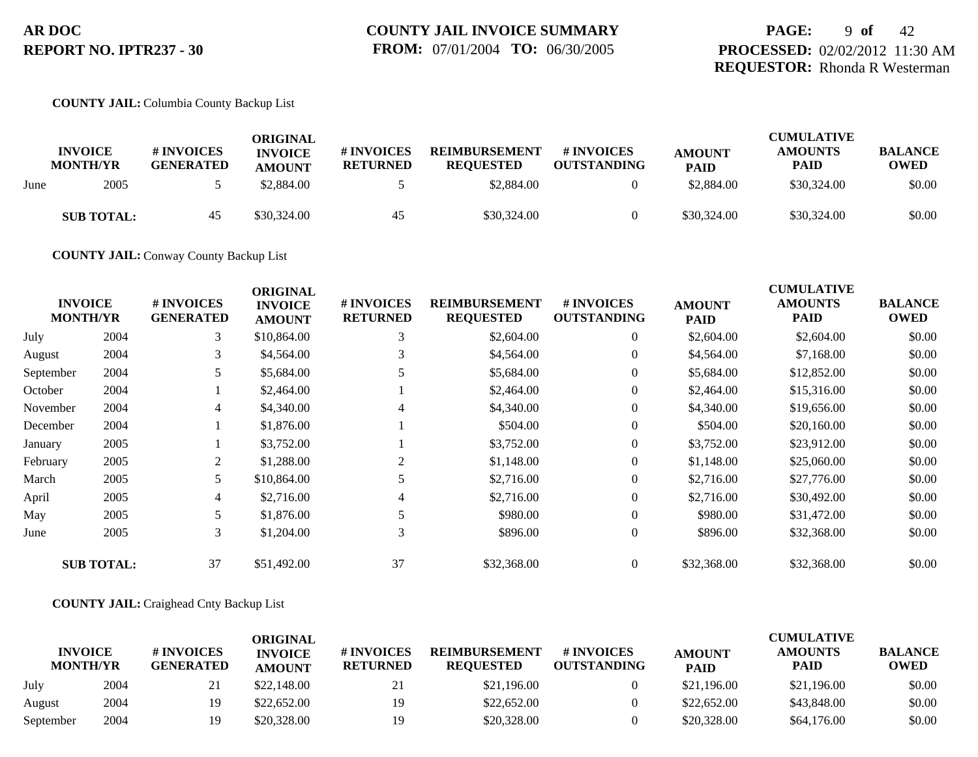## **PAGE:** 9 **of** 42 **PROCESSED:** 02/02/2012 11:30 AM **REQUESTOR:** Rhonda R Westerman

#### **COUNTY JAIL:** Columbia County Backup List

|      | <b>INVOICE</b><br><b>MONTH/YR</b> | # INVOICES<br><b>GENERATED</b> | ORIGINAL<br><b>INVOICE</b><br><b>AMOUNT</b> | # INVOICES<br><b>RETURNED</b> | <b>REIMBURSEMENT</b><br><b>REOUESTED</b> | # INVOICES<br><b>OUTSTANDING</b> | <b>AMOUNT</b><br><b>PAID</b> | <b>CUMULATIVE</b><br><b>AMOUNTS</b><br>PAID | <b>BALANCE</b><br><b>OWED</b> |
|------|-----------------------------------|--------------------------------|---------------------------------------------|-------------------------------|------------------------------------------|----------------------------------|------------------------------|---------------------------------------------|-------------------------------|
| June | 2005                              |                                | \$2.884.00                                  |                               | \$2,884.00                               |                                  | \$2,884.00                   | \$30,324.00                                 | \$0.00                        |
|      | <b>SUB TOTAL:</b>                 | 45                             | \$30,324.00                                 | 45                            | \$30,324.00                              |                                  | \$30,324.00                  | \$30,324.00                                 | \$0.00                        |

**COUNTY JAIL:** Conway County Backup List

|           | <b>INVOICE</b><br><b>MONTH/YR</b> | # INVOICES<br><b>GENERATED</b> | <b>ORIGINAL</b><br><b>INVOICE</b><br><b>AMOUNT</b> | # INVOICES<br><b>RETURNED</b> | <b>REIMBURSEMENT</b><br><b>REQUESTED</b> | # INVOICES<br><b>OUTSTANDING</b> | <b>AMOUNT</b><br><b>PAID</b> | <b>CUMULATIVE</b><br><b>AMOUNTS</b><br><b>PAID</b> | <b>BALANCE</b><br><b>OWED</b> |
|-----------|-----------------------------------|--------------------------------|----------------------------------------------------|-------------------------------|------------------------------------------|----------------------------------|------------------------------|----------------------------------------------------|-------------------------------|
| July      | 2004                              | 3                              | \$10,864.00                                        | 3                             | \$2,604.00                               | $\mathbf{0}$                     | \$2,604.00                   | \$2,604.00                                         | \$0.00                        |
| August    | 2004                              | 3                              | \$4,564.00                                         | 3                             | \$4,564.00                               | $\overline{0}$                   | \$4,564.00                   | \$7,168.00                                         | \$0.00                        |
| September | 2004                              | 5                              | \$5,684.00                                         |                               | \$5,684.00                               | $\overline{0}$                   | \$5,684.00                   | \$12,852.00                                        | \$0.00                        |
| October   | 2004                              |                                | \$2,464.00                                         |                               | \$2,464.00                               | $\overline{0}$                   | \$2,464.00                   | \$15,316.00                                        | \$0.00                        |
| November  | 2004                              | $\overline{4}$                 | \$4,340.00                                         | 4                             | \$4,340.00                               | $\overline{0}$                   | \$4,340.00                   | \$19,656.00                                        | \$0.00                        |
| December  | 2004                              |                                | \$1,876.00                                         |                               | \$504.00                                 | $\overline{0}$                   | \$504.00                     | \$20,160.00                                        | \$0.00                        |
| January   | 2005                              |                                | \$3,752.00                                         |                               | \$3,752.00                               | $\mathbf{0}$                     | \$3,752.00                   | \$23,912.00                                        | \$0.00                        |
| February  | 2005                              | 2                              | \$1,288.00                                         | 2                             | \$1,148.00                               | $\overline{0}$                   | \$1,148.00                   | \$25,060.00                                        | \$0.00                        |
| March     | 2005                              | 5                              | \$10,864.00                                        |                               | \$2,716.00                               | $\overline{0}$                   | \$2,716.00                   | \$27,776.00                                        | \$0.00                        |
| April     | 2005                              | $\overline{4}$                 | \$2,716.00                                         | 4                             | \$2,716.00                               | $\overline{0}$                   | \$2,716.00                   | \$30,492.00                                        | \$0.00                        |
| May       | 2005                              | 5                              | \$1,876.00                                         | 5                             | \$980.00                                 | $\overline{0}$                   | \$980.00                     | \$31,472.00                                        | \$0.00                        |
| June      | 2005                              | 3                              | \$1,204.00                                         | 3                             | \$896.00                                 | $\overline{0}$                   | \$896.00                     | \$32,368.00                                        | \$0.00                        |
|           | <b>SUB TOTAL:</b>                 | 37                             | \$51,492.00                                        | 37                            | \$32,368.00                              | $\overline{0}$                   | \$32,368.00                  | \$32,368.00                                        | \$0.00                        |

#### **COUNTY JAIL:** Craighead Cnty Backup List

|                                   |      |                                | ORIGINAL                        |                               |                                          |                                  |                              | <b>CUMULATIVE</b>      |                               |
|-----------------------------------|------|--------------------------------|---------------------------------|-------------------------------|------------------------------------------|----------------------------------|------------------------------|------------------------|-------------------------------|
| <b>INVOICE</b><br><b>MONTH/YR</b> |      | # INVOICES<br><b>GENERATED</b> | <b>INVOICE</b><br><b>AMOUNT</b> | # INVOICES<br><b>RETURNED</b> | <b>REIMBURSEMENT</b><br><b>REOUESTED</b> | # INVOICES<br><b>OUTSTANDING</b> | <b>AMOUNT</b><br><b>PAID</b> | <b>AMOUNTS</b><br>PAID | <b>BALANCE</b><br><b>OWED</b> |
| July                              | 2004 | 41                             | \$22,148.00                     | ∠⊥                            | \$21,196.00                              |                                  | \$21,196.00                  | \$21,196.00            | \$0.00                        |
| August                            | 2004 | 19                             | \$22,652.00                     | 19                            | \$22,652.00                              |                                  | \$22,652.00                  | \$43,848.00            | \$0.00                        |
| September                         | 2004 | 19                             | \$20,328.00                     | 19                            | \$20,328.00                              |                                  | \$20,328.00                  | \$64,176.00            | \$0.00                        |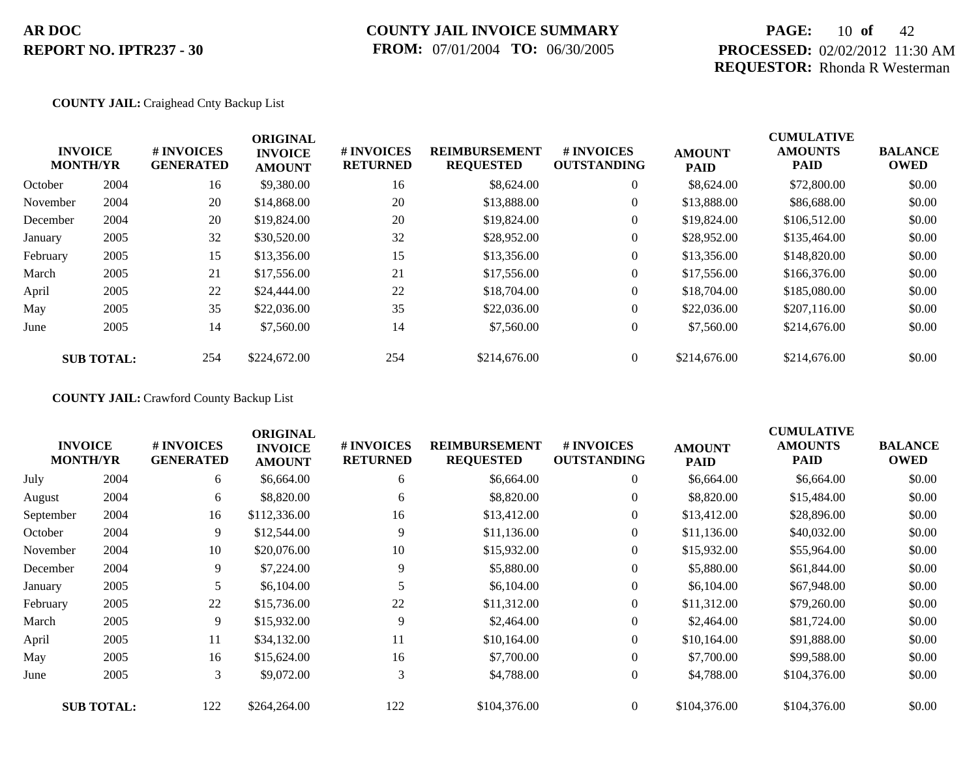## **COUNTY JAIL INVOICE SUMMARY FROM:** 07/01/2004 **TO:** 06/30/2005

## **PAGE:** 10 **of** 42 **PROCESSED:** 02/02/2012 11:30 AM **REQUESTOR:** Rhonda R Westerman

#### **COUNTY JAIL:** Craighead Cnty Backup List

|          | <b>INVOICE</b><br><b>MONTH/YR</b> | <b>#INVOICES</b><br><b>GENERATED</b> | <b>ORIGINAL</b><br><b>INVOICE</b><br><b>AMOUNT</b> | # INVOICES<br><b>RETURNED</b> | <b>REIMBURSEMENT</b><br><b>REQUESTED</b> | # INVOICES<br><b>OUTSTANDING</b> | <b>AMOUNT</b><br><b>PAID</b> | <b>CUMULATIVE</b><br><b>AMOUNTS</b><br><b>PAID</b> | <b>BALANCE</b><br><b>OWED</b> |
|----------|-----------------------------------|--------------------------------------|----------------------------------------------------|-------------------------------|------------------------------------------|----------------------------------|------------------------------|----------------------------------------------------|-------------------------------|
| October  | 2004                              | 16                                   | \$9,380.00                                         | 16                            | \$8,624.00                               | $\overline{0}$                   | \$8,624.00                   | \$72,800.00                                        | \$0.00                        |
| November | 2004                              | 20                                   | \$14,868.00                                        | 20                            | \$13,888.00                              | $\overline{0}$                   | \$13,888.00                  | \$86,688.00                                        | \$0.00                        |
| December | 2004                              | 20                                   | \$19,824.00                                        | 20                            | \$19,824.00                              | $\overline{0}$                   | \$19,824.00                  | \$106,512.00                                       | \$0.00                        |
| January  | 2005                              | 32                                   | \$30,520.00                                        | 32                            | \$28,952.00                              | $\overline{0}$                   | \$28,952.00                  | \$135,464.00                                       | \$0.00                        |
| February | 2005                              | 15                                   | \$13,356.00                                        | 15                            | \$13,356.00                              | $\overline{0}$                   | \$13,356.00                  | \$148,820.00                                       | \$0.00                        |
| March    | 2005                              | 21                                   | \$17,556.00                                        | 21                            | \$17,556.00                              | $\overline{0}$                   | \$17,556.00                  | \$166,376.00                                       | \$0.00                        |
| April    | 2005                              | 22                                   | \$24,444.00                                        | 22                            | \$18,704.00                              | $\overline{0}$                   | \$18,704.00                  | \$185,080.00                                       | \$0.00                        |
| May      | 2005                              | 35                                   | \$22,036.00                                        | 35                            | \$22,036.00                              | $\overline{0}$                   | \$22,036.00                  | \$207,116.00                                       | \$0.00                        |
| June     | 2005                              | 14                                   | \$7,560.00                                         | 14                            | \$7,560.00                               | $\overline{0}$                   | \$7,560.00                   | \$214,676.00                                       | \$0.00                        |
|          | <b>SUB TOTAL:</b>                 | 254                                  | \$224,672.00                                       | 254                           | \$214,676.00                             | $\Omega$                         | \$214,676.00                 | \$214,676.00                                       | \$0.00                        |

**COUNTY JAIL:** Crawford County Backup List

|           | <b>INVOICE</b><br><b>MONTH/YR</b> | # INVOICES<br><b>GENERATED</b> | <b>ORIGINAL</b><br><b>INVOICE</b><br><b>AMOUNT</b> | # INVOICES<br><b>RETURNED</b> | <b>REIMBURSEMENT</b><br><b>REQUESTED</b> | # INVOICES<br><b>OUTSTANDING</b> | <b>AMOUNT</b><br><b>PAID</b> | <b>CUMULATIVE</b><br><b>AMOUNTS</b><br><b>PAID</b> | <b>BALANCE</b><br><b>OWED</b> |
|-----------|-----------------------------------|--------------------------------|----------------------------------------------------|-------------------------------|------------------------------------------|----------------------------------|------------------------------|----------------------------------------------------|-------------------------------|
| July      | 2004                              | 6                              | \$6,664.00                                         | 6                             | \$6,664.00                               | $\overline{0}$                   | \$6,664.00                   | \$6,664.00                                         | \$0.00                        |
| August    | 2004                              | 6                              | \$8,820.00                                         | 6                             | \$8,820.00                               | $\overline{0}$                   | \$8,820.00                   | \$15,484.00                                        | \$0.00                        |
| September | 2004                              | 16                             | \$112,336.00                                       | 16                            | \$13,412.00                              | $\overline{0}$                   | \$13,412.00                  | \$28,896.00                                        | \$0.00                        |
| October   | 2004                              | 9                              | \$12,544.00                                        | 9                             | \$11,136.00                              | $\boldsymbol{0}$                 | \$11,136.00                  | \$40,032.00                                        | \$0.00                        |
| November  | 2004                              | 10                             | \$20,076.00                                        | 10                            | \$15,932.00                              | $\boldsymbol{0}$                 | \$15,932.00                  | \$55,964.00                                        | \$0.00                        |
| December  | 2004                              | 9                              | \$7,224.00                                         | 9                             | \$5,880.00                               | $\overline{0}$                   | \$5,880.00                   | \$61,844.00                                        | \$0.00                        |
| January   | 2005                              | 5                              | \$6,104.00                                         |                               | \$6,104.00                               | $\boldsymbol{0}$                 | \$6,104.00                   | \$67,948.00                                        | \$0.00                        |
| February  | 2005                              | 22                             | \$15,736.00                                        | 22                            | \$11,312.00                              | $\overline{0}$                   | \$11,312.00                  | \$79,260.00                                        | \$0.00                        |
| March     | 2005                              | 9                              | \$15,932.00                                        | 9                             | \$2,464.00                               | $\overline{0}$                   | \$2,464.00                   | \$81,724.00                                        | \$0.00                        |
| April     | 2005                              | 11                             | \$34,132.00                                        | 11                            | \$10,164.00                              | $\boldsymbol{0}$                 | \$10,164.00                  | \$91,888.00                                        | \$0.00                        |
| May       | 2005                              | 16                             | \$15,624.00                                        | 16                            | \$7,700.00                               | $\overline{0}$                   | \$7,700.00                   | \$99,588.00                                        | \$0.00                        |
| June      | 2005                              | 3                              | \$9,072.00                                         | 3                             | \$4,788.00                               | $\overline{0}$                   | \$4,788.00                   | \$104,376.00                                       | \$0.00                        |
|           | <b>SUB TOTAL:</b>                 | 122                            | \$264,264.00                                       | 122                           | \$104,376.00                             | $\overline{0}$                   | \$104,376.00                 | \$104,376.00                                       | \$0.00                        |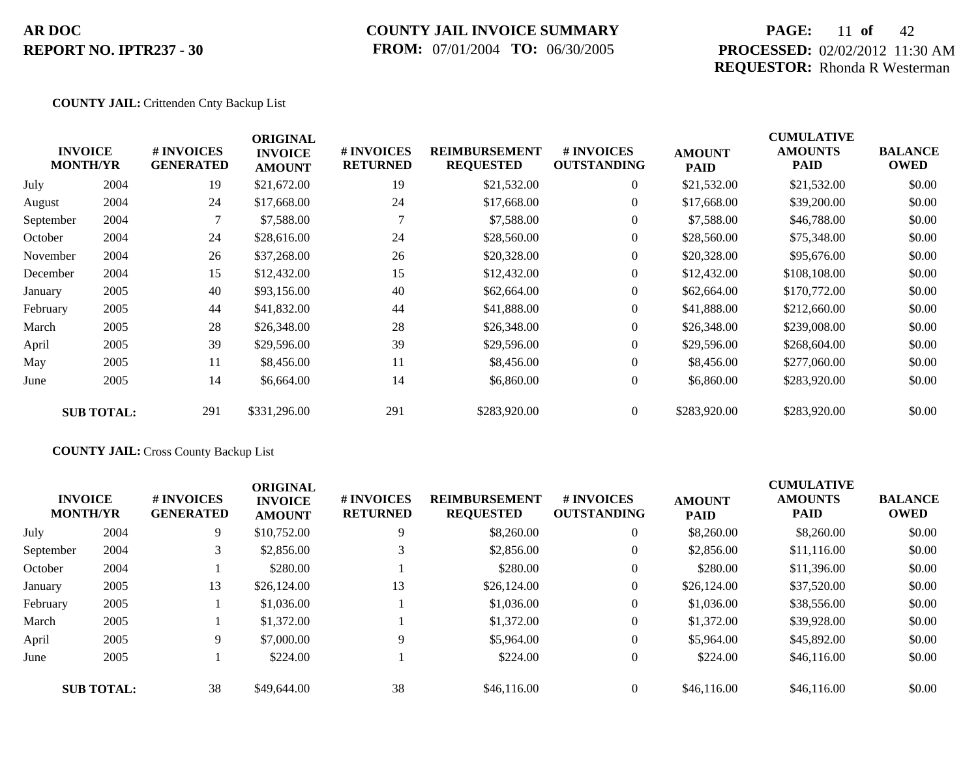### **COUNTY JAIL INVOICE SUMMARY FROM:** 07/01/2004 **TO:** 06/30/2005

## **PAGE:** 11 **of** 42 **PROCESSED:** 02/02/2012 11:30 AM **REQUESTOR:** Rhonda R Westerman

#### **COUNTY JAIL:** Crittenden Cnty Backup List

|           | <b>INVOICE</b><br><b>MONTH/YR</b> | # INVOICES<br><b>GENERATED</b> | <b>ORIGINAL</b><br><b>INVOICE</b><br><b>AMOUNT</b> | # INVOICES<br><b>RETURNED</b> | <b>REIMBURSEMENT</b><br><b>REQUESTED</b> | # INVOICES<br><b>OUTSTANDING</b> | <b>AMOUNT</b><br><b>PAID</b> | <b>CUMULATIVE</b><br><b>AMOUNTS</b><br>PAID | <b>BALANCE</b><br><b>OWED</b> |
|-----------|-----------------------------------|--------------------------------|----------------------------------------------------|-------------------------------|------------------------------------------|----------------------------------|------------------------------|---------------------------------------------|-------------------------------|
| July      | 2004                              | 19                             | \$21,672.00                                        | 19                            | \$21,532.00                              | $\overline{0}$                   | \$21,532.00                  | \$21,532.00                                 | \$0.00                        |
| August    | 2004                              | 24                             | \$17,668.00                                        | 24                            | \$17,668.00                              | $\overline{0}$                   | \$17,668.00                  | \$39,200.00                                 | \$0.00                        |
| September | 2004                              |                                | \$7,588.00                                         | $\tau$                        | \$7,588.00                               | $\overline{0}$                   | \$7,588.00                   | \$46,788.00                                 | \$0.00                        |
| October   | 2004                              | 24                             | \$28,616.00                                        | 24                            | \$28,560.00                              | $\overline{0}$                   | \$28,560.00                  | \$75,348.00                                 | \$0.00                        |
| November  | 2004                              | 26                             | \$37,268.00                                        | 26                            | \$20,328.00                              | $\overline{0}$                   | \$20,328.00                  | \$95,676.00                                 | \$0.00                        |
| December  | 2004                              | 15                             | \$12,432.00                                        | 15                            | \$12,432.00                              | $\overline{0}$                   | \$12,432.00                  | \$108,108.00                                | \$0.00                        |
| January   | 2005                              | 40                             | \$93,156.00                                        | 40                            | \$62,664.00                              | $\overline{0}$                   | \$62,664.00                  | \$170,772.00                                | \$0.00                        |
| February  | 2005                              | 44                             | \$41,832.00                                        | 44                            | \$41,888.00                              | $\overline{0}$                   | \$41,888.00                  | \$212,660.00                                | \$0.00                        |
| March     | 2005                              | 28                             | \$26,348.00                                        | 28                            | \$26,348.00                              | $\overline{0}$                   | \$26,348.00                  | \$239,008.00                                | \$0.00                        |
| April     | 2005                              | 39                             | \$29,596.00                                        | 39                            | \$29,596.00                              | $\overline{0}$                   | \$29,596.00                  | \$268,604.00                                | \$0.00                        |
| May       | 2005                              | 11                             | \$8,456.00                                         | 11                            | \$8,456.00                               | $\overline{0}$                   | \$8,456.00                   | \$277,060.00                                | \$0.00                        |
| June      | 2005                              | 14                             | \$6,664.00                                         | 14                            | \$6,860.00                               | $\boldsymbol{0}$                 | \$6,860.00                   | \$283,920.00                                | \$0.00                        |
|           | <b>SUB TOTAL:</b>                 | 291                            | \$331,296.00                                       | 291                           | \$283,920.00                             | $\overline{0}$                   | \$283,920.00                 | \$283,920.00                                | \$0.00                        |

### **COUNTY JAIL:** Cross County Backup List

|           | <b>INVOICE</b><br><b>MONTH/YR</b> | # INVOICES<br><b>GENERATED</b> | <b>ORIGINAL</b><br><b>INVOICE</b><br><b>AMOUNT</b> | # INVOICES<br><b>RETURNED</b> | <b>REIMBURSEMENT</b><br><b>REQUESTED</b> | <b>#INVOICES</b><br><b>OUTSTANDING</b> | <b>AMOUNT</b><br><b>PAID</b> | <b>CUMULATIVE</b><br><b>AMOUNTS</b><br><b>PAID</b> | <b>BALANCE</b><br><b>OWED</b> |
|-----------|-----------------------------------|--------------------------------|----------------------------------------------------|-------------------------------|------------------------------------------|----------------------------------------|------------------------------|----------------------------------------------------|-------------------------------|
| July      | 2004                              | 9                              | \$10,752.00                                        | 9                             | \$8,260.00                               | $\overline{0}$                         | \$8,260.00                   | \$8,260.00                                         | \$0.00                        |
| September | 2004                              |                                | \$2,856.00                                         |                               | \$2,856.00                               | $\overline{0}$                         | \$2,856.00                   | \$11,116.00                                        | \$0.00                        |
| October   | 2004                              |                                | \$280.00                                           |                               | \$280.00                                 | $\overline{0}$                         | \$280.00                     | \$11,396.00                                        | \$0.00                        |
| January   | 2005                              | 13                             | \$26,124.00                                        | 13                            | \$26,124.00                              | $\overline{0}$                         | \$26,124.00                  | \$37,520.00                                        | \$0.00                        |
| February  | 2005                              |                                | \$1,036.00                                         |                               | \$1,036.00                               | $\overline{0}$                         | \$1,036.00                   | \$38,556.00                                        | \$0.00                        |
| March     | 2005                              |                                | \$1,372.00                                         |                               | \$1,372.00                               | $\overline{0}$                         | \$1,372.00                   | \$39,928.00                                        | \$0.00                        |
| April     | 2005                              | 9                              | \$7,000.00                                         | 9                             | \$5,964.00                               | $\overline{0}$                         | \$5,964.00                   | \$45,892.00                                        | \$0.00                        |
| June      | 2005                              |                                | \$224.00                                           |                               | \$224.00                                 | $\overline{0}$                         | \$224.00                     | \$46,116.00                                        | \$0.00                        |
|           | <b>SUB TOTAL:</b>                 | 38                             | \$49,644.00                                        | 38                            | \$46,116.00                              | $\overline{0}$                         | \$46,116.00                  | \$46,116.00                                        | \$0.00                        |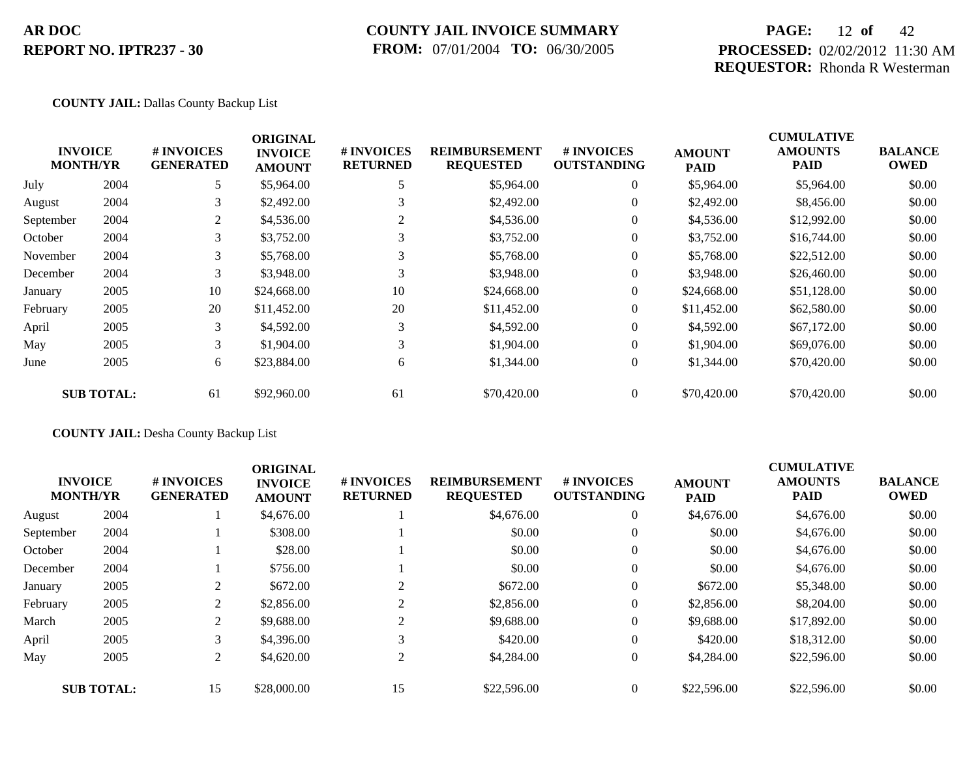### **COUNTY JAIL INVOICE SUMMARY FROM:** 07/01/2004 **TO:** 06/30/2005

## **PAGE:** 12 **of** 42 **PROCESSED:** 02/02/2012 11:30 AM **REQUESTOR:** Rhonda R Westerman

#### **COUNTY JAIL:** Dallas County Backup List

|           | <b>INVOICE</b><br><b>MONTH/YR</b> | # INVOICES<br><b>GENERATED</b> | <b>ORIGINAL</b><br><b>INVOICE</b><br><b>AMOUNT</b> | # INVOICES<br><b>RETURNED</b> | <b>REIMBURSEMENT</b><br><b>REQUESTED</b> | # INVOICES<br><b>OUTSTANDING</b> | <b>AMOUNT</b><br><b>PAID</b> | <b>CUMULATIVE</b><br><b>AMOUNTS</b><br><b>PAID</b> | <b>BALANCE</b><br><b>OWED</b> |
|-----------|-----------------------------------|--------------------------------|----------------------------------------------------|-------------------------------|------------------------------------------|----------------------------------|------------------------------|----------------------------------------------------|-------------------------------|
| July      | 2004                              | 5                              | \$5,964.00                                         | 5                             | \$5,964.00                               | $\overline{0}$                   | \$5,964.00                   | \$5,964.00                                         | \$0.00                        |
| August    | 2004                              | 3                              | \$2,492.00                                         | 3                             | \$2,492.00                               | $\overline{0}$                   | \$2,492.00                   | \$8,456.00                                         | \$0.00                        |
| September | 2004                              | 2                              | \$4,536.00                                         | 2                             | \$4,536.00                               | $\overline{0}$                   | \$4,536.00                   | \$12,992.00                                        | \$0.00                        |
| October   | 2004                              | 3                              | \$3,752.00                                         | 3                             | \$3,752.00                               | $\overline{0}$                   | \$3,752.00                   | \$16,744.00                                        | \$0.00                        |
| November  | 2004                              | 3                              | \$5,768.00                                         | 3                             | \$5,768.00                               | $\overline{0}$                   | \$5,768.00                   | \$22,512.00                                        | \$0.00                        |
| December  | 2004                              | 3                              | \$3,948.00                                         | 3                             | \$3,948.00                               | $\overline{0}$                   | \$3,948.00                   | \$26,460.00                                        | \$0.00                        |
| January   | 2005                              | 10                             | \$24,668.00                                        | 10                            | \$24,668.00                              | $\overline{0}$                   | \$24,668.00                  | \$51,128.00                                        | \$0.00                        |
| February  | 2005                              | 20                             | \$11,452.00                                        | 20                            | \$11,452.00                              | $\overline{0}$                   | \$11,452.00                  | \$62,580.00                                        | \$0.00                        |
| April     | 2005                              | 3                              | \$4,592.00                                         | 3                             | \$4,592.00                               | $\overline{0}$                   | \$4,592.00                   | \$67,172.00                                        | \$0.00                        |
| May       | 2005                              | 3                              | \$1,904.00                                         | 3                             | \$1,904.00                               | $\overline{0}$                   | \$1,904.00                   | \$69,076.00                                        | \$0.00                        |
| June      | 2005                              | 6                              | \$23,884.00                                        | 6                             | \$1,344.00                               | $\boldsymbol{0}$                 | \$1,344.00                   | \$70,420.00                                        | \$0.00                        |
|           | <b>SUB TOTAL:</b>                 | 61                             | \$92,960.00                                        | 61                            | \$70,420.00                              | $\overline{0}$                   | \$70,420.00                  | \$70,420.00                                        | \$0.00                        |

### **COUNTY JAIL:** Desha County Backup List

|           | <b>INVOICE</b><br><b>MONTH/YR</b> | # INVOICES<br><b>GENERATED</b> | <b>ORIGINAL</b><br><b>INVOICE</b><br><b>AMOUNT</b> | # INVOICES<br><b>RETURNED</b> | <b>REIMBURSEMENT</b><br><b>REQUESTED</b> | # INVOICES<br><b>OUTSTANDING</b> | <b>AMOUNT</b><br><b>PAID</b> | <b>CUMULATIVE</b><br><b>AMOUNTS</b><br><b>PAID</b> | <b>BALANCE</b><br><b>OWED</b> |
|-----------|-----------------------------------|--------------------------------|----------------------------------------------------|-------------------------------|------------------------------------------|----------------------------------|------------------------------|----------------------------------------------------|-------------------------------|
| August    | 2004                              |                                | \$4,676.00                                         |                               | \$4,676.00                               | $\theta$                         | \$4,676.00                   | \$4,676.00                                         | \$0.00                        |
| September | 2004                              |                                | \$308.00                                           |                               | \$0.00                                   | $\theta$                         | \$0.00                       | \$4,676.00                                         | \$0.00                        |
| October   | 2004                              |                                | \$28.00                                            |                               | \$0.00                                   | $\theta$                         | \$0.00                       | \$4,676.00                                         | \$0.00                        |
| December  | 2004                              |                                | \$756.00                                           |                               | \$0.00                                   | $\mathbf{0}$                     | \$0.00                       | \$4,676.00                                         | \$0.00                        |
| January   | 2005                              |                                | \$672.00                                           | 2                             | \$672.00                                 | $\theta$                         | \$672.00                     | \$5,348.00                                         | \$0.00                        |
| February  | 2005                              | 2                              | \$2,856.00                                         | 2                             | \$2,856.00                               | $\mathbf{0}$                     | \$2,856.00                   | \$8,204.00                                         | \$0.00                        |
| March     | 2005                              | 2                              | \$9,688.00                                         | 2                             | \$9,688.00                               | $\theta$                         | \$9,688.00                   | \$17,892.00                                        | \$0.00                        |
| April     | 2005                              | 3                              | \$4,396.00                                         | 3                             | \$420.00                                 | $\mathbf{0}$                     | \$420.00                     | \$18,312.00                                        | \$0.00                        |
| May       | 2005                              | 2                              | \$4,620.00                                         | 2                             | \$4,284.00                               | $\mathbf{0}$                     | \$4,284.00                   | \$22,596.00                                        | \$0.00                        |
|           | <b>SUB TOTAL:</b>                 | 15                             | \$28,000.00                                        | 15                            | \$22,596.00                              | $\Omega$                         | \$22,596.00                  | \$22,596.00                                        | \$0.00                        |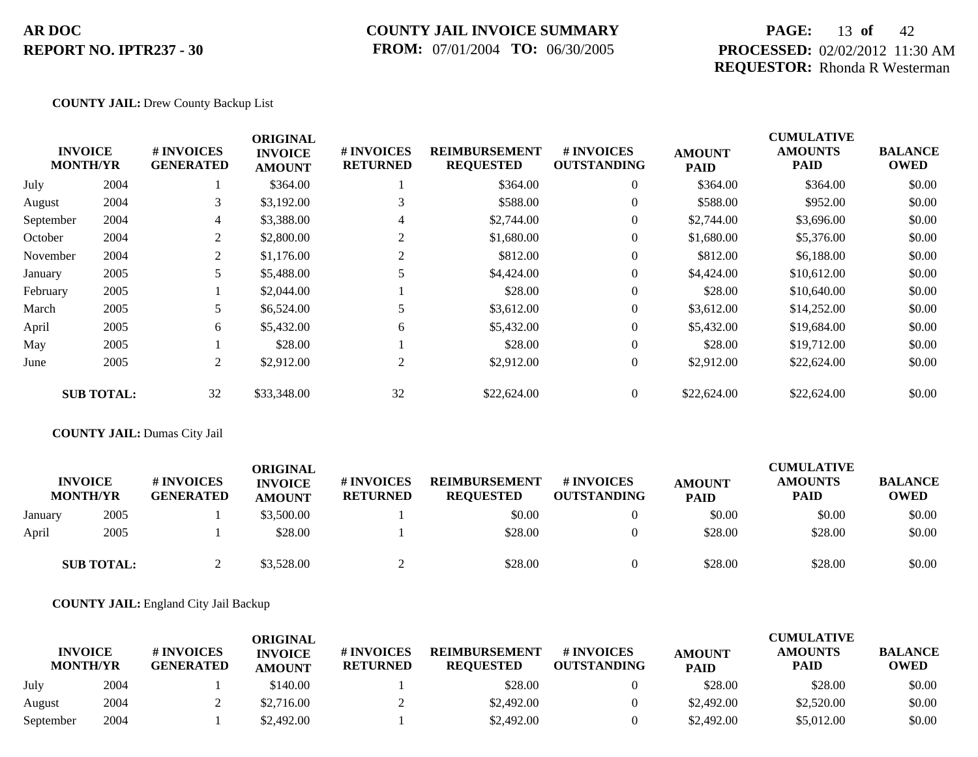### **COUNTY JAIL INVOICE SUMMARY FROM:** 07/01/2004 **TO:** 06/30/2005

## **PAGE:** 13 **of** 42 **PROCESSED:** 02/02/2012 11:30 AM **REQUESTOR:** Rhonda R Westerman

CUMU<del>LATIVE</del>

#### **COUNTY JAIL:** Drew County Backup List

|           | <b>INVOICE</b><br><b>MONTH/YR</b> | # INVOICES<br><b>GENERATED</b> | <b>ORIGINAL</b><br><b>INVOICE</b><br><b>AMOUNT</b> | # INVOICES<br><b>RETURNED</b> | <b>REIMBURSEMENT</b><br><b>REQUESTED</b> | # INVOICES<br><b>OUTSTANDING</b> | <b>AMOUNT</b><br><b>PAID</b> | <b>CUMULATIVE</b><br><b>AMOUNTS</b><br>PAID | <b>BALANCE</b><br><b>OWED</b> |
|-----------|-----------------------------------|--------------------------------|----------------------------------------------------|-------------------------------|------------------------------------------|----------------------------------|------------------------------|---------------------------------------------|-------------------------------|
| July      | 2004                              |                                | \$364.00                                           |                               | \$364.00                                 | $\overline{0}$                   | \$364.00                     | \$364.00                                    | \$0.00                        |
| August    | 2004                              | 3                              | \$3,192.00                                         | 3                             | \$588.00                                 | $\overline{0}$                   | \$588.00                     | \$952.00                                    | \$0.00                        |
| September | 2004                              | $\overline{4}$                 | \$3,388.00                                         | 4                             | \$2,744.00                               | $\overline{0}$                   | \$2,744.00                   | \$3,696.00                                  | \$0.00                        |
| October   | 2004                              | 2                              | \$2,800.00                                         | 2                             | \$1,680.00                               | $\overline{0}$                   | \$1,680.00                   | \$5,376.00                                  | \$0.00                        |
| November  | 2004                              | 2                              | \$1,176.00                                         | 2                             | \$812.00                                 | $\overline{0}$                   | \$812.00                     | \$6,188.00                                  | \$0.00                        |
| January   | 2005                              |                                | \$5,488.00                                         |                               | \$4,424.00                               | $\overline{0}$                   | \$4,424.00                   | \$10,612.00                                 | \$0.00                        |
| February  | 2005                              |                                | \$2,044.00                                         |                               | \$28.00                                  | $\overline{0}$                   | \$28.00                      | \$10,640.00                                 | \$0.00                        |
| March     | 2005                              |                                | \$6,524.00                                         |                               | \$3,612.00                               | $\overline{0}$                   | \$3,612.00                   | \$14,252.00                                 | \$0.00                        |
| April     | 2005                              | 6                              | \$5,432.00                                         | 6                             | \$5,432.00                               | $\overline{0}$                   | \$5,432.00                   | \$19,684.00                                 | \$0.00                        |
| May       | 2005                              |                                | \$28.00                                            |                               | \$28.00                                  | $\overline{0}$                   | \$28.00                      | \$19,712.00                                 | \$0.00                        |
| June      | 2005                              | 2                              | \$2,912.00                                         | 2                             | \$2,912.00                               | $\overline{0}$                   | \$2,912.00                   | \$22,624.00                                 | \$0.00                        |
|           | <b>SUB TOTAL:</b>                 | 32                             | \$33,348.00                                        | 32                            | \$22,624.00                              | $\Omega$                         | \$22,624.00                  | \$22,624.00                                 | \$0.00                        |

#### **COUNTY JAIL:** Dumas City Jail

|         | <b>INVOICE</b><br><b>MONTH/YR</b> | <b>#INVOICES</b><br><b>GENERATED</b> | ORIGINAL<br><b>INVOICE</b><br><b>AMOUNT</b> | <b># INVOICES</b><br><b>RETURNED</b> | <b>REIMBURSEMENT</b><br><b>REQUESTED</b> | # INVOICES<br><b>OUTSTANDING</b> | <b>AMOUNT</b><br><b>PAID</b> | <b>CUMULATIVE</b><br><b>AMOUNTS</b><br><b>PAID</b> | <b>BALANCE</b><br><b>OWED</b> |
|---------|-----------------------------------|--------------------------------------|---------------------------------------------|--------------------------------------|------------------------------------------|----------------------------------|------------------------------|----------------------------------------------------|-------------------------------|
| January | 2005                              |                                      | \$3,500.00                                  |                                      | \$0.00                                   |                                  | \$0.00                       | \$0.00                                             | \$0.00                        |
| April   | 2005                              |                                      | \$28.00                                     |                                      | \$28.00                                  |                                  | \$28.00                      | \$28.00                                            | \$0.00                        |
|         | <b>SUB TOTAL:</b>                 |                                      | \$3,528.00                                  |                                      | \$28.00                                  |                                  | \$28.00                      | \$28.00                                            | \$0.00                        |

**COUNTY JAIL:** England City Jail Backup

| <b>INVOICE</b>  |      | # INVOICES       | ORIGINAL                        | <b>#INVOICES</b> | <b>REIMBURSEMENT</b> | # INVOICES         |                              | <b>CUMULATIVE</b><br><b>AMOUNTS</b> | <b>BALANCE</b> |
|-----------------|------|------------------|---------------------------------|------------------|----------------------|--------------------|------------------------------|-------------------------------------|----------------|
| <b>MONTH/YR</b> |      | <b>GENERATED</b> | <b>INVOICE</b><br><b>AMOUNT</b> | <b>RETURNED</b>  | <b>REQUESTED</b>     | <b>OUTSTANDING</b> | <b>AMOUNT</b><br><b>PAID</b> | <b>PAID</b>                         | <b>OWED</b>    |
| July            | 2004 |                  | \$140.00                        |                  | \$28.00              |                    | \$28.00                      | \$28.00                             | \$0.00         |
| August          | 2004 |                  | \$2,716.00                      |                  | \$2,492.00           |                    | \$2,492.00                   | \$2,520.00                          | \$0.00         |
| September       | 2004 |                  | \$2.492.00                      |                  | \$2,492.00           |                    | \$2,492.00                   | \$5,012.00                          | \$0.00         |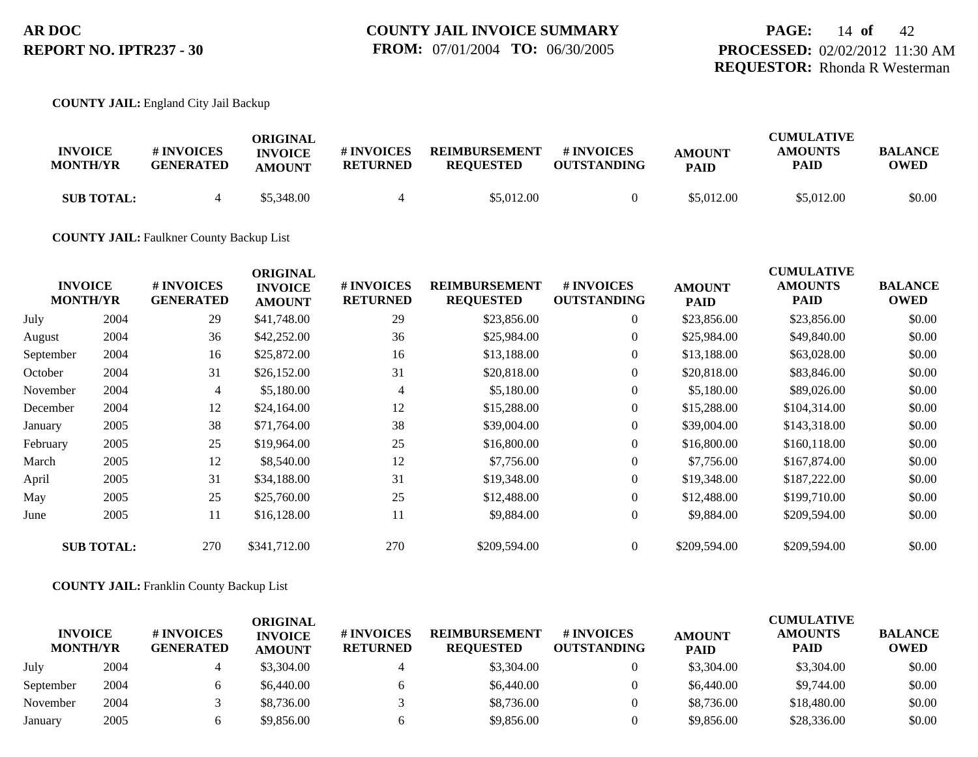#### **COUNTY JAIL:** England City Jail Backup

| <b>INVOICE</b><br><b>MONTH/YR</b> | # INVOICES<br><b>GENERATED</b> | ORIGINAL<br><b>INVOICE</b><br><b>AMOUNT</b> | # INVOICES<br><b>RETURNED</b> | <b>REIMBURSEMENT</b><br><b>REOUESTED</b> | # INVOICES<br><b>OUTSTANDING</b> | <b>AMOUNT</b><br><b>PAID</b> | <b>CUMULATIVE</b><br><b>AMOUNTS</b><br><b>PAID</b> | <b>BALANCE</b><br>OWED |
|-----------------------------------|--------------------------------|---------------------------------------------|-------------------------------|------------------------------------------|----------------------------------|------------------------------|----------------------------------------------------|------------------------|
| <b>SUB TOTAL:</b>                 |                                | \$5,348.00                                  |                               | \$5,012.00                               |                                  | \$5,012.00                   | \$5,012.00                                         | \$0.00                 |

### **COUNTY JAIL:** Faulkner County Backup List

| <b>INVOICE</b><br><b>MONTH/YR</b> | # INVOICES<br><b>GENERATED</b> | <b>ORIGINAL</b><br><b>INVOICE</b><br><b>AMOUNT</b> | # INVOICES<br><b>RETURNED</b> | <b>REIMBURSEMENT</b><br><b>REQUESTED</b> | # INVOICES<br><b>OUTSTANDING</b> | <b>AMOUNT</b><br><b>PAID</b> | <b>CUMULATIVE</b><br><b>AMOUNTS</b><br><b>PAID</b> | <b>BALANCE</b><br><b>OWED</b> |
|-----------------------------------|--------------------------------|----------------------------------------------------|-------------------------------|------------------------------------------|----------------------------------|------------------------------|----------------------------------------------------|-------------------------------|
| 2004                              | 29                             | \$41,748.00                                        | 29                            | \$23,856.00                              | $\overline{0}$                   | \$23,856.00                  | \$23,856.00                                        | \$0.00                        |
| 2004                              | 36                             | \$42,252.00                                        | 36                            | \$25,984.00                              | $\overline{0}$                   | \$25,984.00                  | \$49,840.00                                        | \$0.00                        |
| 2004                              | 16                             | \$25,872.00                                        | 16                            | \$13,188.00                              | $\overline{0}$                   | \$13,188.00                  | \$63,028.00                                        | \$0.00                        |
| 2004                              | 31                             | \$26,152.00                                        | 31                            | \$20,818.00                              | $\overline{0}$                   | \$20,818.00                  | \$83,846.00                                        | \$0.00                        |
| 2004                              | 4                              | \$5,180.00                                         | $\overline{4}$                | \$5,180.00                               | $\overline{0}$                   | \$5,180.00                   | \$89,026.00                                        | \$0.00                        |
| 2004                              | 12                             | \$24,164.00                                        | 12                            | \$15,288.00                              | $\overline{0}$                   | \$15,288.00                  | \$104,314.00                                       | \$0.00                        |
| 2005                              | 38                             | \$71,764.00                                        | 38                            | \$39,004.00                              | $\overline{0}$                   | \$39,004.00                  | \$143,318.00                                       | \$0.00                        |
| 2005                              | 25                             | \$19,964.00                                        | 25                            | \$16,800.00                              | $\overline{0}$                   | \$16,800.00                  | \$160,118.00                                       | \$0.00                        |
| 2005                              | 12                             | \$8,540.00                                         | 12                            | \$7,756.00                               | $\overline{0}$                   | \$7,756.00                   | \$167,874.00                                       | \$0.00                        |
| 2005                              | 31                             | \$34,188.00                                        | 31                            | \$19,348.00                              | $\overline{0}$                   | \$19,348.00                  | \$187,222.00                                       | \$0.00                        |
| 2005                              | 25                             | \$25,760.00                                        | 25                            | \$12,488.00                              | $\overline{0}$                   | \$12,488.00                  | \$199,710.00                                       | \$0.00                        |
| 2005                              | 11                             | \$16,128.00                                        | 11                            | \$9,884.00                               | $\overline{0}$                   | \$9,884.00                   | \$209,594.00                                       | \$0.00                        |
| <b>SUB TOTAL:</b>                 | 270                            | \$341,712.00                                       | 270                           | \$209,594.00                             | $\Omega$                         | \$209,594.00                 | \$209,594.00                                       | \$0.00                        |
|                                   |                                |                                                    |                               |                                          |                                  |                              |                                                    |                               |

#### **COUNTY JAIL:** Franklin County Backup List

| <b>INVOICE</b><br><b>MONTH/YR</b> |      | # INVOICES<br><b>GENERATED</b> | ORIGINAL<br><b>INVOICE</b><br><b>AMOUNT</b> | <b># INVOICES</b><br><b>RETURNED</b> | <b>REIMBURSEMENT</b><br><b>REOUESTED</b> | <b>#INVOICES</b><br><b>OUTSTANDING</b> | <b>AMOUNT</b><br><b>PAID</b> | <b>CUMULATIVE</b><br><b>AMOUNTS</b><br>PAID | <b>BALANCE</b><br><b>OWED</b> |
|-----------------------------------|------|--------------------------------|---------------------------------------------|--------------------------------------|------------------------------------------|----------------------------------------|------------------------------|---------------------------------------------|-------------------------------|
| July                              | 2004 |                                | \$3,304.00                                  |                                      | \$3,304.00                               |                                        | \$3,304.00                   | \$3,304.00                                  | \$0.00                        |
| September                         | 2004 |                                | \$6,440.00                                  | n                                    | \$6,440.00                               |                                        | \$6,440.00                   | \$9,744.00                                  | \$0.00                        |
| November                          | 2004 |                                | \$8,736.00                                  |                                      | \$8,736.00                               |                                        | \$8,736.00                   | \$18,480.00                                 | \$0.00                        |
| January                           | 2005 |                                | \$9,856.00                                  |                                      | \$9,856.00                               |                                        | \$9,856.00                   | \$28,336.00                                 | \$0.00                        |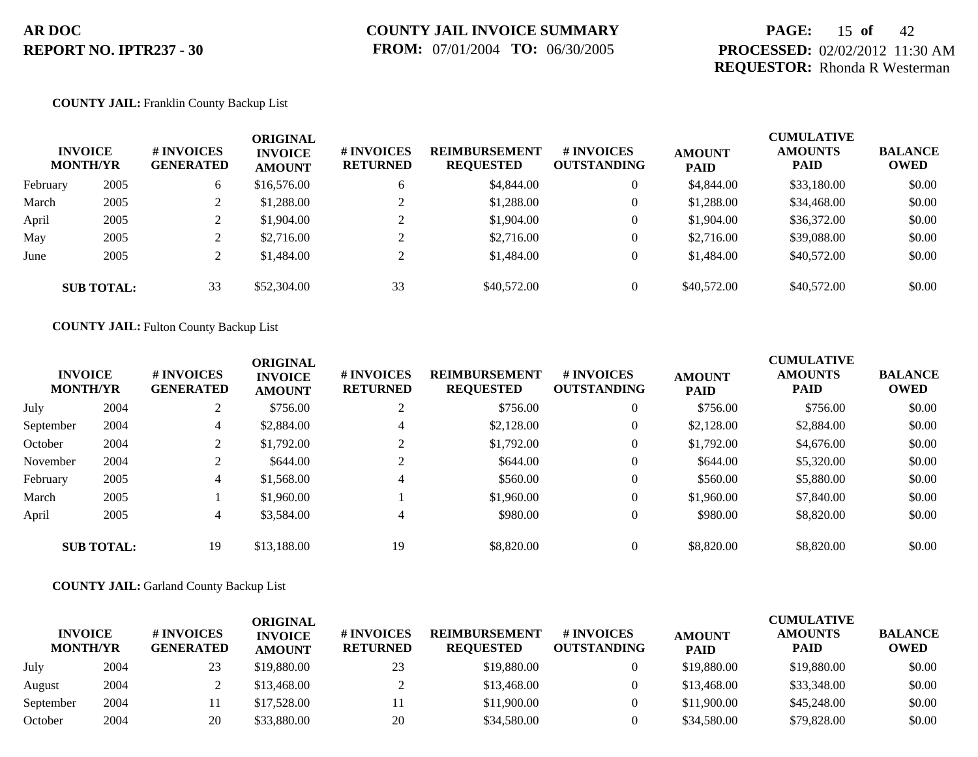## **PAGE:** 15 **of** 42 **PROCESSED:** 02/02/2012 11:30 AM **REQUESTOR:** Rhonda R Westerman

#### **COUNTY JAIL:** Franklin County Backup List

|          | <b>INVOICE</b><br><b>MONTH/YR</b> | <b>#INVOICES</b><br><b>GENERATED</b> | <b>ORIGINAL</b><br><b>INVOICE</b><br><b>AMOUNT</b> | <b>#INVOICES</b><br><b>RETURNED</b> | <b>REIMBURSEMENT</b><br><b>REQUESTED</b> | # INVOICES<br><b>OUTSTANDING</b> | <b>AMOUNT</b><br><b>PAID</b> | <b>CUMULATIVE</b><br><b>AMOUNTS</b><br><b>PAID</b> | <b>BALANCE</b><br><b>OWED</b> |
|----------|-----------------------------------|--------------------------------------|----------------------------------------------------|-------------------------------------|------------------------------------------|----------------------------------|------------------------------|----------------------------------------------------|-------------------------------|
| February | 2005                              | 6                                    | \$16,576.00                                        | 6                                   | \$4,844.00                               | $\overline{0}$                   | \$4,844.00                   | \$33,180.00                                        | \$0.00                        |
| March    | 2005                              |                                      | \$1,288.00                                         |                                     | \$1,288.00                               | $\overline{0}$                   | \$1,288.00                   | \$34,468.00                                        | \$0.00                        |
| April    | 2005                              |                                      | \$1,904.00                                         | ◠                                   | \$1,904.00                               | $\overline{0}$                   | \$1,904.00                   | \$36,372.00                                        | \$0.00                        |
| May      | 2005                              |                                      | \$2,716.00                                         | ◠                                   | \$2,716.00                               | $\overline{0}$                   | \$2,716.00                   | \$39,088.00                                        | \$0.00                        |
| June     | 2005                              |                                      | \$1,484.00                                         | ◠                                   | \$1,484.00                               | $\overline{0}$                   | \$1,484.00                   | \$40,572.00                                        | \$0.00                        |
|          | <b>SUB TOTAL:</b>                 | 33                                   | \$52,304.00                                        | 33                                  | \$40,572.00                              | $\overline{0}$                   | \$40,572.00                  | \$40,572.00                                        | \$0.00                        |

#### **COUNTY JAIL:** Fulton County Backup List

| <b>INVOICE</b><br><b>MONTH/YR</b> |                   | <b>#INVOICES</b><br><b>GENERATED</b> | <b>ORIGINAL</b><br><b>INVOICE</b><br><b>AMOUNT</b> | # INVOICES<br><b>RETURNED</b> | <b>REIMBURSEMENT</b><br><b>REQUESTED</b> | # INVOICES<br><b>OUTSTANDING</b> | <b>AMOUNT</b><br><b>PAID</b> | <b>CUMULATIVE</b><br><b>AMOUNTS</b><br><b>PAID</b> | <b>BALANCE</b><br><b>OWED</b> |
|-----------------------------------|-------------------|--------------------------------------|----------------------------------------------------|-------------------------------|------------------------------------------|----------------------------------|------------------------------|----------------------------------------------------|-------------------------------|
| July                              | 2004              |                                      | \$756.00                                           | 2                             | \$756.00                                 | $\theta$                         | \$756.00                     | \$756.00                                           | \$0.00                        |
| September                         | 2004              | 4                                    | \$2,884.00                                         | $\overline{4}$                | \$2,128.00                               | $\theta$                         | \$2,128.00                   | \$2,884.00                                         | \$0.00                        |
| October                           | 2004              | 2                                    | \$1,792.00                                         | $\bigcap$                     | \$1,792.00                               | $\theta$                         | \$1,792.00                   | \$4,676.00                                         | \$0.00                        |
| November                          | 2004              |                                      | \$644.00                                           | 2                             | \$644.00                                 | $\theta$                         | \$644.00                     | \$5,320.00                                         | \$0.00                        |
| February                          | 2005              | 4                                    | \$1,568.00                                         | $\overline{4}$                | \$560.00                                 | $\theta$                         | \$560.00                     | \$5,880.00                                         | \$0.00                        |
| March                             | 2005              |                                      | \$1,960.00                                         |                               | \$1,960.00                               | $\theta$                         | \$1,960.00                   | \$7,840.00                                         | \$0.00                        |
| April                             | 2005              | 4                                    | \$3,584.00                                         | $\overline{4}$                | \$980.00                                 | $\theta$                         | \$980.00                     | \$8,820.00                                         | \$0.00                        |
|                                   | <b>SUB TOTAL:</b> | 19                                   | \$13,188.00                                        | 19                            | \$8,820.00                               | $\theta$                         | \$8,820.00                   | \$8,820.00                                         | \$0.00                        |

#### **COUNTY JAIL:** Garland County Backup List

| <b>INVOICE</b><br><b>MONTH/YR</b> |      | <b>#INVOICES</b><br><b>GENERATED</b> | ORIGINAL<br><b>INVOICE</b><br><b>AMOUNT</b> | <b># INVOICES</b><br><b>RETURNED</b> | <b>REIMBURSEMENT</b><br><b>REQUESTED</b> | <b>#INVOICES</b><br><b>OUTSTANDING</b> | <b>AMOUNT</b><br><b>PAID</b> | <b>CUMULATIVE</b><br><b>AMOUNTS</b><br><b>PAID</b> | <b>BALANCE</b><br><b>OWED</b> |
|-----------------------------------|------|--------------------------------------|---------------------------------------------|--------------------------------------|------------------------------------------|----------------------------------------|------------------------------|----------------------------------------------------|-------------------------------|
| July                              | 2004 | 23                                   | \$19,880.00                                 | 23                                   | \$19,880.00                              |                                        | \$19,880.00                  | \$19,880.00                                        | \$0.00                        |
| August                            | 2004 |                                      | \$13,468.00                                 |                                      | \$13,468.00                              |                                        | \$13,468.00                  | \$33,348.00                                        | \$0.00                        |
| September                         | 2004 |                                      | \$17,528.00                                 |                                      | \$11,900.00                              |                                        | \$11,900.00                  | \$45,248,00                                        | \$0.00                        |
| October                           | 2004 | 20                                   | \$33,880.00                                 | 20                                   | \$34,580.00                              |                                        | \$34,580.00                  | \$79,828.00                                        | \$0.00                        |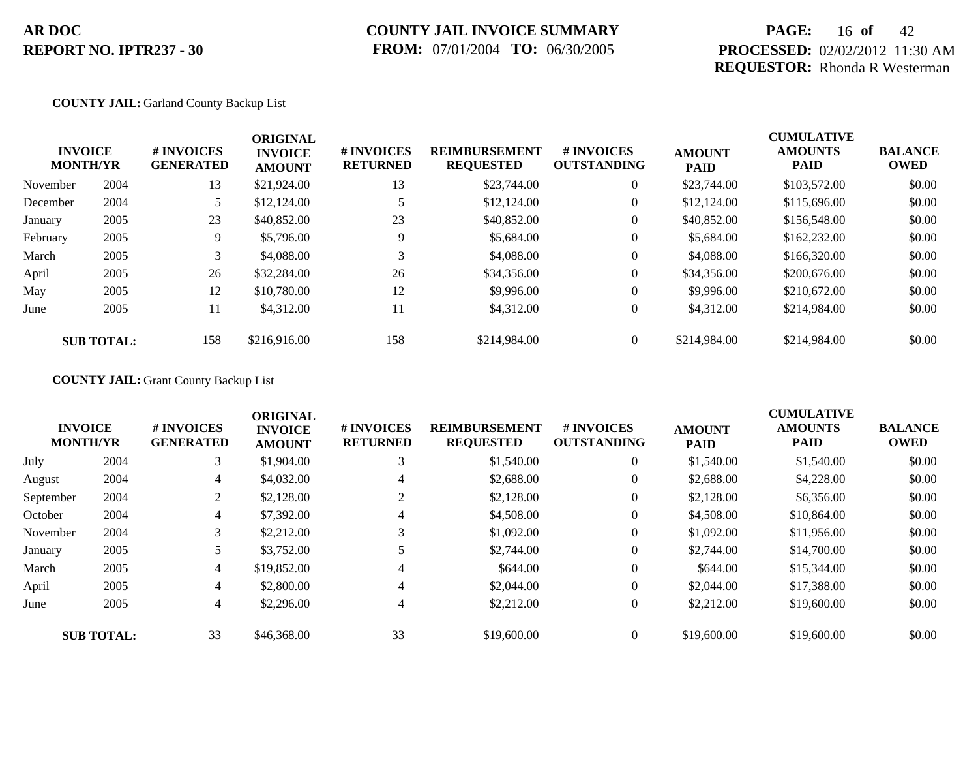## **COUNTY JAIL INVOICE SUMMARY FROM:** 07/01/2004 **TO:** 06/30/2005

## **PAGE:** 16 **of** 42 **PROCESSED:** 02/02/2012 11:30 AM **REQUESTOR:** Rhonda R Westerman

#### **COUNTY JAIL:** Garland County Backup List

|          | <b>INVOICE</b><br><b>MONTH/YR</b> | # INVOICES<br><b>GENERATED</b> | <b>ORIGINAL</b><br><b>INVOICE</b><br><b>AMOUNT</b> | # INVOICES<br><b>RETURNED</b> | <b>REIMBURSEMENT</b><br><b>REQUESTED</b> | # INVOICES<br><b>OUTSTANDING</b> | <b>AMOUNT</b><br><b>PAID</b> | <b>CUMULATIVE</b><br><b>AMOUNTS</b><br><b>PAID</b> | <b>BALANCE</b><br><b>OWED</b> |
|----------|-----------------------------------|--------------------------------|----------------------------------------------------|-------------------------------|------------------------------------------|----------------------------------|------------------------------|----------------------------------------------------|-------------------------------|
| November | 2004                              | 13                             | \$21,924.00                                        | 13                            | \$23,744.00                              | $\theta$                         | \$23,744.00                  | \$103,572.00                                       | \$0.00                        |
| December | 2004                              | 5                              | \$12,124.00                                        |                               | \$12,124.00                              | $\theta$                         | \$12,124.00                  | \$115,696.00                                       | \$0.00                        |
| January  | 2005                              | 23                             | \$40,852.00                                        | 23                            | \$40,852.00                              | $\theta$                         | \$40,852.00                  | \$156,548.00                                       | \$0.00                        |
| February | 2005                              | 9                              | \$5,796.00                                         | 9                             | \$5,684.00                               | $\theta$                         | \$5,684.00                   | \$162,232.00                                       | \$0.00                        |
| March    | 2005                              | 3                              | \$4,088.00                                         | 3                             | \$4,088.00                               | $\theta$                         | \$4,088,00                   | \$166,320.00                                       | \$0.00                        |
| April    | 2005                              | 26                             | \$32,284.00                                        | 26                            | \$34,356.00                              | $\boldsymbol{0}$                 | \$34,356.00                  | \$200,676.00                                       | \$0.00                        |
| May      | 2005                              | 12                             | \$10,780.00                                        | 12                            | \$9,996.00                               | $\theta$                         | \$9,996.00                   | \$210,672.00                                       | \$0.00                        |
| June     | 2005                              | 11                             | \$4,312.00                                         | 11                            | \$4,312.00                               | $\theta$                         | \$4,312.00                   | \$214,984.00                                       | \$0.00                        |
|          | <b>SUB TOTAL:</b>                 | 158                            | \$216,916.00                                       | 158                           | \$214,984.00                             | $\Omega$                         | \$214,984.00                 | \$214,984.00                                       | \$0.00                        |

### **COUNTY JAIL:** Grant County Backup List

|           | <b>INVOICE</b><br><b>MONTH/YR</b> | <b>#INVOICES</b><br><b>GENERATED</b> | <b>ORIGINAL</b><br><b>INVOICE</b><br><b>AMOUNT</b> | # INVOICES<br><b>RETURNED</b> | <b>REIMBURSEMENT</b><br><b>REQUESTED</b> | # INVOICES<br><b>OUTSTANDING</b> | <b>AMOUNT</b><br><b>PAID</b> | <b>CUMULATIVE</b><br><b>AMOUNTS</b><br><b>PAID</b> | <b>BALANCE</b><br><b>OWED</b> |
|-----------|-----------------------------------|--------------------------------------|----------------------------------------------------|-------------------------------|------------------------------------------|----------------------------------|------------------------------|----------------------------------------------------|-------------------------------|
| July      | 2004                              | 3                                    | \$1,904.00                                         | 3                             | \$1,540.00                               | $\overline{0}$                   | \$1,540.00                   | \$1,540.00                                         | \$0.00                        |
| August    | 2004                              | 4                                    | \$4,032.00                                         | 4                             | \$2,688.00                               | $\overline{0}$                   | \$2,688.00                   | \$4,228.00                                         | \$0.00                        |
| September | 2004                              | 2                                    | \$2,128.00                                         |                               | \$2,128.00                               | $\overline{0}$                   | \$2,128.00                   | \$6,356.00                                         | \$0.00                        |
| October   | 2004                              | $\overline{4}$                       | \$7,392.00                                         | 4                             | \$4,508.00                               | $\overline{0}$                   | \$4,508.00                   | \$10,864.00                                        | \$0.00                        |
| November  | 2004                              | 3                                    | \$2,212.00                                         | 3                             | \$1,092.00                               | $\overline{0}$                   | \$1,092.00                   | \$11,956.00                                        | \$0.00                        |
| January   | 2005                              |                                      | \$3,752.00                                         |                               | \$2,744.00                               | $\overline{0}$                   | \$2,744.00                   | \$14,700.00                                        | \$0.00                        |
| March     | 2005                              | $\overline{4}$                       | \$19,852.00                                        | 4                             | \$644.00                                 | $\overline{0}$                   | \$644.00                     | \$15,344.00                                        | \$0.00                        |
| April     | 2005                              | 4                                    | \$2,800.00                                         | 4                             | \$2,044.00                               | $\overline{0}$                   | \$2,044.00                   | \$17,388.00                                        | \$0.00                        |
| June      | 2005                              | 4                                    | \$2,296.00                                         | 4                             | \$2,212.00                               | $\overline{0}$                   | \$2,212.00                   | \$19,600.00                                        | \$0.00                        |
|           | <b>SUB TOTAL:</b>                 | 33                                   | \$46,368.00                                        | 33                            | \$19,600.00                              | $\overline{0}$                   | \$19,600.00                  | \$19,600.00                                        | \$0.00                        |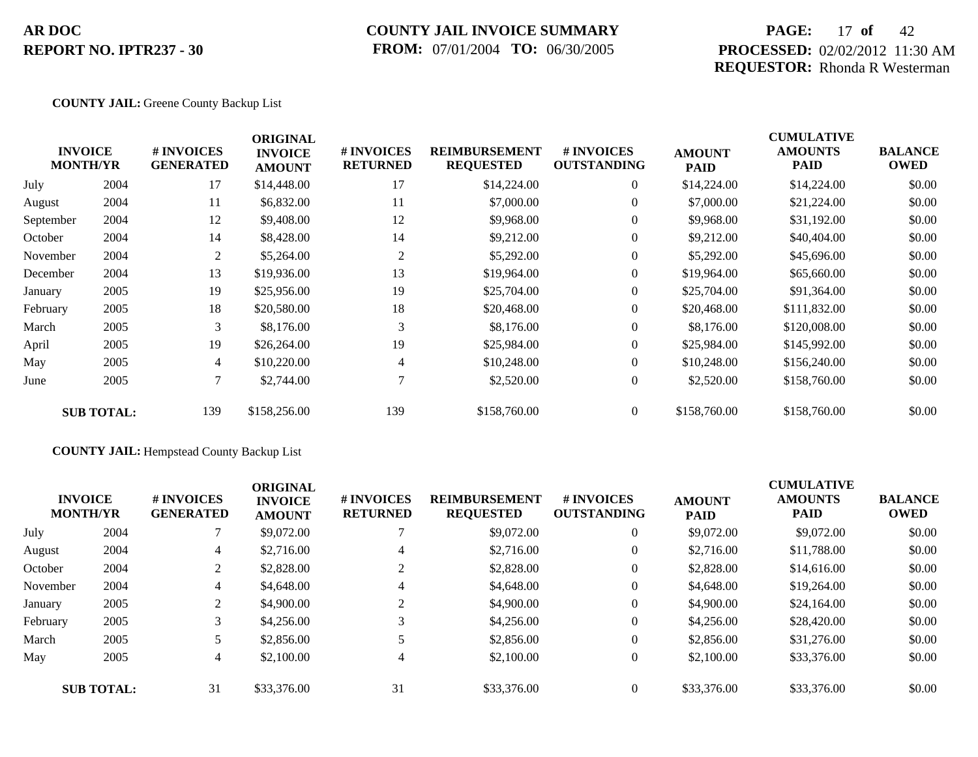### **COUNTY JAIL INVOICE SUMMARY FROM:** 07/01/2004 **TO:** 06/30/2005

## **PAGE:** 17 **of** 42 **PROCESSED:** 02/02/2012 11:30 AM **REQUESTOR:** Rhonda R Westerman

#### **COUNTY JAIL:** Greene County Backup List

| <b>INVOICE</b><br><b>MONTH/YR</b> | # INVOICES<br><b>GENERATED</b> | <b>ORIGINAL</b><br><b>INVOICE</b><br><b>AMOUNT</b> | # INVOICES<br><b>RETURNED</b> | <b>REIMBURSEMENT</b><br><b>REQUESTED</b> | <b>#INVOICES</b><br><b>OUTSTANDING</b> | <b>AMOUNT</b><br><b>PAID</b> | <b>CUMULATIVE</b><br><b>AMOUNTS</b><br><b>PAID</b> | <b>BALANCE</b><br><b>OWED</b> |
|-----------------------------------|--------------------------------|----------------------------------------------------|-------------------------------|------------------------------------------|----------------------------------------|------------------------------|----------------------------------------------------|-------------------------------|
| 2004                              | 17                             | \$14,448.00                                        | 17                            | \$14,224.00                              | $\overline{0}$                         | \$14,224.00                  | \$14,224.00                                        | \$0.00                        |
| 2004                              | 11                             | \$6,832.00                                         | 11                            | \$7,000.00                               | $\overline{0}$                         | \$7,000.00                   | \$21,224.00                                        | \$0.00                        |
| 2004                              | 12                             | \$9,408.00                                         | 12                            | \$9,968.00                               | $\overline{0}$                         | \$9,968.00                   | \$31,192.00                                        | \$0.00                        |
| 2004                              | 14                             | \$8,428.00                                         | 14                            | \$9,212.00                               | $\overline{0}$                         | \$9,212.00                   | \$40,404.00                                        | \$0.00                        |
| 2004                              | 2                              | \$5,264.00                                         | 2                             | \$5,292.00                               | $\overline{0}$                         | \$5,292.00                   | \$45,696.00                                        | \$0.00                        |
| 2004                              | 13                             | \$19,936.00                                        | 13                            | \$19,964.00                              | $\overline{0}$                         | \$19,964.00                  | \$65,660.00                                        | \$0.00                        |
| 2005                              | 19                             | \$25,956.00                                        | 19                            | \$25,704.00                              | $\overline{0}$                         | \$25,704.00                  | \$91,364.00                                        | \$0.00                        |
| 2005                              | 18                             | \$20,580.00                                        | 18                            | \$20,468.00                              | $\overline{0}$                         | \$20,468.00                  | \$111,832.00                                       | \$0.00                        |
| 2005                              | 3                              | \$8,176.00                                         | 3                             | \$8,176.00                               | $\overline{0}$                         | \$8,176.00                   | \$120,008.00                                       | \$0.00                        |
| 2005                              | 19                             | \$26,264.00                                        | 19                            | \$25,984.00                              | $\overline{0}$                         | \$25,984.00                  | \$145,992.00                                       | \$0.00                        |
| 2005                              | $\overline{4}$                 | \$10,220.00                                        | 4                             | \$10,248.00                              | $\overline{0}$                         | \$10,248.00                  | \$156,240.00                                       | \$0.00                        |
| 2005                              | 7                              | \$2,744.00                                         |                               | \$2,520.00                               | $\overline{0}$                         | \$2,520.00                   | \$158,760.00                                       | \$0.00                        |
| <b>SUB TOTAL:</b>                 | 139                            | \$158,256.00                                       | 139                           | \$158,760.00                             | $\overline{0}$                         | \$158,760.00                 | \$158,760.00                                       | \$0.00                        |
|                                   |                                |                                                    |                               |                                          |                                        |                              |                                                    |                               |

### **COUNTY JAIL:** Hempstead County Backup List

|          | <b>INVOICE</b><br><b>MONTH/YR</b> | # INVOICES<br><b>GENERATED</b> | <b>ORIGINAL</b><br><b>INVOICE</b><br><b>AMOUNT</b><br>\$9,072.00 | # INVOICES<br><b>RETURNED</b> | <b>REIMBURSEMENT</b><br><b>REQUESTED</b> | # INVOICES<br><b>OUTSTANDING</b> | <b>AMOUNT</b><br><b>PAID</b> | <b>CUMULATIVE</b><br><b>AMOUNTS</b><br><b>PAID</b> | <b>BALANCE</b><br><b>OWED</b> |
|----------|-----------------------------------|--------------------------------|------------------------------------------------------------------|-------------------------------|------------------------------------------|----------------------------------|------------------------------|----------------------------------------------------|-------------------------------|
| July     | 2004                              |                                |                                                                  |                               | \$9,072.00                               | $\overline{0}$                   | \$9,072.00                   | \$9,072.00                                         | \$0.00                        |
| August   | 2004                              | 4                              | \$2,716.00                                                       | $\overline{4}$                | \$2,716.00                               | $\overline{0}$                   | \$2,716.00                   | \$11,788.00                                        | \$0.00                        |
| October  | 2004                              | 2                              | \$2,828.00                                                       |                               | \$2,828.00                               | $\overline{0}$                   | \$2,828.00                   | \$14,616.00                                        | \$0.00                        |
| November | 2004                              | 4                              | \$4,648.00                                                       | 4                             | \$4,648.00                               | $\overline{0}$                   | \$4,648.00                   | \$19,264.00                                        | \$0.00                        |
| January  | 2005                              | 2                              | \$4,900.00                                                       | 2                             | \$4,900.00                               | $\overline{0}$                   | \$4,900.00                   | \$24,164.00                                        | \$0.00                        |
| February | 2005                              | 3                              | \$4,256.00                                                       | 3                             | \$4,256.00                               | $\overline{0}$                   | \$4,256.00                   | \$28,420.00                                        | \$0.00                        |
| March    | 2005                              |                                | \$2,856.00                                                       |                               | \$2,856.00                               | $\overline{0}$                   | \$2,856.00                   | \$31,276.00                                        | \$0.00                        |
| May      | 2005                              | 4                              | \$2,100.00                                                       | 4                             | \$2,100.00                               | $\overline{0}$                   | \$2,100.00                   | \$33,376.00                                        | \$0.00                        |
|          | <b>SUB TOTAL:</b>                 | 31                             | \$33,376.00                                                      | 31                            | \$33,376.00                              | $\theta$                         | \$33,376.00                  | \$33,376.00                                        | \$0.00                        |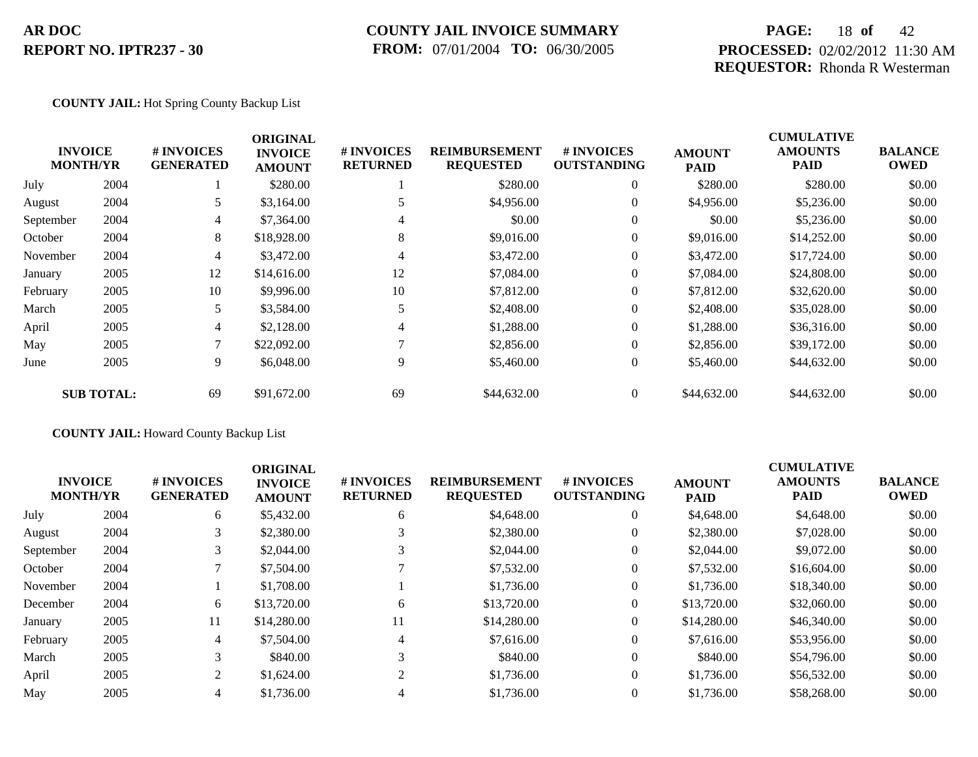### **COUNTY JAIL INVOICE SUMMARY FROM:** 07/01/2004 **TO:** 06/30/2005

## **PAGE:** 18 **of** 42 **PROCESSED:** 02/02/2012 11:30 AM **REQUESTOR:** Rhonda R Westerman

#### **COUNTY JAIL:** Hot Spring County Backup List

|           |                                   |                                | <b>ORIGINAL</b>                 |                               |                                          |                                         |                              | <b>CUMULATIVE</b>             |                               |
|-----------|-----------------------------------|--------------------------------|---------------------------------|-------------------------------|------------------------------------------|-----------------------------------------|------------------------------|-------------------------------|-------------------------------|
|           | <b>INVOICE</b><br><b>MONTH/YR</b> | # INVOICES<br><b>GENERATED</b> | <b>INVOICE</b><br><b>AMOUNT</b> | # INVOICES<br><b>RETURNED</b> | <b>REIMBURSEMENT</b><br><b>REQUESTED</b> | <b># INVOICES</b><br><b>OUTSTANDING</b> | <b>AMOUNT</b><br><b>PAID</b> | <b>AMOUNTS</b><br><b>PAID</b> | <b>BALANCE</b><br><b>OWED</b> |
| July      | 2004                              |                                | \$280.00                        |                               | \$280.00                                 | $\overline{0}$                          | \$280.00                     | \$280.00                      | \$0.00                        |
| August    | 2004                              | 5                              | \$3,164.00                      |                               | \$4,956.00                               | $\overline{0}$                          | \$4,956.00                   | \$5,236.00                    | \$0.00                        |
| September | 2004                              | 4                              | \$7,364.00                      | 4                             | \$0.00                                   | $\overline{0}$                          | \$0.00                       | \$5,236.00                    | \$0.00                        |
| October   | 2004                              | 8                              | \$18,928.00                     | 8                             | \$9,016.00                               | $\boldsymbol{0}$                        | \$9,016.00                   | \$14,252.00                   | \$0.00                        |
| November  | 2004                              | 4                              | \$3,472.00                      | 4                             | \$3,472.00                               | $\overline{0}$                          | \$3,472.00                   | \$17,724.00                   | \$0.00                        |
| January   | 2005                              | 12                             | \$14,616.00                     | 12                            | \$7,084.00                               | $\overline{0}$                          | \$7,084.00                   | \$24,808.00                   | \$0.00                        |
| February  | 2005                              | 10                             | \$9,996.00                      | 10                            | \$7,812.00                               | $\overline{0}$                          | \$7,812.00                   | \$32,620.00                   | \$0.00                        |
| March     | 2005                              | 5                              | \$3,584.00                      |                               | \$2,408.00                               | $\overline{0}$                          | \$2,408.00                   | \$35,028.00                   | \$0.00                        |
| April     | 2005                              | $\overline{4}$                 | \$2,128.00                      | 4                             | \$1,288.00                               | $\overline{0}$                          | \$1,288.00                   | \$36,316.00                   | \$0.00                        |
| May       | 2005                              | 7                              | \$22,092.00                     |                               | \$2,856.00                               | $\overline{0}$                          | \$2,856.00                   | \$39,172.00                   | \$0.00                        |
| June      | 2005                              | 9                              | \$6,048.00                      | 9                             | \$5,460.00                               | $\overline{0}$                          | \$5,460.00                   | \$44,632.00                   | \$0.00                        |
|           | <b>SUB TOTAL:</b>                 | 69                             | \$91,672.00                     | 69                            | \$44,632.00                              | $\overline{0}$                          | \$44,632.00                  | \$44,632.00                   | \$0.00                        |

### **COUNTY JAIL:** Howard County Backup List

| <b>INVOICE</b><br><b>MONTH/YR</b> | # INVOICES<br><b>GENERATED</b> | <b>ORIGINAL</b><br><b>INVOICE</b><br><b>AMOUNT</b> | # INVOICES<br><b>RETURNED</b> | <b>REIMBURSEMENT</b><br><b>REQUESTED</b> | # INVOICES<br><b>OUTSTANDING</b> | <b>AMOUNT</b><br><b>PAID</b> | <b>CUMULATIVE</b><br><b>AMOUNTS</b><br><b>PAID</b> | <b>BALANCE</b><br><b>OWED</b> |
|-----------------------------------|--------------------------------|----------------------------------------------------|-------------------------------|------------------------------------------|----------------------------------|------------------------------|----------------------------------------------------|-------------------------------|
| 2004                              | 6                              | \$5,432.00                                         | 6                             | \$4,648.00                               | $\overline{0}$                   | \$4,648.00                   | \$4,648.00                                         | \$0.00                        |
| 2004                              | 3                              | \$2,380.00                                         |                               | \$2,380.00                               | $\overline{0}$                   | \$2,380.00                   | \$7,028.00                                         | \$0.00                        |
| 2004                              |                                | \$2,044.00                                         |                               | \$2,044.00                               | $\overline{0}$                   | \$2,044.00                   | \$9,072.00                                         | \$0.00                        |
| 2004                              |                                | \$7,504.00                                         |                               | \$7,532.00                               | $\overline{0}$                   | \$7,532.00                   | \$16,604.00                                        | \$0.00                        |
| 2004                              |                                | \$1,708.00                                         |                               | \$1,736.00                               | $\overline{0}$                   | \$1,736.00                   | \$18,340.00                                        | \$0.00                        |
| 2004                              | 6                              | \$13,720.00                                        | 6                             | \$13,720.00                              | $\Omega$                         | \$13,720.00                  | \$32,060.00                                        | \$0.00                        |
| 2005                              | 11                             | \$14,280.00                                        | 11                            | \$14,280.00                              | $\overline{0}$                   | \$14,280.00                  | \$46,340.00                                        | \$0.00                        |
| 2005                              | 4                              | \$7,504.00                                         | $\overline{4}$                | \$7,616.00                               | $\overline{0}$                   | \$7,616.00                   | \$53,956.00                                        | \$0.00                        |
| 2005                              |                                | \$840.00                                           | 3                             | \$840.00                                 | $\overline{0}$                   | \$840.00                     | \$54,796.00                                        | \$0.00                        |
| 2005                              |                                | \$1,624.00                                         | $\mathfrak{D}$                | \$1,736.00                               | $\Omega$                         | \$1,736.00                   | \$56,532.00                                        | \$0.00                        |
| 2005                              | 4                              | \$1,736.00                                         | 4                             | \$1,736.00                               | $\mathbf{0}$                     | \$1,736.00                   | \$58,268.00                                        | \$0.00                        |
|                                   |                                |                                                    |                               |                                          |                                  |                              |                                                    |                               |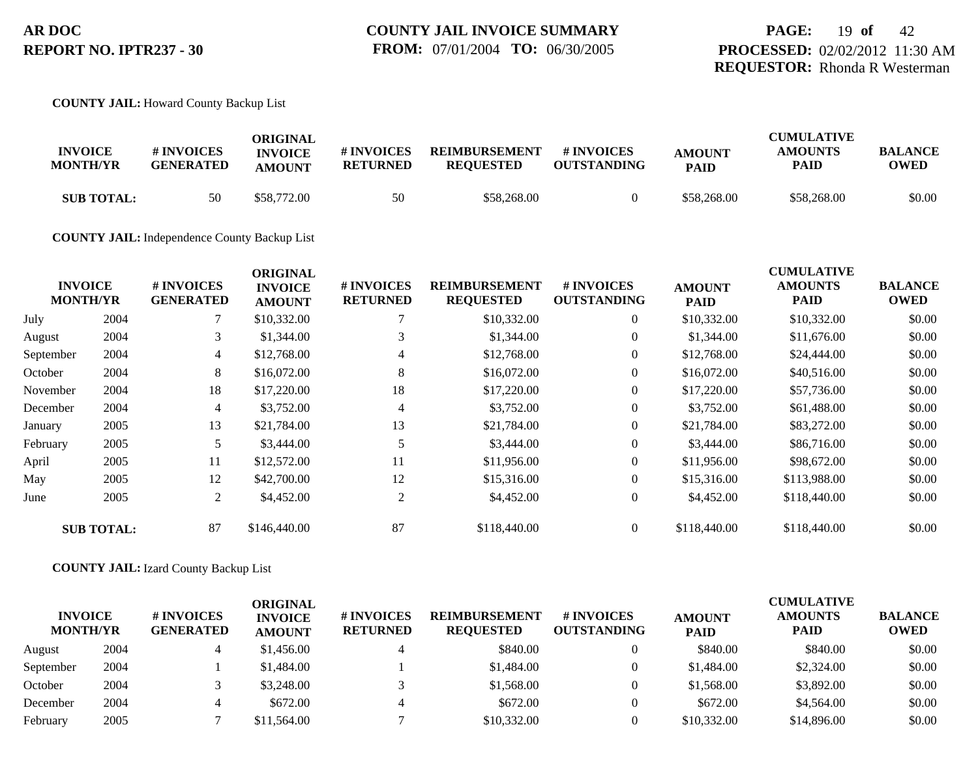#### **COUNTY JAIL:** Howard County Backup List

|                   |                  | ORIGINAL       |                 |                      |                    |               | <b>CUMULATIVE</b> |                |
|-------------------|------------------|----------------|-----------------|----------------------|--------------------|---------------|-------------------|----------------|
| <b>INVOICE</b>    | # INVOICES       | <b>INVOICE</b> | # INVOICES      | <b>REIMBURSEMENT</b> | # INVOICES         | <b>AMOUNT</b> | <b>AMOUNTS</b>    | <b>BALANCE</b> |
| <b>MONTH/YR</b>   | <b>GENERATED</b> | AMOUNT         | <b>RETURNED</b> | <b>REOUESTED</b>     | <b>OUTSTANDING</b> | <b>PAID</b>   | <b>PAID</b>       | <b>OWED</b>    |
| <b>SUB TOTAL:</b> | 50               | \$58.772.00    | 50              | \$58,268,00          |                    | \$58,268,00   | \$58,268,00       | \$0.00         |

**COUNTY JAIL:** Independence County Backup List

|           | <b>INVOICE</b>    | # INVOICES       | <b>ORIGINAL</b><br><b>INVOICE</b> | # INVOICES      | <b>REIMBURSEMENT</b> | # INVOICES         | <b>AMOUNT</b> | <b>CUMULATIVE</b><br><b>AMOUNTS</b> | <b>BALANCE</b> |
|-----------|-------------------|------------------|-----------------------------------|-----------------|----------------------|--------------------|---------------|-------------------------------------|----------------|
|           | <b>MONTH/YR</b>   | <b>GENERATED</b> | <b>AMOUNT</b>                     | <b>RETURNED</b> | <b>REQUESTED</b>     | <b>OUTSTANDING</b> | <b>PAID</b>   | PAID                                | <b>OWED</b>    |
| July      | 2004              |                  | \$10,332.00                       |                 | \$10,332.00          | $\overline{0}$     | \$10,332.00   | \$10,332.00                         | \$0.00         |
| August    | 2004              | 3                | \$1,344.00                        | 3               | \$1,344.00           | $\boldsymbol{0}$   | \$1,344.00    | \$11,676.00                         | \$0.00         |
| September | 2004              | 4                | \$12,768.00                       | 4               | \$12,768.00          | $\theta$           | \$12,768.00   | \$24,444.00                         | \$0.00         |
| October   | 2004              | 8                | \$16,072.00                       | 8               | \$16,072.00          | $\overline{0}$     | \$16,072.00   | \$40,516.00                         | \$0.00         |
| November  | 2004              | 18               | \$17,220.00                       | 18              | \$17,220.00          | $\theta$           | \$17,220.00   | \$57,736.00                         | \$0.00         |
| December  | 2004              | $\overline{4}$   | \$3,752.00                        | 4               | \$3,752.00           | $\theta$           | \$3,752.00    | \$61,488.00                         | \$0.00         |
| January   | 2005              | 13               | \$21,784.00                       | 13              | \$21,784.00          | $\overline{0}$     | \$21,784.00   | \$83,272.00                         | \$0.00         |
| February  | 2005              | 5                | \$3,444.00                        |                 | \$3,444.00           | $\theta$           | \$3,444.00    | \$86,716.00                         | \$0.00         |
| April     | 2005              | 11               | \$12,572.00                       | 11              | \$11,956.00          | $\overline{0}$     | \$11,956.00   | \$98,672.00                         | \$0.00         |
| May       | 2005              | 12               | \$42,700.00                       | 12              | \$15,316.00          | $\overline{0}$     | \$15,316.00   | \$113,988.00                        | \$0.00         |
| June      | 2005              | $\overline{2}$   | \$4,452.00                        | 2               | \$4,452.00           | $\theta$           | \$4,452.00    | \$118,440.00                        | \$0.00         |
|           | <b>SUB TOTAL:</b> | 87               | \$146,440.00                      | 87              | \$118,440.00         | $\overline{0}$     | \$118,440.00  | \$118,440.00                        | \$0.00         |

#### **COUNTY JAIL:** Izard County Backup List

| <b>INVOICE</b><br><b>MONTH/YR</b> |      | # INVOICES<br><b>GENERATED</b> | ORIGINAL<br><b>INVOICE</b><br><b>AMOUNT</b> | # INVOICES<br><b>RETURNED</b> | <b>REIMBURSEMENT</b><br><b>REQUESTED</b> | # INVOICES<br><b>OUTSTANDING</b> | <b>AMOUNT</b><br><b>PAID</b> | <b>CUMULATIVE</b><br><b>AMOUNTS</b><br><b>PAID</b> | <b>BALANCE</b><br><b>OWED</b> |
|-----------------------------------|------|--------------------------------|---------------------------------------------|-------------------------------|------------------------------------------|----------------------------------|------------------------------|----------------------------------------------------|-------------------------------|
| August                            | 2004 |                                | \$1,456.00                                  | 4                             | \$840.00                                 |                                  | \$840.00                     | \$840.00                                           | \$0.00                        |
| September                         | 2004 |                                | \$1,484.00                                  |                               | \$1,484.00                               |                                  | \$1,484.00                   | \$2,324.00                                         | \$0.00                        |
| October                           | 2004 |                                | \$3,248,00                                  |                               | \$1,568.00                               |                                  | \$1,568.00                   | \$3,892.00                                         | \$0.00                        |
| December                          | 2004 |                                | \$672.00                                    | 4                             | \$672.00                                 |                                  | \$672.00                     | \$4,564.00                                         | \$0.00                        |
| February                          | 2005 |                                | \$11,564.00                                 |                               | \$10,332.00                              |                                  | \$10,332.00                  | \$14,896.00                                        | \$0.00                        |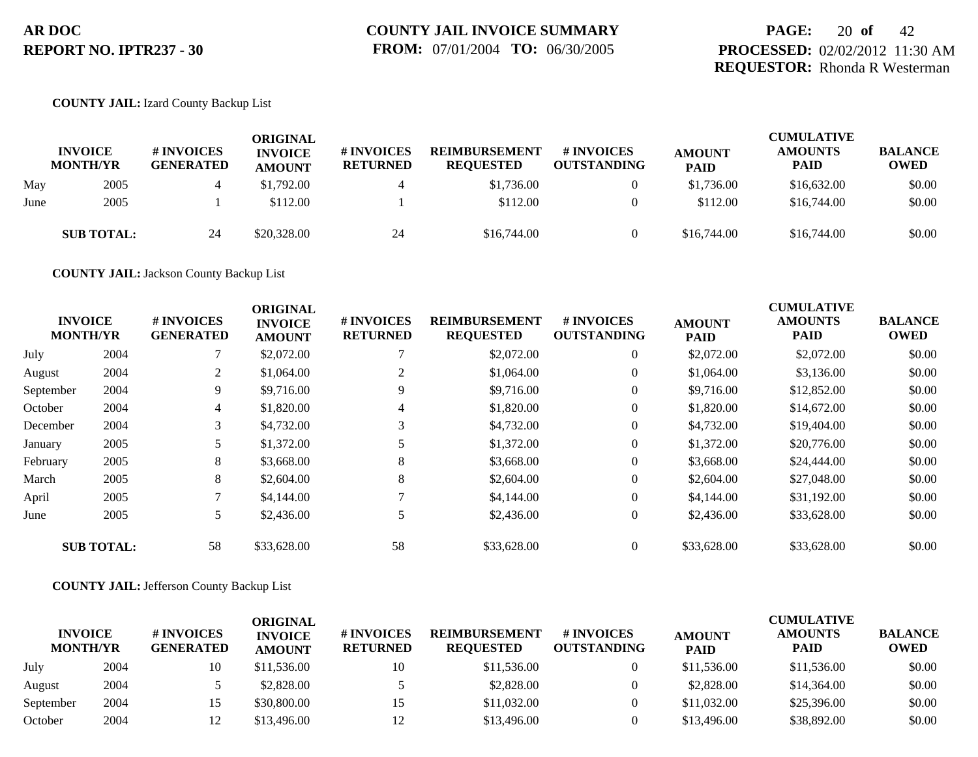## **PAGE:** 20 **of** 42 **PROCESSED:** 02/02/2012 11:30 AM **REQUESTOR:** Rhonda R Westerman

#### **COUNTY JAIL:** Izard County Backup List

|      | <b>INVOICE</b><br><b>MONTH/YR</b> | <b># INVOICES</b><br><b>GENERATED</b> | <b>ORIGINAL</b><br><b>INVOICE</b><br><b>AMOUNT</b> | # INVOICES<br><b>RETURNED</b> | <b>REIMBURSEMENT</b><br><b>REQUESTED</b> | # INVOICES<br><b>OUTSTANDING</b> | <b>AMOUNT</b><br><b>PAID</b> | <b>CUMULATIVE</b><br><b>AMOUNTS</b><br>PAID | <b>BALANCE</b><br><b>OWED</b> |
|------|-----------------------------------|---------------------------------------|----------------------------------------------------|-------------------------------|------------------------------------------|----------------------------------|------------------------------|---------------------------------------------|-------------------------------|
| May  | 2005                              |                                       | \$1,792.00                                         |                               | \$1,736.00                               | $\overline{0}$                   | \$1,736.00                   | \$16,632.00                                 | \$0.00                        |
| June | 2005                              |                                       | \$112.00                                           |                               | \$112.00                                 | $\Omega$                         | \$112.00                     | \$16,744.00                                 | \$0.00                        |
|      | <b>SUB TOTAL:</b>                 | 24                                    | \$20,328.00                                        | 24                            | \$16,744.00                              | $\theta$                         | \$16,744.00                  | \$16,744.00                                 | \$0.00                        |

**COUNTY JAIL:** Jackson County Backup List

|           | <b>INVOICE</b><br><b>MONTH/YR</b> | # INVOICES<br><b>GENERATED</b> | <b>ORIGINAL</b><br><b>INVOICE</b><br><b>AMOUNT</b> | # INVOICES<br><b>RETURNED</b> | <b>REIMBURSEMENT</b><br><b>REQUESTED</b> | <b># INVOICES</b><br><b>OUTSTANDING</b> | <b>AMOUNT</b><br><b>PAID</b> | <b>CUMULATIVE</b><br><b>AMOUNTS</b><br><b>PAID</b> | <b>BALANCE</b><br><b>OWED</b> |
|-----------|-----------------------------------|--------------------------------|----------------------------------------------------|-------------------------------|------------------------------------------|-----------------------------------------|------------------------------|----------------------------------------------------|-------------------------------|
| July      | 2004                              |                                | \$2,072.00                                         |                               | \$2,072.00                               | $\overline{0}$                          | \$2,072.00                   | \$2,072.00                                         | \$0.00                        |
| August    | 2004                              | 2                              | \$1,064.00                                         | 2                             | \$1,064.00                               | $\overline{0}$                          | \$1,064.00                   | \$3,136.00                                         | \$0.00                        |
| September | 2004                              | 9                              | \$9,716.00                                         |                               | \$9,716.00                               | $\overline{0}$                          | \$9,716.00                   | \$12,852.00                                        | \$0.00                        |
| October   | 2004                              | 4                              | \$1,820.00                                         | 4                             | \$1,820.00                               | $\overline{0}$                          | \$1,820.00                   | \$14,672.00                                        | \$0.00                        |
| December  | 2004                              | 3                              | \$4,732.00                                         | 3                             | \$4,732.00                               | $\overline{0}$                          | \$4,732.00                   | \$19,404.00                                        | \$0.00                        |
| January   | 2005                              | 5                              | \$1,372.00                                         | 5                             | \$1,372.00                               | $\overline{0}$                          | \$1,372.00                   | \$20,776.00                                        | \$0.00                        |
| February  | 2005                              | 8                              | \$3,668.00                                         | 8                             | \$3,668.00                               | $\overline{0}$                          | \$3,668.00                   | \$24,444.00                                        | \$0.00                        |
| March     | 2005                              | 8                              | \$2,604.00                                         | 8                             | \$2,604.00                               | $\Omega$                                | \$2,604.00                   | \$27,048.00                                        | \$0.00                        |
| April     | 2005                              |                                | \$4,144.00                                         |                               | \$4,144.00                               | $\overline{0}$                          | \$4,144.00                   | \$31,192.00                                        | \$0.00                        |
| June      | 2005                              | 5                              | \$2,436.00                                         |                               | \$2,436.00                               | $\overline{0}$                          | \$2,436.00                   | \$33,628.00                                        | \$0.00                        |
|           | <b>SUB TOTAL:</b>                 | 58                             | \$33,628.00                                        | 58                            | \$33,628.00                              | $\overline{0}$                          | \$33,628.00                  | \$33,628.00                                        | \$0.00                        |

**COUNTY JAIL:** Jefferson County Backup List

| <b>INVOICE</b><br><b>MONTH/YR</b> |      | # INVOICES<br><b>GENERATED</b> | ORIGINAL<br><b>INVOICE</b><br><b>AMOUNT</b> | # INVOICES<br><b>RETURNED</b> | <b>REIMBURSEMENT</b><br><b>REQUESTED</b> | # INVOICES<br><b>OUTSTANDING</b> | <b>AMOUNT</b><br><b>PAID</b> | <b>CUMULATIVE</b><br><b>AMOUNTS</b><br><b>PAID</b> | <b>BALANCE</b><br><b>OWED</b> |
|-----------------------------------|------|--------------------------------|---------------------------------------------|-------------------------------|------------------------------------------|----------------------------------|------------------------------|----------------------------------------------------|-------------------------------|
| July                              | 2004 | 10                             | \$11,536.00                                 | 10                            | \$11,536.00                              |                                  | \$11,536.00                  | \$11,536.00                                        | \$0.00                        |
| August                            | 2004 |                                | \$2,828.00                                  |                               | \$2,828.00                               |                                  | \$2,828.00                   | \$14,364.00                                        | \$0.00                        |
| September                         | 2004 | L5                             | \$30,800.00                                 | 15                            | \$11,032.00                              |                                  | \$11,032.00                  | \$25,396.00                                        | \$0.00                        |
| October                           | 2004 |                                | \$13,496.00                                 | 12                            | \$13,496.00                              |                                  | \$13,496.00                  | \$38,892.00                                        | \$0.00                        |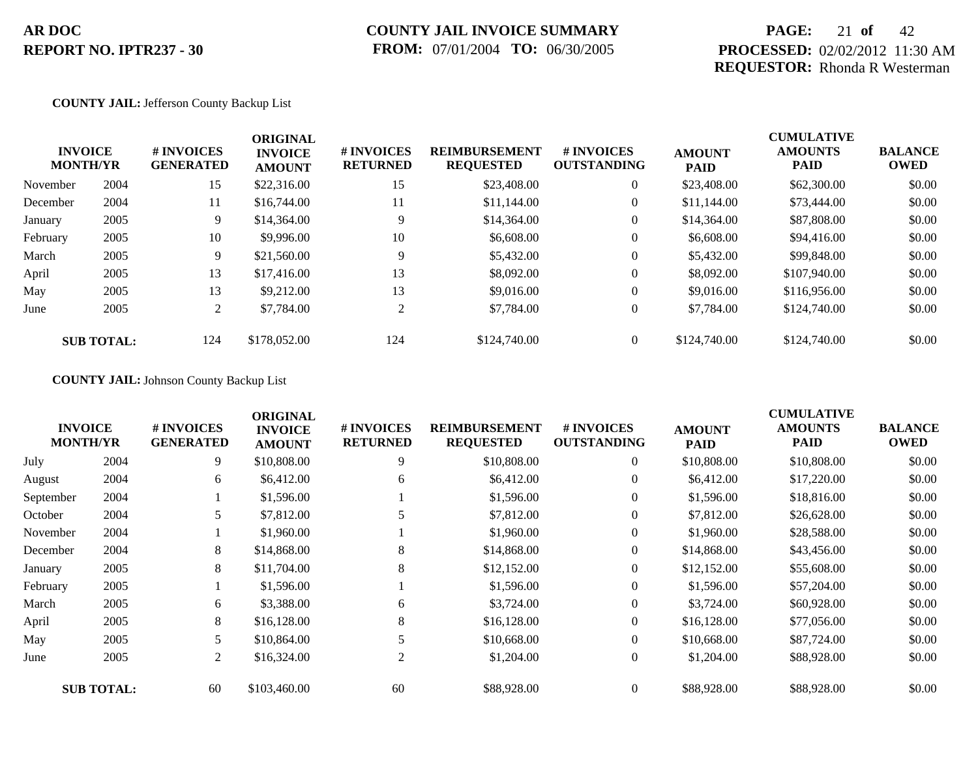### **COUNTY JAIL INVOICE SUMMARY FROM:** 07/01/2004 **TO:** 06/30/2005

## **PAGE:** 21 **of** 42 **PROCESSED:** 02/02/2012 11:30 AM **REQUESTOR:** Rhonda R Westerman

#### **COUNTY JAIL:** Jefferson County Backup List

|          | <b>INVOICE</b><br><b>MONTH/YR</b> | # INVOICES<br><b>GENERATED</b> | <b>ORIGINAL</b><br><b>INVOICE</b><br><b>AMOUNT</b> | # INVOICES<br><b>RETURNED</b> | <b>REIMBURSEMENT</b><br><b>REQUESTED</b> | # INVOICES<br><b>OUTSTANDING</b> | <b>AMOUNT</b><br><b>PAID</b> | <b>CUMULATIVE</b><br><b>AMOUNTS</b><br><b>PAID</b> | <b>BALANCE</b><br><b>OWED</b> |
|----------|-----------------------------------|--------------------------------|----------------------------------------------------|-------------------------------|------------------------------------------|----------------------------------|------------------------------|----------------------------------------------------|-------------------------------|
| November | 2004                              | 15                             | \$22,316.00                                        | 15                            | \$23,408.00                              | $\overline{0}$                   | \$23,408.00                  | \$62,300.00                                        | \$0.00                        |
| December | 2004                              | 11                             | \$16,744.00                                        | 11                            | \$11,144.00                              | $\overline{0}$                   | \$11,144.00                  | \$73,444.00                                        | \$0.00                        |
| January  | 2005                              | 9                              | \$14,364.00                                        | 9                             | \$14,364.00                              | $\overline{0}$                   | \$14,364.00                  | \$87,808.00                                        | \$0.00                        |
| February | 2005                              | 10                             | \$9,996.00                                         | 10                            | \$6,608.00                               | $\overline{0}$                   | \$6,608.00                   | \$94,416.00                                        | \$0.00                        |
| March    | 2005                              | 9                              | \$21,560.00                                        | 9                             | \$5,432.00                               | $\overline{0}$                   | \$5,432.00                   | \$99,848.00                                        | \$0.00                        |
| April    | 2005                              | 13                             | \$17,416.00                                        | 13                            | \$8,092.00                               | $\overline{0}$                   | \$8,092.00                   | \$107,940.00                                       | \$0.00                        |
| May      | 2005                              | 13                             | \$9,212.00                                         | 13                            | \$9,016.00                               | $\overline{0}$                   | \$9,016.00                   | \$116,956.00                                       | \$0.00                        |
| June     | 2005                              | 2                              | \$7,784.00                                         | 2                             | \$7,784.00                               | $\overline{0}$                   | \$7,784.00                   | \$124,740.00                                       | \$0.00                        |
|          | <b>SUB TOTAL:</b>                 | 124                            | \$178,052.00                                       | 124                           | \$124,740.00                             | $\theta$                         | \$124,740.00                 | \$124,740.00                                       | \$0.00                        |

### **COUNTY JAIL:** Johnson County Backup List

|           | <b>INVOICE</b><br><b>MONTH/YR</b> | # INVOICES<br><b>GENERATED</b> | <b>ORIGINAL</b><br><b>INVOICE</b><br><b>AMOUNT</b> | # INVOICES<br><b>RETURNED</b> | <b>REIMBURSEMENT</b><br><b>REQUESTED</b> | <b># INVOICES</b><br><b>OUTSTANDING</b> | <b>AMOUNT</b><br><b>PAID</b> | <b>CUMULATIVE</b><br><b>AMOUNTS</b><br>PAID | <b>BALANCE</b><br><b>OWED</b> |
|-----------|-----------------------------------|--------------------------------|----------------------------------------------------|-------------------------------|------------------------------------------|-----------------------------------------|------------------------------|---------------------------------------------|-------------------------------|
| July      | 2004                              | 9                              | \$10,808.00                                        | 9                             | \$10,808.00                              | $\overline{0}$                          | \$10,808.00                  | \$10,808.00                                 | \$0.00                        |
| August    | 2004                              | 6                              | \$6,412.00                                         | 6                             | \$6,412.00                               | $\overline{0}$                          | \$6,412.00                   | \$17,220.00                                 | \$0.00                        |
| September | 2004                              |                                | \$1,596.00                                         |                               | \$1,596.00                               | $\overline{0}$                          | \$1,596.00                   | \$18,816.00                                 | \$0.00                        |
| October   | 2004                              | 5                              | \$7,812.00                                         |                               | \$7,812.00                               | $\overline{0}$                          | \$7,812.00                   | \$26,628.00                                 | \$0.00                        |
| November  | 2004                              |                                | \$1,960.00                                         |                               | \$1,960.00                               | $\overline{0}$                          | \$1,960.00                   | \$28,588.00                                 | \$0.00                        |
| December  | 2004                              | 8                              | \$14,868.00                                        | 8                             | \$14,868.00                              | $\overline{0}$                          | \$14,868.00                  | \$43,456.00                                 | \$0.00                        |
| January   | 2005                              | 8                              | \$11,704.00                                        | 8                             | \$12,152.00                              | $\overline{0}$                          | \$12,152.00                  | \$55,608.00                                 | \$0.00                        |
| February  | 2005                              |                                | \$1,596.00                                         |                               | \$1,596.00                               | $\overline{0}$                          | \$1,596.00                   | \$57,204.00                                 | \$0.00                        |
| March     | 2005                              | 6                              | \$3,388.00                                         | 6                             | \$3,724.00                               | $\overline{0}$                          | \$3,724.00                   | \$60,928.00                                 | \$0.00                        |
| April     | 2005                              | 8                              | \$16,128.00                                        | 8                             | \$16,128.00                              | $\overline{0}$                          | \$16,128.00                  | \$77,056.00                                 | \$0.00                        |
| May       | 2005                              | 5                              | \$10,864.00                                        |                               | \$10,668.00                              | $\overline{0}$                          | \$10,668.00                  | \$87,724.00                                 | \$0.00                        |
| June      | 2005                              | 2                              | \$16,324.00                                        | 2                             | \$1,204.00                               | $\overline{0}$                          | \$1,204.00                   | \$88,928.00                                 | \$0.00                        |
|           | <b>SUB TOTAL:</b>                 | 60                             | \$103,460.00                                       | 60                            | \$88,928.00                              | $\overline{0}$                          | \$88,928.00                  | \$88,928.00                                 | \$0.00                        |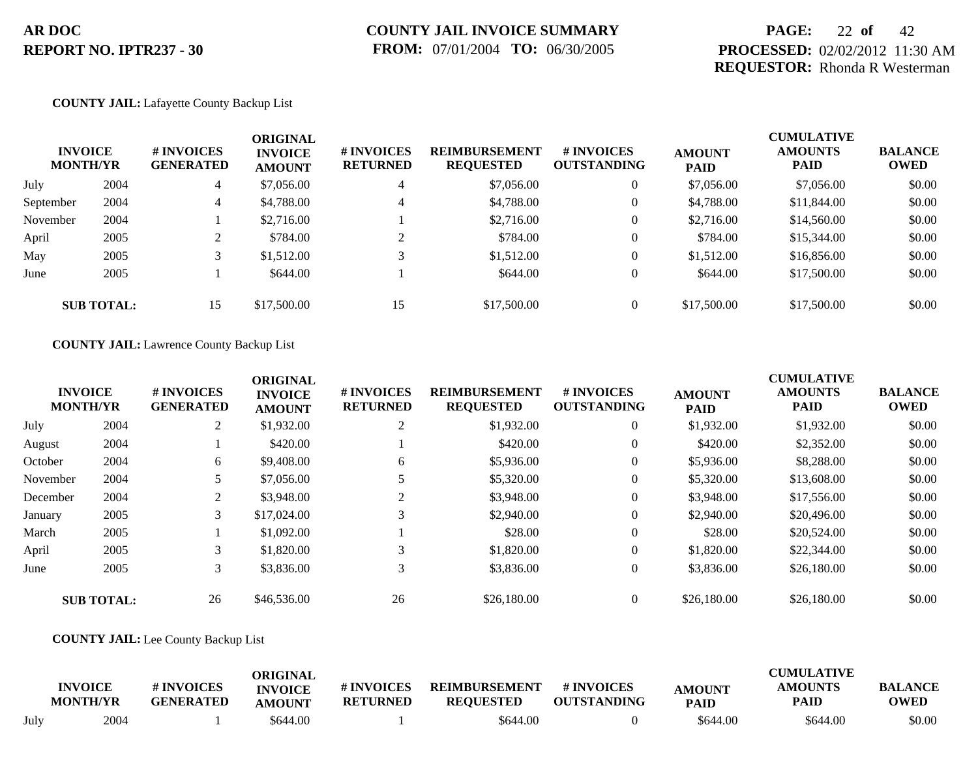## **COUNTY JAIL INVOICE SUMMARY FROM:** 07/01/2004 **TO:** 06/30/2005

## **PAGE:** 22 **of** 42 **PROCESSED:** 02/02/2012 11:30 AM **REQUESTOR:** Rhonda R Westerman

#### **COUNTY JAIL:** Lafayette County Backup List

| <b>INVOICE</b><br><b>MONTH/YR</b> |                   | <b># INVOICES</b><br><b>GENERATED</b> | <b>ORIGINAL</b><br><b>INVOICE</b><br><b>AMOUNT</b> | # INVOICES<br><b>RETURNED</b> | <b>REIMBURSEMENT</b><br><b>REQUESTED</b> | # INVOICES<br><b>OUTSTANDING</b> | <b>AMOUNT</b><br><b>PAID</b> | <b>CUMULATIVE</b><br><b>AMOUNTS</b><br><b>PAID</b> | <b>BALANCE</b><br><b>OWED</b> |
|-----------------------------------|-------------------|---------------------------------------|----------------------------------------------------|-------------------------------|------------------------------------------|----------------------------------|------------------------------|----------------------------------------------------|-------------------------------|
| July                              | 2004              | 4                                     | \$7,056.00                                         | 4                             | \$7,056.00                               | $\theta$                         | \$7,056.00                   | \$7,056.00                                         | \$0.00                        |
| September                         | 2004              | 4                                     | \$4,788.00                                         | 4                             | \$4,788.00                               | $\overline{0}$                   | \$4,788.00                   | \$11,844.00                                        | \$0.00                        |
| November                          | 2004              |                                       | \$2,716.00                                         |                               | \$2,716.00                               | $\overline{0}$                   | \$2,716.00                   | \$14,560.00                                        | \$0.00                        |
| April                             | 2005              | ◠<br>∠                                | \$784.00                                           | ◠                             | \$784.00                                 | $\overline{0}$                   | \$784.00                     | \$15,344.00                                        | \$0.00                        |
| May                               | 2005              |                                       | \$1,512.00                                         |                               | \$1,512.00                               | $\overline{0}$                   | \$1,512.00                   | \$16,856.00                                        | \$0.00                        |
| June                              | 2005              |                                       | \$644.00                                           |                               | \$644.00                                 | $\overline{0}$                   | \$644.00                     | \$17,500.00                                        | \$0.00                        |
|                                   | <b>SUB TOTAL:</b> | 15                                    | \$17,500.00                                        | 15                            | \$17,500.00                              | $\overline{0}$                   | \$17,500.00                  | \$17,500.00                                        | \$0.00                        |

#### **COUNTY JAIL:** Lawrence County Backup List

|          | <b>INVOICE</b><br><b>MONTH/YR</b> | # INVOICES<br><b>GENERATED</b> | <b>ORIGINAL</b><br><b>INVOICE</b><br><b>AMOUNT</b> | # INVOICES<br><b>RETURNED</b> | <b>REIMBURSEMENT</b><br><b>REQUESTED</b> | <b>#INVOICES</b><br><b>OUTSTANDING</b> | <b>AMOUNT</b><br><b>PAID</b> | <b>CUMULATIVE</b><br><b>AMOUNTS</b><br><b>PAID</b> | <b>BALANCE</b><br><b>OWED</b> |
|----------|-----------------------------------|--------------------------------|----------------------------------------------------|-------------------------------|------------------------------------------|----------------------------------------|------------------------------|----------------------------------------------------|-------------------------------|
| July     | 2004                              | $\overline{2}$                 | \$1,932.00                                         | 2                             | \$1,932.00                               | $\theta$                               | \$1,932.00                   | \$1,932.00                                         | \$0.00                        |
| August   | 2004                              |                                | \$420.00                                           |                               | \$420.00                                 | $\theta$                               | \$420.00                     | \$2,352.00                                         | \$0.00                        |
| October  | 2004                              | 6                              | \$9,408.00                                         | 6                             | \$5,936.00                               | $\theta$                               | \$5,936.00                   | \$8,288.00                                         | \$0.00                        |
| November | 2004                              |                                | \$7,056.00                                         |                               | \$5,320.00                               | $\theta$                               | \$5,320.00                   | \$13,608.00                                        | \$0.00                        |
| December | 2004                              | $\overline{2}$                 | \$3,948.00                                         | 2                             | \$3,948.00                               | $\theta$                               | \$3,948.00                   | \$17,556.00                                        | \$0.00                        |
| January  | 2005                              | 3                              | \$17,024.00                                        | 3                             | \$2,940.00                               | $\theta$                               | \$2,940.00                   | \$20,496.00                                        | \$0.00                        |
| March    | 2005                              |                                | \$1,092.00                                         |                               | \$28.00                                  | $\theta$                               | \$28.00                      | \$20,524.00                                        | \$0.00                        |
| April    | 2005                              |                                | \$1,820.00                                         | 3                             | \$1,820.00                               | $\overline{0}$                         | \$1,820.00                   | \$22,344.00                                        | \$0.00                        |
| June     | 2005                              | 3                              | \$3,836.00                                         | 3                             | \$3,836.00                               | $\overline{0}$                         | \$3,836.00                   | \$26,180.00                                        | \$0.00                        |
|          | <b>SUB TOTAL:</b>                 | 26                             | \$46,536.00                                        | 26                            | \$26,180.00                              | $\theta$                               | \$26,180.00                  | \$26,180.00                                        | \$0.00                        |

#### **COUNTY JAIL:** Lee County Backup List

|      | <b>INVOICE</b><br><b>MONTH/YR</b> | <b># INVOICES</b><br><b>GENERATED</b> | ORIGINAL<br><b>INVOICE</b><br>AMOUNT | # INVOICES<br><b>RETURNED</b> | <b>REIMBURSEMENT</b><br><b>REQUESTED</b> | # INVOICES<br><b>OUTSTANDING</b> | <b>AMOUNT</b><br><b>PAID</b> | <b>CUMULATIVE</b><br><b>AMOUNTS</b><br>PAID | <b>BALANCE</b><br><b>OWED</b> |
|------|-----------------------------------|---------------------------------------|--------------------------------------|-------------------------------|------------------------------------------|----------------------------------|------------------------------|---------------------------------------------|-------------------------------|
| July | 2004                              |                                       | \$644.00                             |                               | \$644.00                                 |                                  | \$644.00                     | \$644.00                                    | \$0.00                        |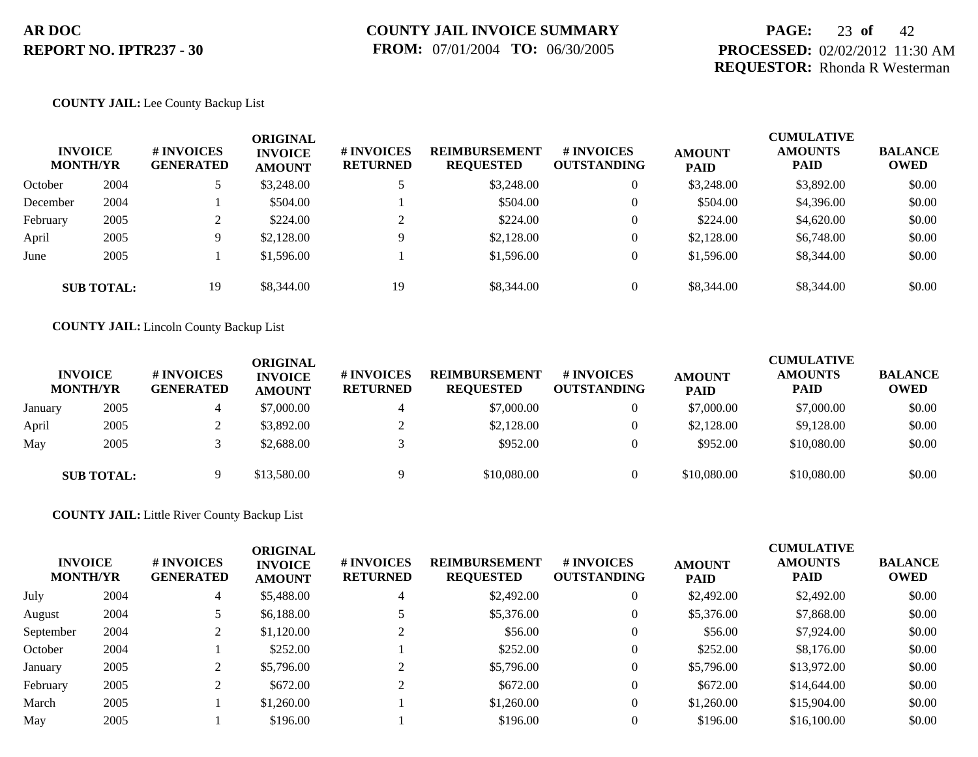## **PAGE:** 23 **of** 42 **PROCESSED:** 02/02/2012 11:30 AM **REQUESTOR:** Rhonda R Westerman

#### **COUNTY JAIL:** Lee County Backup List

|          | <b>INVOICE</b><br><b>MONTH/YR</b> | <b>#INVOICES</b><br><b>GENERATED</b> | <b>ORIGINAL</b><br><b>INVOICE</b><br><b>AMOUNT</b> | # INVOICES<br><b>RETURNED</b> | <b>REIMBURSEMENT</b><br><b>REQUESTED</b> | # INVOICES<br><b>OUTSTANDING</b> | <b>AMOUNT</b><br><b>PAID</b> | <b>CUMULATIVE</b><br><b>AMOUNTS</b><br><b>PAID</b> | <b>BALANCE</b><br><b>OWED</b> |
|----------|-----------------------------------|--------------------------------------|----------------------------------------------------|-------------------------------|------------------------------------------|----------------------------------|------------------------------|----------------------------------------------------|-------------------------------|
| October  | 2004                              |                                      | \$3,248.00                                         |                               | \$3,248.00                               | $\theta$                         | \$3,248.00                   | \$3,892.00                                         | \$0.00                        |
| December | 2004                              |                                      | \$504.00                                           |                               | \$504.00                                 | $\theta$                         | \$504.00                     | \$4,396.00                                         | \$0.00                        |
| February | 2005                              |                                      | \$224.00                                           | $\bigcap$                     | \$224.00                                 | $\theta$                         | \$224.00                     | \$4,620.00                                         | \$0.00                        |
| April    | 2005                              |                                      | \$2,128,00                                         | 9                             | \$2,128.00                               | $\theta$                         | \$2,128.00                   | \$6,748.00                                         | \$0.00                        |
| June     | 2005                              |                                      | \$1,596.00                                         |                               | \$1,596.00                               | $\mathbf{0}$                     | \$1,596.00                   | \$8,344.00                                         | \$0.00                        |
|          | <b>SUB TOTAL:</b>                 | 19                                   | \$8,344.00                                         | 19                            | \$8,344.00                               | $\theta$                         | \$8,344.00                   | \$8,344.00                                         | \$0.00                        |

**COUNTY JAIL:** Lincoln County Backup List

|         | <b>INVOICE</b><br><b>MONTH/YR</b> | # INVOICES<br><b>GENERATED</b> | ORIGINAL<br><b>INVOICE</b><br><b>AMOUNT</b> | # INVOICES<br><b>RETURNED</b> | <b>REIMBURSEMENT</b><br><b>REOUESTED</b> | <b>#INVOICES</b><br><b>OUTSTANDING</b> | <b>AMOUNT</b><br><b>PAID</b> | <b>CUMULATIVE</b><br><b>AMOUNTS</b><br><b>PAID</b> | <b>BALANCE</b><br><b>OWED</b> |
|---------|-----------------------------------|--------------------------------|---------------------------------------------|-------------------------------|------------------------------------------|----------------------------------------|------------------------------|----------------------------------------------------|-------------------------------|
| January | 2005                              | 4                              | \$7,000.00                                  |                               | \$7,000.00                               | $\overline{0}$                         | \$7,000.00                   | \$7,000.00                                         | \$0.00                        |
| April   | 2005                              |                                | \$3,892.00                                  |                               | \$2,128.00                               | 0                                      | \$2,128.00                   | \$9,128.00                                         | \$0.00                        |
| May     | 2005                              |                                | \$2,688.00                                  |                               | \$952.00                                 | 0                                      | \$952.00                     | \$10,080.00                                        | \$0.00                        |
|         | <b>SUB TOTAL:</b>                 |                                | \$13,580.00                                 | Q                             | \$10,080.00                              |                                        | \$10,080.00                  | \$10,080.00                                        | \$0.00                        |

**COUNTY JAIL:** Little River County Backup List

| <b>INVOICE</b><br><b>MONTH/YR</b> |      | <b># INVOICES</b><br><b>GENERATED</b> | <b>ORIGINAL</b><br><b>INVOICE</b><br><b>AMOUNT</b> | # INVOICES<br><b>RETURNED</b> | <b>REIMBURSEMENT</b><br><b>REQUESTED</b> | # INVOICES<br><b>OUTSTANDING</b> | <b>AMOUNT</b><br><b>PAID</b> | <b>CUMULATIVE</b><br><b>AMOUNTS</b><br><b>PAID</b> | <b>BALANCE</b><br><b>OWED</b> |
|-----------------------------------|------|---------------------------------------|----------------------------------------------------|-------------------------------|------------------------------------------|----------------------------------|------------------------------|----------------------------------------------------|-------------------------------|
| July                              | 2004 | 4                                     | \$5,488.00                                         |                               | \$2,492.00                               | 0                                | \$2,492.00                   | \$2,492.00                                         | \$0.00                        |
| August                            | 2004 |                                       | \$6,188.00                                         |                               | \$5,376.00                               | 0                                | \$5,376.00                   | \$7,868.00                                         | \$0.00                        |
| September                         | 2004 |                                       | \$1,120.00                                         |                               | \$56.00                                  | 0                                | \$56.00                      | \$7,924.00                                         | \$0.00                        |
| October                           | 2004 |                                       | \$252.00                                           |                               | \$252.00                                 | 0                                | \$252.00                     | \$8,176.00                                         | \$0.00                        |
| January                           | 2005 |                                       | \$5,796.00                                         |                               | \$5,796.00                               | 0                                | \$5,796.00                   | \$13,972.00                                        | \$0.00                        |
| February                          | 2005 |                                       | \$672.00                                           |                               | \$672.00                                 | 0                                | \$672.00                     | \$14,644.00                                        | \$0.00                        |
| March                             | 2005 |                                       | \$1,260.00                                         |                               | \$1,260.00                               | 0                                | \$1,260.00                   | \$15,904.00                                        | \$0.00                        |
| May                               | 2005 |                                       | \$196.00                                           |                               | \$196.00                                 |                                  | \$196.00                     | \$16,100.00                                        | \$0.00                        |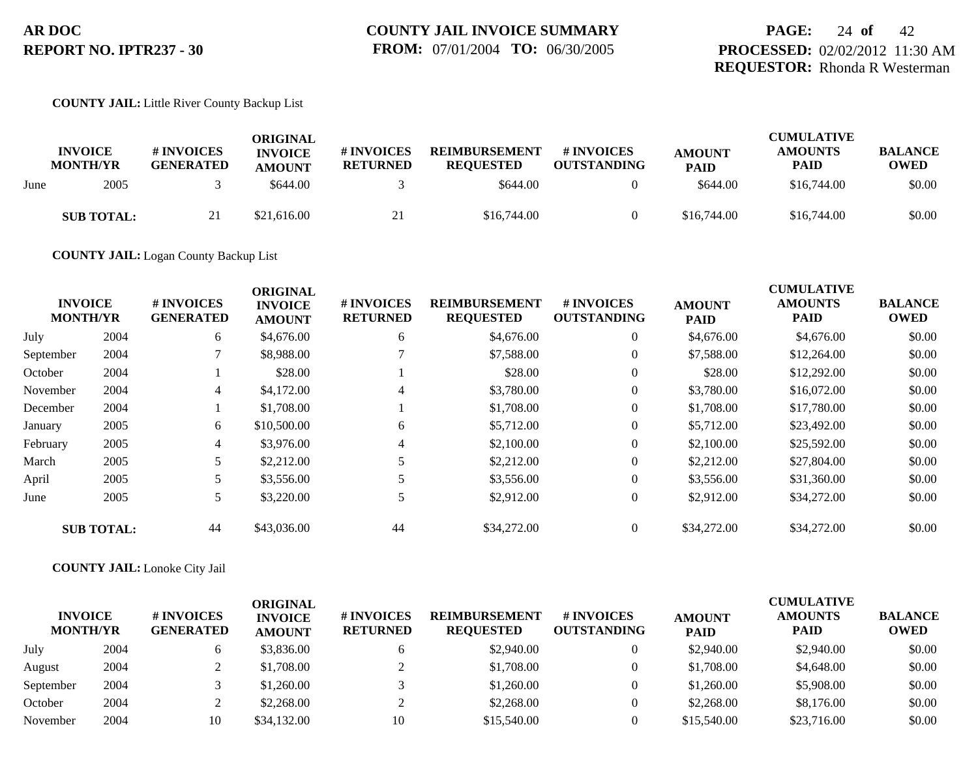#### **COUNTY JAIL:** Little River County Backup List

|      | <b>INVOICE</b><br><b>MONTH/YR</b> | # INVOICES<br><b>GENERATED</b> | ORIGINAL<br><b>INVOICE</b><br><b>AMOUNT</b> | # INVOICES<br><b>RETURNED</b> | <b>REIMBURSEMENT</b><br><b>REOUESTED</b> | # INVOICES<br><b>OUTSTANDING</b> | <b>AMOUNT</b><br><b>PAID</b> | <b>CUMULATIVE</b><br><b>AMOUNTS</b><br>PAID | <b>BALANCE</b><br><b>OWED</b> |
|------|-----------------------------------|--------------------------------|---------------------------------------------|-------------------------------|------------------------------------------|----------------------------------|------------------------------|---------------------------------------------|-------------------------------|
| June | 2005                              |                                | \$644.00                                    |                               | \$644.00                                 |                                  | \$644.00                     | \$16,744.00                                 | \$0.00                        |
|      | <b>SUB TOTAL:</b>                 | 21                             | \$21,616.00                                 | 21                            | \$16,744.00                              |                                  | \$16,744.00                  | \$16,744.00                                 | \$0.00                        |

**COUNTY JAIL:** Logan County Backup List

|           |                                   |                                | <b>ORIGINAL</b>                 |                               |                                          |                                  |                              | <b>CUMULATIVE</b>             |                               |
|-----------|-----------------------------------|--------------------------------|---------------------------------|-------------------------------|------------------------------------------|----------------------------------|------------------------------|-------------------------------|-------------------------------|
|           | <b>INVOICE</b><br><b>MONTH/YR</b> | # INVOICES<br><b>GENERATED</b> | <b>INVOICE</b><br><b>AMOUNT</b> | # INVOICES<br><b>RETURNED</b> | <b>REIMBURSEMENT</b><br><b>REQUESTED</b> | # INVOICES<br><b>OUTSTANDING</b> | <b>AMOUNT</b><br><b>PAID</b> | <b>AMOUNTS</b><br><b>PAID</b> | <b>BALANCE</b><br><b>OWED</b> |
| July      | 2004                              | 6                              | \$4,676.00                      | 6                             | \$4,676.00                               | $\overline{0}$                   | \$4,676.00                   | \$4,676.00                    | \$0.00                        |
| September | 2004                              |                                | \$8,988.00                      |                               | \$7,588.00                               | $\overline{0}$                   | \$7,588.00                   | \$12,264.00                   | \$0.00                        |
| October   | 2004                              |                                | \$28.00                         |                               | \$28.00                                  | $\overline{0}$                   | \$28.00                      | \$12,292.00                   | \$0.00                        |
| November  | 2004                              | 4                              | \$4,172.00                      | 4                             | \$3,780.00                               | $\overline{0}$                   | \$3,780.00                   | \$16,072.00                   | \$0.00                        |
| December  | 2004                              |                                | \$1,708.00                      |                               | \$1,708.00                               | $\overline{0}$                   | \$1,708.00                   | \$17,780.00                   | \$0.00                        |
| January   | 2005                              | 6                              | \$10,500.00                     | 6                             | \$5,712.00                               | $\overline{0}$                   | \$5,712.00                   | \$23,492.00                   | \$0.00                        |
| February  | 2005                              | 4                              | \$3,976.00                      | 4                             | \$2,100.00                               | $\overline{0}$                   | \$2,100.00                   | \$25,592.00                   | \$0.00                        |
| March     | 2005                              | 5                              | \$2,212.00                      |                               | \$2,212.00                               | $\overline{0}$                   | \$2,212.00                   | \$27,804.00                   | \$0.00                        |
| April     | 2005                              |                                | \$3,556.00                      |                               | \$3,556.00                               | $\overline{0}$                   | \$3,556.00                   | \$31,360.00                   | \$0.00                        |
| June      | 2005                              | 5                              | \$3,220.00                      |                               | \$2,912.00                               | $\overline{0}$                   | \$2,912.00                   | \$34,272.00                   | \$0.00                        |
|           | <b>SUB TOTAL:</b>                 | 44                             | \$43,036.00                     | 44                            | \$34,272.00                              | $\overline{0}$                   | \$34,272.00                  | \$34,272.00                   | \$0.00                        |

#### **COUNTY JAIL:** Lonoke City Jail

| <b>INVOICE</b><br><b>MONTH/YR</b> |      | # INVOICES<br><b>GENERATED</b> | ORIGINAL<br><b>INVOICE</b><br><b>AMOUNT</b> | # INVOICES<br><b>RETURNED</b> | <b>REIMBURSEMENT</b><br><b>REQUESTED</b> | # INVOICES<br><b>OUTSTANDING</b> | <b>AMOUNT</b><br><b>PAID</b> | <b>CUMULATIVE</b><br><b>AMOUNTS</b><br><b>PAID</b> | <b>BALANCE</b><br><b>OWED</b> |
|-----------------------------------|------|--------------------------------|---------------------------------------------|-------------------------------|------------------------------------------|----------------------------------|------------------------------|----------------------------------------------------|-------------------------------|
| July                              | 2004 |                                | \$3,836.00                                  |                               | \$2,940.00                               |                                  | \$2,940.00                   | \$2,940.00                                         | \$0.00                        |
| August                            | 2004 |                                | \$1,708.00                                  |                               | \$1,708.00                               |                                  | \$1,708.00                   | \$4,648.00                                         | \$0.00                        |
| September                         | 2004 |                                | \$1,260.00                                  |                               | \$1,260.00                               |                                  | \$1,260.00                   | \$5,908.00                                         | \$0.00                        |
| October                           | 2004 |                                | \$2,268.00                                  |                               | \$2,268.00                               |                                  | \$2,268.00                   | \$8,176.00                                         | \$0.00                        |
| November                          | 2004 | 10                             | \$34,132.00                                 | 10                            | \$15,540.00                              |                                  | \$15,540.00                  | \$23,716.00                                        | \$0.00                        |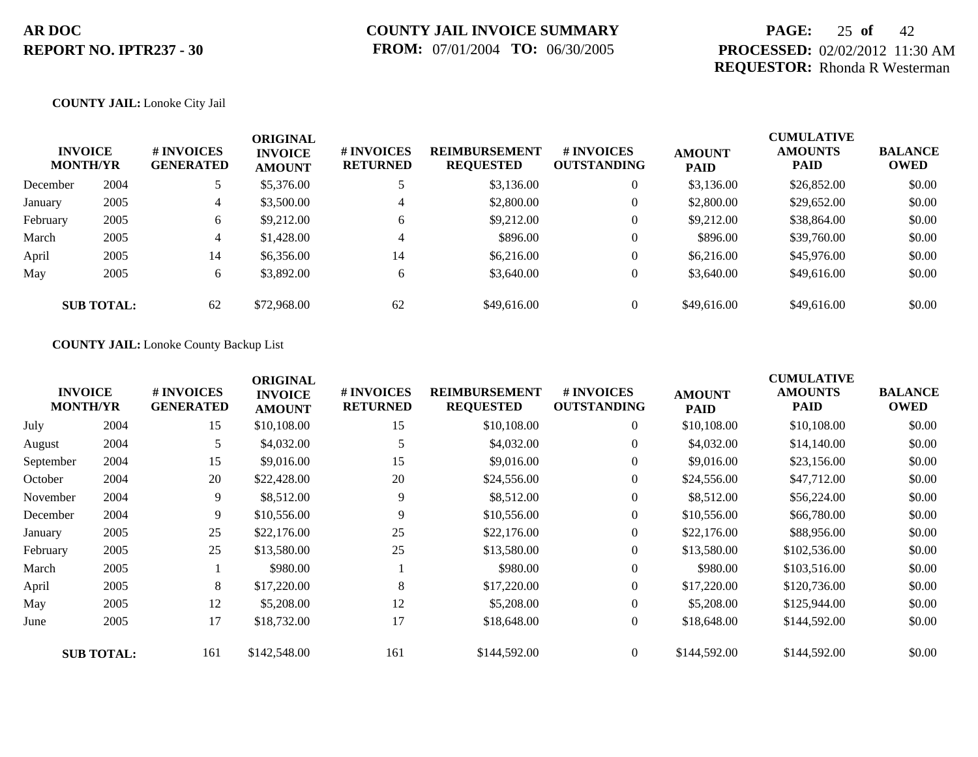## **PAGE:** 25 **of** 42 **PROCESSED:** 02/02/2012 11:30 AM **REQUESTOR:** Rhonda R Westerman

#### **COUNTY JAIL:** Lonoke City Jail

| <b>INVOICE</b><br><b>MONTH/YR</b> |                   | <b>#INVOICES</b><br><b>GENERATED</b> | <b>ORIGINAL</b><br><b>INVOICE</b><br><b>AMOUNT</b> | <b>#INVOICES</b><br><b>RETURNED</b> | <b>REIMBURSEMENT</b><br><b>REQUESTED</b> | <b>#INVOICES</b><br><b>OUTSTANDING</b> | <b>AMOUNT</b><br><b>PAID</b> | <b>CUMULATIVE</b><br><b>AMOUNTS</b><br><b>PAID</b> | <b>BALANCE</b><br><b>OWED</b> |
|-----------------------------------|-------------------|--------------------------------------|----------------------------------------------------|-------------------------------------|------------------------------------------|----------------------------------------|------------------------------|----------------------------------------------------|-------------------------------|
| December                          | 2004              |                                      | \$5,376.00                                         |                                     | \$3,136.00                               | $\overline{0}$                         | \$3,136.00                   | \$26,852.00                                        | \$0.00                        |
| January                           | 2005              | 4                                    | \$3,500.00                                         | $\overline{4}$                      | \$2,800.00                               | $\overline{0}$                         | \$2,800.00                   | \$29,652.00                                        | \$0.00                        |
| February                          | 2005              | 6                                    | \$9,212.00                                         | 6                                   | \$9,212.00                               | $\overline{0}$                         | \$9,212.00                   | \$38,864.00                                        | \$0.00                        |
| March                             | 2005              | 4                                    | \$1,428.00                                         | $\overline{4}$                      | \$896.00                                 | $\theta$                               | \$896.00                     | \$39,760.00                                        | \$0.00                        |
| April                             | 2005              | 14                                   | \$6,356.00                                         | 14                                  | \$6,216.00                               | $\overline{0}$                         | \$6,216.00                   | \$45,976.00                                        | \$0.00                        |
| May                               | 2005              | 6                                    | \$3,892.00                                         | 6                                   | \$3,640.00                               | $\overline{0}$                         | \$3,640.00                   | \$49,616.00                                        | \$0.00                        |
|                                   | <b>SUB TOTAL:</b> | 62                                   | \$72,968.00                                        | 62                                  | \$49,616.00                              | $\theta$                               | \$49,616.00                  | \$49,616.00                                        | \$0.00                        |

#### **COUNTY JAIL:** Lonoke County Backup List

| <b>INVOICE</b><br><b>MONTH/YR</b> | # INVOICES<br><b>GENERATED</b> | <b>ORIGINAL</b><br><b>INVOICE</b><br><b>AMOUNT</b> | # INVOICES<br><b>RETURNED</b> | <b>REIMBURSEMENT</b><br><b>REQUESTED</b> | <b># INVOICES</b><br><b>OUTSTANDING</b> | <b>AMOUNT</b><br><b>PAID</b> | <b>CUMULATIVE</b><br><b>AMOUNTS</b><br>PAID | <b>BALANCE</b><br><b>OWED</b> |
|-----------------------------------|--------------------------------|----------------------------------------------------|-------------------------------|------------------------------------------|-----------------------------------------|------------------------------|---------------------------------------------|-------------------------------|
| 2004                              | 15                             | \$10,108.00                                        | 15                            | \$10,108.00                              | $\overline{0}$                          | \$10,108.00                  | \$10,108.00                                 | \$0.00                        |
| 2004                              | 5                              | \$4,032.00                                         |                               | \$4,032.00                               | $\overline{0}$                          | \$4,032.00                   | \$14,140.00                                 | \$0.00                        |
| 2004                              | 15                             | \$9,016.00                                         | 15                            | \$9,016.00                               | $\overline{0}$                          | \$9,016.00                   | \$23,156.00                                 | \$0.00                        |
| 2004                              | 20                             | \$22,428.00                                        | 20                            | \$24,556.00                              | $\overline{0}$                          | \$24,556.00                  | \$47,712.00                                 | \$0.00                        |
| 2004                              | 9                              | \$8,512.00                                         | 9                             | \$8,512.00                               | $\overline{0}$                          | \$8,512.00                   | \$56,224.00                                 | \$0.00                        |
| 2004                              | 9                              | \$10,556.00                                        | 9                             | \$10,556.00                              | $\overline{0}$                          | \$10,556.00                  | \$66,780.00                                 | \$0.00                        |
| 2005                              | 25                             | \$22,176.00                                        | 25                            | \$22,176.00                              | $\overline{0}$                          | \$22,176.00                  | \$88,956.00                                 | \$0.00                        |
| 2005                              | 25                             | \$13,580.00                                        | 25                            | \$13,580.00                              | $\overline{0}$                          | \$13,580.00                  | \$102,536.00                                | \$0.00                        |
| 2005                              |                                | \$980.00                                           |                               | \$980.00                                 | $\overline{0}$                          | \$980.00                     | \$103,516.00                                | \$0.00                        |
| 2005                              | 8                              | \$17,220.00                                        | 8                             | \$17,220.00                              | $\overline{0}$                          | \$17,220.00                  | \$120,736.00                                | \$0.00                        |
| 2005                              | 12                             | \$5,208.00                                         | 12                            | \$5,208.00                               | $\overline{0}$                          | \$5,208.00                   | \$125,944.00                                | \$0.00                        |
| 2005                              | 17                             | \$18,732.00                                        | 17                            | \$18,648.00                              | $\overline{0}$                          | \$18,648.00                  | \$144,592.00                                | \$0.00                        |
| <b>SUB TOTAL:</b>                 | 161                            | \$142,548.00                                       | 161                           | \$144,592.00                             | $\theta$                                | \$144,592.00                 | \$144,592.00                                | \$0.00                        |
|                                   |                                |                                                    |                               |                                          |                                         |                              |                                             |                               |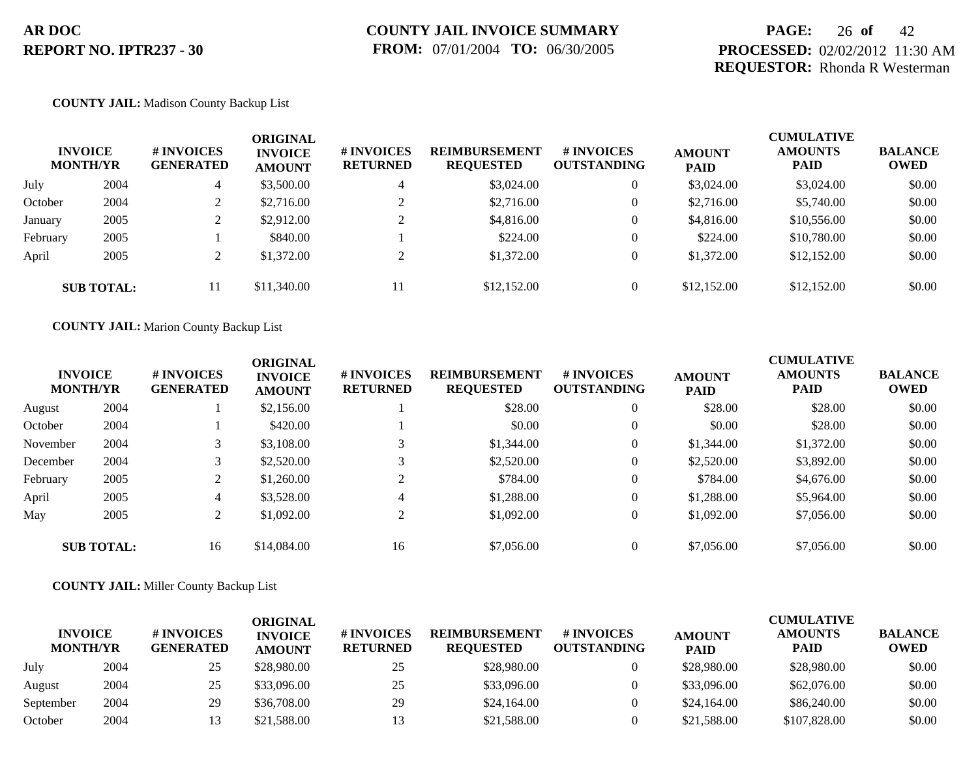## **PAGE:** 26 **of** 42 **PROCESSED:** 02/02/2012 11:30 AM **REQUESTOR:** Rhonda R Westerman

#### **COUNTY JAIL:** Madison County Backup List

|          | <b>INVOICE</b><br><b>MONTH/YR</b> | <b>#INVOICES</b><br><b>GENERATED</b><br>4 | <b>ORIGINAL</b><br><b>INVOICE</b><br><b>AMOUNT</b> | # INVOICES<br><b>RETURNED</b> | <b>REIMBURSEMENT</b><br><b>REQUESTED</b> | <b>#INVOICES</b><br><b>OUTSTANDING</b> | <b>AMOUNT</b><br><b>PAID</b> | <b>CUMULATIVE</b><br><b>AMOUNTS</b><br><b>PAID</b> | <b>BALANCE</b><br><b>OWED</b> |
|----------|-----------------------------------|-------------------------------------------|----------------------------------------------------|-------------------------------|------------------------------------------|----------------------------------------|------------------------------|----------------------------------------------------|-------------------------------|
| July     | 2004                              |                                           | \$3,500.00                                         | 4                             | \$3,024.00                               | $\overline{0}$                         | \$3,024.00                   | \$3,024.00                                         | \$0.00                        |
| October  | 2004                              |                                           | \$2,716.00                                         |                               | \$2,716.00                               | $\overline{0}$                         | \$2,716.00                   | \$5,740.00                                         | \$0.00                        |
| January  | 2005                              |                                           | \$2,912.00                                         | $\gamma$                      | \$4,816.00                               | $\overline{0}$                         | \$4,816.00                   | \$10,556.00                                        | \$0.00                        |
| February | 2005                              |                                           | \$840.00                                           |                               | \$224.00                                 | $\overline{0}$                         | \$224.00                     | \$10,780.00                                        | \$0.00                        |
| April    | 2005                              |                                           | \$1,372.00                                         | $\bigcap$                     | \$1,372.00                               | $\overline{0}$                         | \$1,372.00                   | \$12,152.00                                        | \$0.00                        |
|          | <b>SUB TOTAL:</b>                 | 11                                        | \$11,340.00                                        | 11                            | \$12,152.00                              | $\overline{0}$                         | \$12,152.00                  | \$12,152.00                                        | \$0.00                        |

**COUNTY JAIL:** Marion County Backup List

| <b>INVOICE</b><br><b>MONTH/YR</b> |                   | # INVOICES<br><b>GENERATED</b> | <b>ORIGINAL</b><br><b>INVOICE</b><br><b>AMOUNT</b> | # INVOICES<br><b>RETURNED</b> | <b>REIMBURSEMENT</b><br><b>REQUESTED</b> | # INVOICES<br><b>OUTSTANDING</b> | <b>AMOUNT</b><br><b>PAID</b> | <b>CUMULATIVE</b><br><b>AMOUNTS</b><br><b>PAID</b> | <b>BALANCE</b><br>OWED |
|-----------------------------------|-------------------|--------------------------------|----------------------------------------------------|-------------------------------|------------------------------------------|----------------------------------|------------------------------|----------------------------------------------------|------------------------|
| August                            | 2004              |                                | \$2,156.00                                         |                               | \$28.00                                  | $\overline{0}$                   | \$28.00                      | \$28.00                                            | \$0.00                 |
| October                           | 2004              |                                | \$420.00                                           |                               | \$0.00                                   | $\theta$                         | \$0.00                       | \$28.00                                            | \$0.00                 |
| November                          | 2004              |                                | \$3,108.00                                         | 3                             | \$1,344.00                               | $\theta$                         | \$1,344.00                   | \$1,372.00                                         | \$0.00                 |
| December                          | 2004              |                                | \$2,520.00                                         | 3                             | \$2,520.00                               | $\overline{0}$                   | \$2,520.00                   | \$3,892.00                                         | \$0.00                 |
| February                          | 2005              |                                | \$1,260.00                                         | $\bigcap$                     | \$784.00                                 | $\theta$                         | \$784.00                     | \$4,676.00                                         | \$0.00                 |
| April                             | 2005              | $\overline{4}$                 | \$3,528.00                                         | 4                             | \$1,288.00                               | $\theta$                         | \$1,288.00                   | \$5,964.00                                         | \$0.00                 |
| May                               | 2005              | $\overline{2}$                 | \$1,092.00                                         | 2                             | \$1,092.00                               | $\overline{0}$                   | \$1,092.00                   | \$7,056.00                                         | \$0.00                 |
|                                   | <b>SUB TOTAL:</b> | 16                             | \$14,084.00                                        | 16                            | \$7,056.00                               | $\theta$                         | \$7,056.00                   | \$7,056.00                                         | \$0.00                 |

**COUNTY JAIL:** Miller County Backup List

| <b>INVOICE</b><br><b>MONTH/YR</b> |      | # INVOICES<br><b>GENERATED</b> | ORIGINAL<br><b>INVOICE</b><br><b>AMOUNT</b> | # INVOICES<br><b>RETURNED</b> | <b>REIMBURSEMENT</b><br><b>REOUESTED</b> | # INVOICES<br><b>OUTSTANDING</b> | <b>AMOUNT</b><br><b>PAID</b> | <b>CUMULATIVE</b><br><b>AMOUNTS</b><br>PAID | <b>BALANCE</b><br><b>OWED</b> |
|-----------------------------------|------|--------------------------------|---------------------------------------------|-------------------------------|------------------------------------------|----------------------------------|------------------------------|---------------------------------------------|-------------------------------|
| July                              | 2004 | 25                             | \$28,980.00                                 | 25                            | \$28,980.00                              |                                  | \$28,980.00                  | \$28,980.00                                 | \$0.00                        |
| August                            | 2004 | 25                             | \$33,096.00                                 | 25                            | \$33,096.00                              |                                  | \$33,096.00                  | \$62,076.00                                 | \$0.00                        |
| September                         | 2004 | 29                             | \$36,708.00                                 | 29                            | \$24,164.00                              |                                  | \$24,164.00                  | \$86,240.00                                 | \$0.00                        |
| October                           | 2004 |                                | \$21,588.00                                 | 13                            | \$21,588.00                              |                                  | \$21,588.00                  | \$107,828,00                                | \$0.00                        |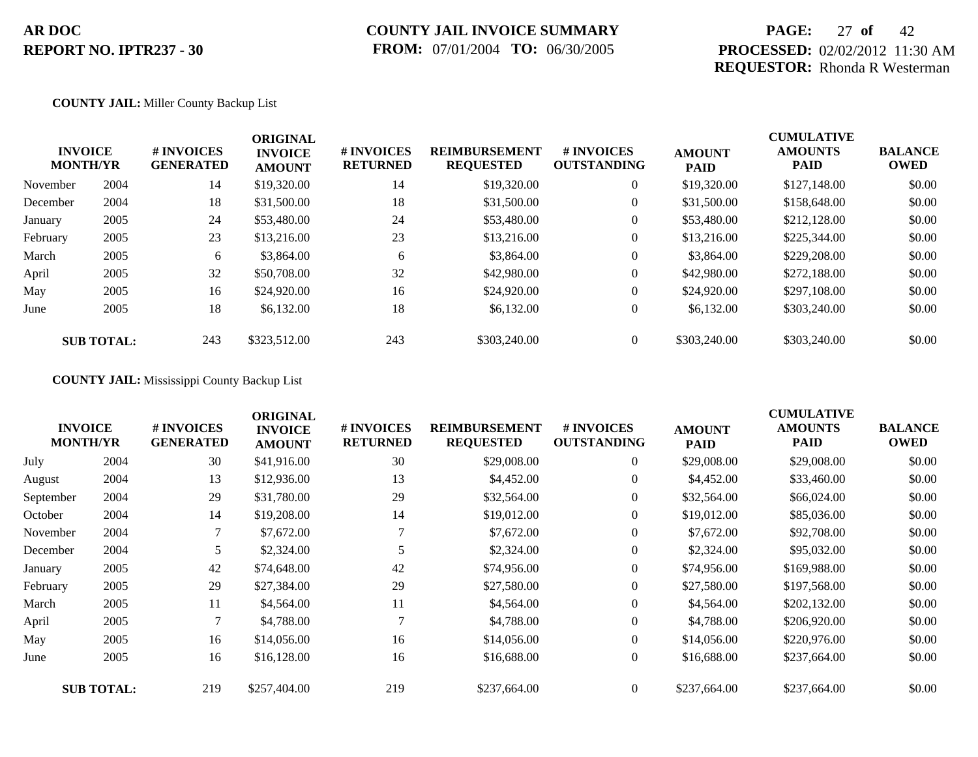## **COUNTY JAIL INVOICE SUMMARY FROM:** 07/01/2004 **TO:** 06/30/2005

## **PAGE:** 27 **of** 42 **PROCESSED:** 02/02/2012 11:30 AM **REQUESTOR:** Rhonda R Westerman

#### **COUNTY JAIL:** Miller County Backup List

|          | <b>INVOICE</b><br><b>MONTH/YR</b> | # INVOICES<br><b>GENERATED</b> | <b>ORIGINAL</b><br><b>INVOICE</b><br><b>AMOUNT</b> | # INVOICES<br><b>RETURNED</b> | <b>REIMBURSEMENT</b><br><b>REQUESTED</b> | <b>#INVOICES</b><br><b>OUTSTANDING</b> | <b>AMOUNT</b><br><b>PAID</b> | <b>CUMULATIVE</b><br><b>AMOUNTS</b><br><b>PAID</b> | <b>BALANCE</b><br><b>OWED</b> |
|----------|-----------------------------------|--------------------------------|----------------------------------------------------|-------------------------------|------------------------------------------|----------------------------------------|------------------------------|----------------------------------------------------|-------------------------------|
| November | 2004                              | 14                             | \$19,320.00                                        | 14                            | \$19,320.00                              | $\overline{0}$                         | \$19,320.00                  | \$127,148.00                                       | \$0.00                        |
| December | 2004                              | 18                             | \$31,500.00                                        | 18                            | \$31,500.00                              | $\overline{0}$                         | \$31,500.00                  | \$158,648.00                                       | \$0.00                        |
| January  | 2005                              | 24                             | \$53,480.00                                        | 24                            | \$53,480.00                              | $\overline{0}$                         | \$53,480.00                  | \$212,128.00                                       | \$0.00                        |
| February | 2005                              | 23                             | \$13,216.00                                        | 23                            | \$13,216.00                              | $\overline{0}$                         | \$13,216.00                  | \$225,344,00                                       | \$0.00                        |
| March    | 2005                              | 6                              | \$3,864.00                                         | 6                             | \$3,864.00                               | $\overline{0}$                         | \$3,864.00                   | \$229,208.00                                       | \$0.00                        |
| April    | 2005                              | 32                             | \$50,708.00                                        | 32                            | \$42,980.00                              | $\overline{0}$                         | \$42,980.00                  | \$272,188.00                                       | \$0.00                        |
| May      | 2005                              | 16                             | \$24,920.00                                        | 16                            | \$24,920.00                              | $\overline{0}$                         | \$24,920.00                  | \$297,108.00                                       | \$0.00                        |
| June     | 2005                              | 18                             | \$6,132.00                                         | 18                            | \$6,132.00                               | $\overline{0}$                         | \$6,132.00                   | \$303,240.00                                       | \$0.00                        |
|          | <b>SUB TOTAL:</b>                 | 243                            | \$323,512.00                                       | 243                           | \$303,240.00                             | $\theta$                               | \$303,240.00                 | \$303,240.00                                       | \$0.00                        |

### **COUNTY JAIL:** Mississippi County Backup List

|           | <b>INVOICE</b><br><b>MONTH/YR</b> | # INVOICES<br><b>GENERATED</b> | <b>ORIGINAL</b><br><b>INVOICE</b><br><b>AMOUNT</b> | # INVOICES<br><b>RETURNED</b> | <b>REIMBURSEMENT</b><br><b>REQUESTED</b> | # INVOICES<br><b>OUTSTANDING</b> | <b>AMOUNT</b><br><b>PAID</b> | <b>CUMULATIVE</b><br><b>AMOUNTS</b><br>PAID | <b>BALANCE</b><br><b>OWED</b> |
|-----------|-----------------------------------|--------------------------------|----------------------------------------------------|-------------------------------|------------------------------------------|----------------------------------|------------------------------|---------------------------------------------|-------------------------------|
| July      | 2004                              | 30                             | \$41,916.00                                        | 30                            | \$29,008.00                              | $\overline{0}$                   | \$29,008.00                  | \$29,008.00                                 | \$0.00                        |
| August    | 2004                              | 13                             | \$12,936.00                                        | 13                            | \$4,452.00                               | $\overline{0}$                   | \$4,452.00                   | \$33,460.00                                 | \$0.00                        |
| September | 2004                              | 29                             | \$31,780.00                                        | 29                            | \$32,564.00                              | $\overline{0}$                   | \$32,564.00                  | \$66,024.00                                 | \$0.00                        |
| October   | 2004                              | 14                             | \$19,208.00                                        | 14                            | \$19,012.00                              | $\overline{0}$                   | \$19,012.00                  | \$85,036.00                                 | \$0.00                        |
| November  | 2004                              | $\tau$                         | \$7,672.00                                         |                               | \$7,672.00                               | $\overline{0}$                   | \$7,672.00                   | \$92,708.00                                 | \$0.00                        |
| December  | 2004                              | 5                              | \$2,324.00                                         |                               | \$2,324.00                               | $\overline{0}$                   | \$2,324.00                   | \$95,032.00                                 | \$0.00                        |
| January   | 2005                              | 42                             | \$74,648.00                                        | 42                            | \$74,956.00                              | $\overline{0}$                   | \$74,956.00                  | \$169,988.00                                | \$0.00                        |
| February  | 2005                              | 29                             | \$27,384.00                                        | 29                            | \$27,580.00                              | $\overline{0}$                   | \$27,580.00                  | \$197,568.00                                | \$0.00                        |
| March     | 2005                              | 11                             | \$4,564.00                                         | 11                            | \$4,564.00                               | $\overline{0}$                   | \$4,564.00                   | \$202,132.00                                | \$0.00                        |
| April     | 2005                              |                                | \$4,788.00                                         |                               | \$4,788.00                               | $\overline{0}$                   | \$4,788.00                   | \$206,920.00                                | \$0.00                        |
| May       | 2005                              | 16                             | \$14,056.00                                        | 16                            | \$14,056.00                              | $\overline{0}$                   | \$14,056.00                  | \$220,976.00                                | \$0.00                        |
| June      | 2005                              | 16                             | \$16,128.00                                        | 16                            | \$16,688.00                              | $\overline{0}$                   | \$16,688.00                  | \$237,664.00                                | \$0.00                        |
|           | <b>SUB TOTAL:</b>                 | 219                            | \$257,404.00                                       | 219                           | \$237,664.00                             | $\overline{0}$                   | \$237,664.00                 | \$237,664.00                                | \$0.00                        |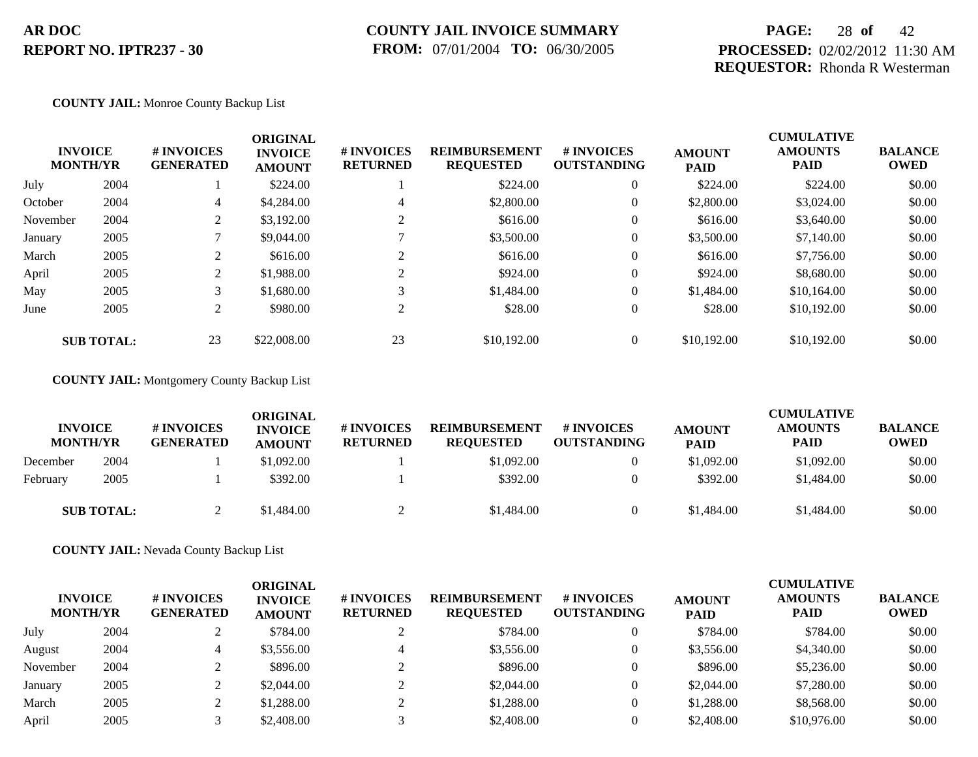## **COUNTY JAIL INVOICE SUMMARY FROM:** 07/01/2004 **TO:** 06/30/2005

## **PAGE:** 28 **of** 42 **PROCESSED:** 02/02/2012 11:30 AM **REQUESTOR:** Rhonda R Westerman

#### **COUNTY JAIL:** Monroe County Backup List

|          | <b>INVOICE</b><br><b>MONTH/YR</b> | # INVOICES<br><b>GENERATED</b> | <b>ORIGINAL</b><br><b>INVOICE</b><br><b>AMOUNT</b> | <b># INVOICES</b><br><b>RETURNED</b> | <b>REIMBURSEMENT</b><br><b>REQUESTED</b> | <b>#INVOICES</b><br><b>OUTSTANDING</b> | <b>AMOUNT</b><br><b>PAID</b> | <b>CUMULATIVE</b><br><b>AMOUNTS</b><br><b>PAID</b> | <b>BALANCE</b><br><b>OWED</b> |
|----------|-----------------------------------|--------------------------------|----------------------------------------------------|--------------------------------------|------------------------------------------|----------------------------------------|------------------------------|----------------------------------------------------|-------------------------------|
| July     | 2004                              |                                | \$224.00                                           |                                      | \$224.00                                 | $\overline{0}$                         | \$224.00                     | \$224.00                                           | \$0.00                        |
| October  | 2004                              | 4                              | \$4,284.00                                         | 4                                    | \$2,800.00                               | $\overline{0}$                         | \$2,800.00                   | \$3,024.00                                         | \$0.00                        |
| November | 2004                              | 2                              | \$3,192.00                                         |                                      | \$616.00                                 | $\overline{0}$                         | \$616.00                     | \$3,640.00                                         | \$0.00                        |
| January  | 2005                              |                                | \$9,044.00                                         |                                      | \$3,500.00                               | $\overline{0}$                         | \$3,500.00                   | \$7,140.00                                         | \$0.00                        |
| March    | 2005                              | $\gamma$                       | \$616.00                                           |                                      | \$616.00                                 | $\overline{0}$                         | \$616.00                     | \$7,756.00                                         | \$0.00                        |
| April    | 2005                              | $\gamma$                       | \$1,988.00                                         | $\sim$                               | \$924.00                                 | $\overline{0}$                         | \$924.00                     | \$8,680.00                                         | \$0.00                        |
| May      | 2005                              | 3                              | \$1,680.00                                         | $\sim$                               | \$1,484.00                               | $\overline{0}$                         | \$1,484.00                   | \$10,164.00                                        | \$0.00                        |
| June     | 2005                              | 2                              | \$980.00                                           | $\sim$                               | \$28.00                                  | $\overline{0}$                         | \$28.00                      | \$10,192.00                                        | \$0.00                        |
|          | <b>SUB TOTAL:</b>                 | 23                             | \$22,008.00                                        | 23                                   | \$10,192.00                              | $\Omega$                               | \$10,192.00                  | \$10,192.00                                        | \$0.00                        |

#### **COUNTY JAIL:** Montgomery County Backup List

| <b>INVOICE</b><br><b>MONTH/YR</b> |                   | # INVOICES<br><b>GENERATED</b> | ORIGINAL<br><b>INVOICE</b><br><b>AMOUNT</b> | <b># INVOICES</b><br><b>RETURNED</b> | <b>REIMBURSEMENT</b><br><b>REQUESTED</b> | # INVOICES<br><b>OUTSTANDING</b> | <b>AMOUNT</b><br><b>PAID</b> | <b>CUMULATIVE</b><br><b>AMOUNTS</b><br><b>PAID</b> | <b>BALANCE</b><br><b>OWED</b> |
|-----------------------------------|-------------------|--------------------------------|---------------------------------------------|--------------------------------------|------------------------------------------|----------------------------------|------------------------------|----------------------------------------------------|-------------------------------|
| December                          | 2004              |                                | \$1,092.00                                  |                                      | \$1,092.00                               |                                  | \$1,092.00                   | \$1,092.00                                         | \$0.00                        |
| February                          | 2005              |                                | \$392.00                                    |                                      | \$392.00                                 |                                  | \$392.00                     | \$1,484.00                                         | \$0.00                        |
|                                   | <b>SUB TOTAL:</b> |                                | \$1,484.00                                  |                                      | \$1,484.00                               |                                  | \$1,484.00                   | \$1,484.00                                         | \$0.00                        |

#### **COUNTY JAIL:** Nevada County Backup List

| <b>INVOICE</b> | <b>MONTH/YR</b> | # INVOICES<br><b>GENERATED</b> | ORIGINAL<br><b>INVOICE</b><br><b>AMOUNT</b> | # INVOICES<br><b>RETURNED</b> | <b>REIMBURSEMENT</b><br><b>REQUESTED</b> | # INVOICES<br><b>OUTSTANDING</b> | <b>AMOUNT</b><br><b>PAID</b> | <b>CUMULATIVE</b><br><b>AMOUNTS</b><br><b>PAID</b> | <b>BALANCE</b><br><b>OWED</b> |
|----------------|-----------------|--------------------------------|---------------------------------------------|-------------------------------|------------------------------------------|----------------------------------|------------------------------|----------------------------------------------------|-------------------------------|
| July           | 2004            |                                | \$784.00                                    |                               | \$784.00                                 | 0                                | \$784.00                     | \$784.00                                           | \$0.00                        |
| August         | 2004            |                                | \$3,556.00                                  |                               | \$3,556.00                               | $\theta$                         | \$3,556.00                   | \$4,340.00                                         | \$0.00                        |
| November       | 2004            |                                | \$896.00                                    |                               | \$896.00                                 | $\theta$                         | \$896.00                     | \$5,236.00                                         | \$0.00                        |
| January        | 2005            |                                | \$2,044.00                                  |                               | \$2,044.00                               | $\theta$                         | \$2,044.00                   | \$7,280.00                                         | \$0.00                        |
| March          | 2005            |                                | \$1,288.00                                  |                               | \$1,288.00                               | $\theta$                         | \$1,288.00                   | \$8,568.00                                         | \$0.00                        |
| April          | 2005            |                                | \$2,408.00                                  |                               | \$2,408.00                               | 0                                | \$2,408.00                   | \$10,976.00                                        | \$0.00                        |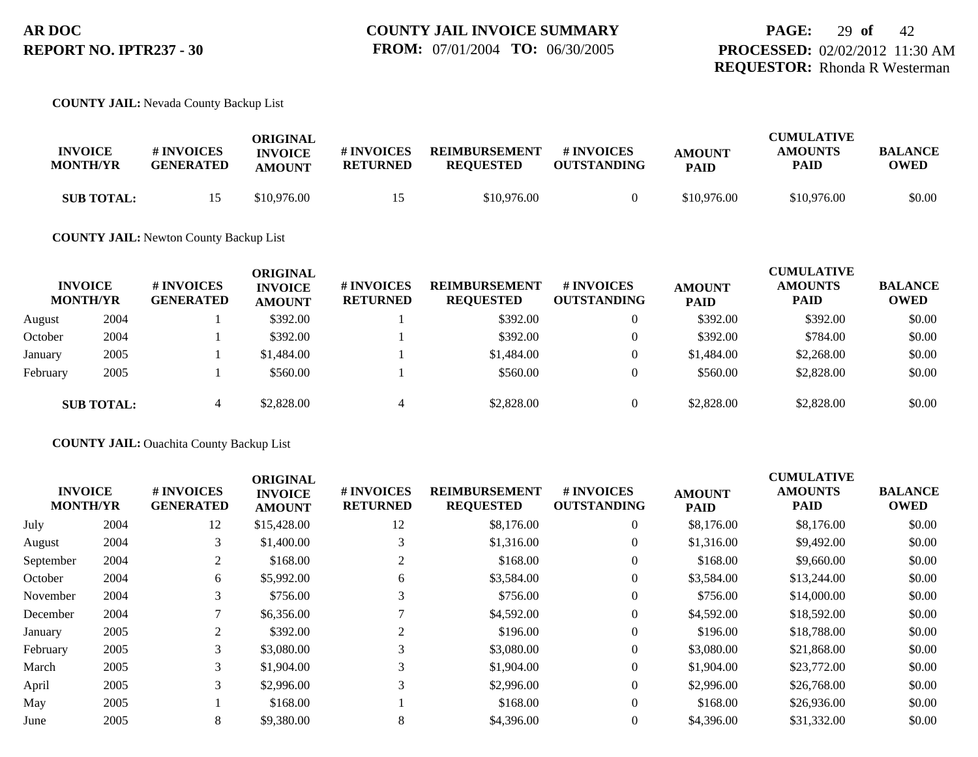#### **COUNTY JAIL:** Nevada County Backup List

| <b>INVOICE</b><br><b>MONTH/YR</b> | # INVOICES<br><b>GENERATED</b> | ORIGINAL<br><b>INVOICE</b><br><b>AMOUNT</b> | # INVOICES<br><b>RETURNED</b> | <b>REIMBURSEMENT</b><br><b>REOUESTED</b> | # INVOICES<br><b>OUTSTANDING</b> | <b>AMOUNT</b><br><b>PAID</b> | <b>CUMULATIVE</b><br><b>AMOUNTS</b><br>PAID | <b>BALANCE</b><br><b>OWED</b> |
|-----------------------------------|--------------------------------|---------------------------------------------|-------------------------------|------------------------------------------|----------------------------------|------------------------------|---------------------------------------------|-------------------------------|
| <b>SUB TOTAL:</b>                 |                                | \$10,976.00                                 |                               | \$10,976.00                              |                                  | \$10,976.00                  | \$10,976.00                                 | \$0.00                        |

### **COUNTY JAIL:** Newton County Backup List

|          | <b>INVOICE</b><br><b>MONTH/YR</b> | # INVOICES<br><b>GENERATED</b> | ORIGINAL<br><b>INVOICE</b><br><b>AMOUNT</b> | # INVOICES<br><b>RETURNED</b> | <b>REIMBURSEMENT</b><br><b>REQUESTED</b> | # INVOICES<br><b>OUTSTANDING</b> | <b>AMOUNT</b><br><b>PAID</b> | <b>CUMULATIVE</b><br><b>AMOUNTS</b><br><b>PAID</b> | <b>BALANCE</b><br><b>OWED</b> |
|----------|-----------------------------------|--------------------------------|---------------------------------------------|-------------------------------|------------------------------------------|----------------------------------|------------------------------|----------------------------------------------------|-------------------------------|
| August   | 2004                              |                                | \$392.00                                    |                               | \$392.00                                 | $\mathbf{0}$                     | \$392.00                     | \$392.00                                           | \$0.00                        |
| October  | 2004                              |                                | \$392.00                                    |                               | \$392.00                                 | $\overline{0}$                   | \$392.00                     | \$784.00                                           | \$0.00                        |
| January  | 2005                              |                                | \$1,484.00                                  |                               | \$1,484.00                               | $\theta$                         | \$1,484.00                   | \$2,268.00                                         | \$0.00                        |
| February | 2005                              |                                | \$560.00                                    |                               | \$560.00                                 | $\overline{0}$                   | \$560.00                     | \$2,828.00                                         | \$0.00                        |
|          | <b>SUB TOTAL:</b>                 |                                | \$2,828.00                                  | 4                             | \$2,828.00                               | $\overline{0}$                   | \$2,828.00                   | \$2,828.00                                         | \$0.00                        |

#### **COUNTY JAIL:** Ouachita County Backup List

| <b>INVOICE</b><br><b>MONTH/YR</b> |      | # INVOICES<br><b>GENERATED</b> | <b>ORIGINAL</b><br><b>INVOICE</b><br><b>AMOUNT</b> | # INVOICES<br><b>RETURNED</b> | <b>REIMBURSEMENT</b><br><b>REQUESTED</b> | <b># INVOICES</b><br><b>OUTSTANDING</b> | <b>AMOUNT</b><br><b>PAID</b> | <b>CUMULATIVE</b><br><b>AMOUNTS</b><br><b>PAID</b> | <b>BALANCE</b><br><b>OWED</b> |
|-----------------------------------|------|--------------------------------|----------------------------------------------------|-------------------------------|------------------------------------------|-----------------------------------------|------------------------------|----------------------------------------------------|-------------------------------|
| July                              | 2004 | 12                             | \$15,428.00                                        | 12                            | \$8,176.00                               | $\theta$                                | \$8,176.00                   | \$8,176.00                                         | \$0.00                        |
| August                            | 2004 | 3                              | \$1,400.00                                         |                               | \$1,316.00                               | $\theta$                                | \$1,316.00                   | \$9,492.00                                         | \$0.00                        |
| September                         | 2004 | 2                              | \$168.00                                           |                               | \$168.00                                 | $\theta$                                | \$168.00                     | \$9,660.00                                         | \$0.00                        |
| October                           | 2004 | 6                              | \$5,992.00                                         | 6                             | \$3,584.00                               | $\theta$                                | \$3,584.00                   | \$13,244.00                                        | \$0.00                        |
| November                          | 2004 | 3                              | \$756.00                                           |                               | \$756.00                                 | $\theta$                                | \$756.00                     | \$14,000.00                                        | \$0.00                        |
| December                          | 2004 |                                | \$6,356.00                                         |                               | \$4,592.00                               | 0                                       | \$4,592.00                   | \$18,592.00                                        | \$0.00                        |
| January                           | 2005 | $\overline{c}$                 | \$392.00                                           |                               | \$196.00                                 | $\theta$                                | \$196.00                     | \$18,788.00                                        | \$0.00                        |
| February                          | 2005 | 3                              | \$3,080.00                                         |                               | \$3,080.00                               | $\theta$                                | \$3,080.00                   | \$21,868.00                                        | \$0.00                        |
| March                             | 2005 | 3                              | \$1,904.00                                         | 3                             | \$1,904.00                               | $\theta$                                | \$1,904.00                   | \$23,772.00                                        | \$0.00                        |
| April                             | 2005 | 3                              | \$2,996.00                                         |                               | \$2,996.00                               | $\Omega$                                | \$2,996.00                   | \$26,768.00                                        | \$0.00                        |
| May                               | 2005 |                                | \$168.00                                           |                               | \$168.00                                 | $\theta$                                | \$168.00                     | \$26,936.00                                        | \$0.00                        |
| June                              | 2005 | 8                              | \$9,380.00                                         | 8                             | \$4,396.00                               | 0                                       | \$4,396.00                   | \$31,332.00                                        | \$0.00                        |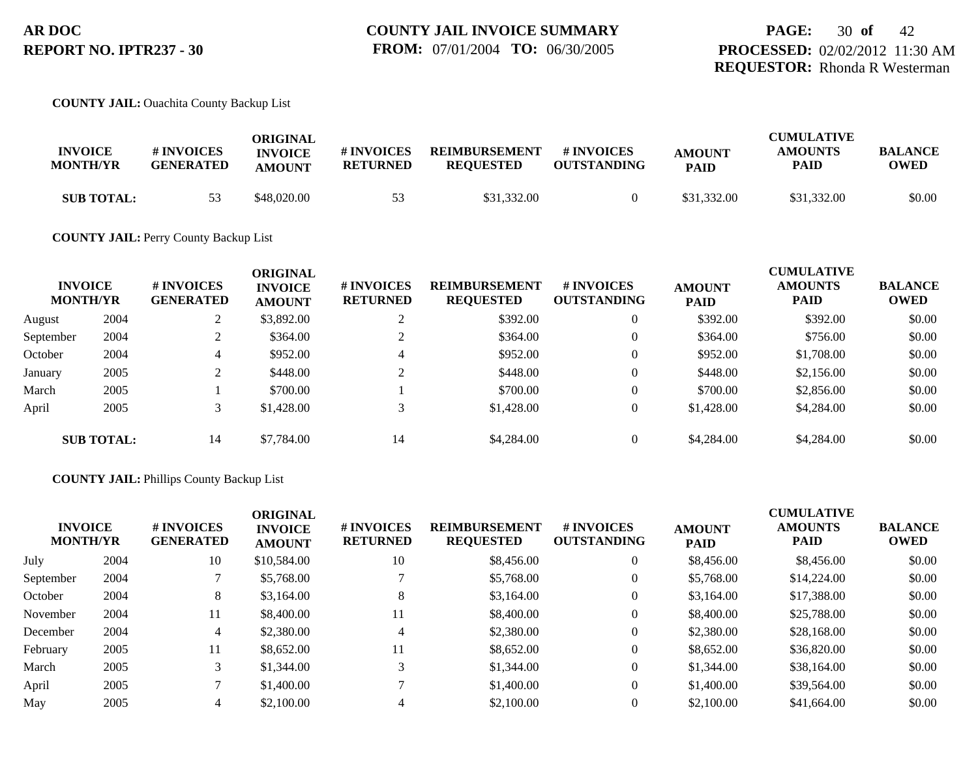#### **COUNTY JAIL:** Ouachita County Backup List

| <b>INVOICE</b><br><b>MONTH/YR</b> | # INVOICES<br><b>GENERATED</b> | ORIGINAL<br><b>INVOICE</b><br><b>AMOUNT</b> | # INVOICES<br><b>RETURNED</b> | <b>REIMBURSEMENT</b><br><b>REOUESTED</b> | # INVOICES<br><b>OUTSTANDING</b> | <b>AMOUNT</b><br><b>PAID</b> | <b>CUMULATIVE</b><br><b>AMOUNTS</b><br><b>PAID</b> | <b>BALANCE</b><br><b>OWED</b> |
|-----------------------------------|--------------------------------|---------------------------------------------|-------------------------------|------------------------------------------|----------------------------------|------------------------------|----------------------------------------------------|-------------------------------|
| <b>SUB TOTAL:</b>                 | 53                             | \$48,020.00                                 | 53                            | \$31,332.00                              |                                  | \$31,332.00                  | \$31,332.00                                        | \$0.00                        |

#### **COUNTY JAIL:** Perry County Backup List

|           | <b>INVOICE</b><br><b>MONTH/YR</b> | # INVOICES<br><b>GENERATED</b> | <b>ORIGINAL</b><br><b>INVOICE</b><br><b>AMOUNT</b> | # INVOICES<br><b>RETURNED</b> | <b>REIMBURSEMENT</b><br><b>REQUESTED</b> | # INVOICES<br><b>OUTSTANDING</b> | <b>AMOUNT</b><br><b>PAID</b> | <b>CUMULATIVE</b><br><b>AMOUNTS</b><br><b>PAID</b> | <b>BALANCE</b><br><b>OWED</b> |
|-----------|-----------------------------------|--------------------------------|----------------------------------------------------|-------------------------------|------------------------------------------|----------------------------------|------------------------------|----------------------------------------------------|-------------------------------|
| August    | 2004                              | ∠                              | \$3,892.00                                         | $\bigcap$                     | \$392.00                                 | $\overline{0}$                   | \$392.00                     | \$392.00                                           | \$0.00                        |
| September | 2004                              |                                | \$364.00                                           |                               | \$364.00                                 | $\theta$                         | \$364.00                     | \$756.00                                           | \$0.00                        |
| October   | 2004                              | 4                              | \$952.00                                           | $\overline{4}$                | \$952.00                                 | $\theta$                         | \$952.00                     | \$1,708.00                                         | \$0.00                        |
| January   | 2005                              |                                | \$448.00                                           | $\bigcap$                     | \$448.00                                 | $\theta$                         | \$448.00                     | \$2,156.00                                         | \$0.00                        |
| March     | 2005                              |                                | \$700.00                                           |                               | \$700.00                                 | $\theta$                         | \$700.00                     | \$2,856.00                                         | \$0.00                        |
| April     | 2005                              |                                | \$1,428.00                                         | 3                             | \$1,428.00                               | $\overline{0}$                   | \$1,428.00                   | \$4,284.00                                         | \$0.00                        |
|           | <b>SUB TOTAL:</b>                 | 14                             | \$7,784.00                                         | 14                            | \$4,284.00                               | $\overline{0}$                   | \$4,284.00                   | \$4,284.00                                         | \$0.00                        |

#### **COUNTY JAIL:** Phillips County Backup List

|           | <b>INVOICE</b><br><b>MONTH/YR</b> | # INVOICES<br><b>GENERATED</b> | <b>ORIGINAL</b><br><b>INVOICE</b><br><b>AMOUNT</b> | # INVOICES<br><b>RETURNED</b> | <b>REIMBURSEMENT</b><br><b>REQUESTED</b> | <b>#INVOICES</b><br><b>OUTSTANDING</b> | <b>AMOUNT</b><br><b>PAID</b> | <b>CUMULATIVE</b><br><b>AMOUNTS</b><br>PAID | <b>BALANCE</b><br><b>OWED</b> |
|-----------|-----------------------------------|--------------------------------|----------------------------------------------------|-------------------------------|------------------------------------------|----------------------------------------|------------------------------|---------------------------------------------|-------------------------------|
| July      | 2004                              | 10                             | \$10,584.00                                        | 10                            | \$8,456.00                               | $\overline{0}$                         | \$8,456.00                   | \$8,456.00                                  | \$0.00                        |
| September | 2004                              |                                | \$5,768.00                                         |                               | \$5,768.00                               | $\overline{0}$                         | \$5,768.00                   | \$14,224.00                                 | \$0.00                        |
| October   | 2004                              | 8                              | \$3,164.00                                         | 8                             | \$3,164.00                               | $\overline{0}$                         | \$3,164.00                   | \$17,388.00                                 | \$0.00                        |
| November  | 2004                              | 11                             | \$8,400.00                                         | 11                            | \$8,400.00                               | $\overline{0}$                         | \$8,400.00                   | \$25,788.00                                 | \$0.00                        |
| December  | 2004                              |                                | \$2,380.00                                         | $\overline{4}$                | \$2,380.00                               | $\overline{0}$                         | \$2,380.00                   | \$28,168.00                                 | \$0.00                        |
| February  | 2005                              | 11                             | \$8,652.00                                         | 11                            | \$8,652.00                               | $\overline{0}$                         | \$8,652.00                   | \$36,820.00                                 | \$0.00                        |
| March     | 2005                              |                                | \$1,344.00                                         | 3                             | \$1,344.00                               | $\overline{0}$                         | \$1,344.00                   | \$38,164.00                                 | \$0.00                        |
| April     | 2005                              |                                | \$1,400.00                                         |                               | \$1,400.00                               | $\overline{0}$                         | \$1,400.00                   | \$39,564.00                                 | \$0.00                        |
| May       | 2005                              |                                | \$2,100.00                                         | $\overline{4}$                | \$2,100.00                               | $\overline{0}$                         | \$2,100.00                   | \$41,664.00                                 | \$0.00                        |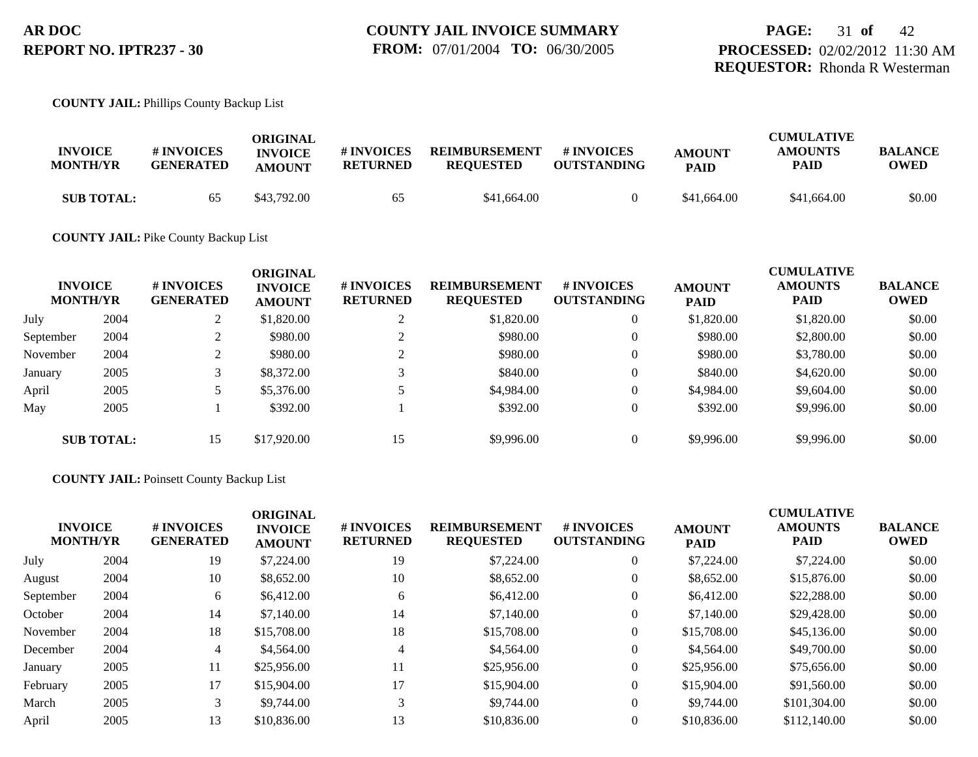#### **COUNTY JAIL:** Phillips County Backup List

| <b>INVOICE</b><br><b>MONTH/YR</b> | <b>#INVOICES</b><br><b>GENERATED</b> | ORIGINAL<br><b>INVOICE</b><br><b>AMOUNT</b> | # INVOICES<br><b>RETURNED</b> | <b>REIMBURSEMENT</b><br><b>REOUESTED</b> | # INVOICES<br><b>OUTSTANDING</b> | <b>AMOUNT</b><br><b>PAID</b> | <b>CUMULATIVE</b><br><b>AMOUNTS</b><br>PAID | <b>BALANCE</b><br>OWED |
|-----------------------------------|--------------------------------------|---------------------------------------------|-------------------------------|------------------------------------------|----------------------------------|------------------------------|---------------------------------------------|------------------------|
| <b>SUB TOTAL:</b>                 | 65                                   | \$43,792.00                                 | 65                            | \$41,664.00                              |                                  | \$41,664.00                  | \$41,664.00                                 | \$0.00                 |

#### **COUNTY JAIL:** Pike County Backup List

|           | <b>INVOICE</b><br><b>MONTH/YR</b> | # INVOICES<br><b>GENERATED</b> | <b>ORIGINAL</b><br><b>INVOICE</b><br><b>AMOUNT</b> | # INVOICES<br><b>RETURNED</b> | <b>REIMBURSEMENT</b><br><b>REQUESTED</b> | # INVOICES<br><b>OUTSTANDING</b> | <b>AMOUNT</b><br><b>PAID</b> | <b>CUMULATIVE</b><br><b>AMOUNTS</b><br><b>PAID</b> | <b>BALANCE</b><br><b>OWED</b> |
|-----------|-----------------------------------|--------------------------------|----------------------------------------------------|-------------------------------|------------------------------------------|----------------------------------|------------------------------|----------------------------------------------------|-------------------------------|
| July      | 2004                              |                                | \$1,820.00                                         | ◠                             | \$1,820.00                               | $\overline{0}$                   | \$1,820.00                   | \$1,820.00                                         | \$0.00                        |
| September | 2004                              |                                | \$980.00                                           |                               | \$980.00                                 | $\overline{0}$                   | \$980.00                     | \$2,800.00                                         | \$0.00                        |
| November  | 2004                              |                                | \$980.00                                           | ◠                             | \$980.00                                 | $\overline{0}$                   | \$980.00                     | \$3,780.00                                         | \$0.00                        |
| January   | 2005                              |                                | \$8,372.00                                         |                               | \$840.00                                 | $\theta$                         | \$840.00                     | \$4,620.00                                         | \$0.00                        |
| April     | 2005                              |                                | \$5,376.00                                         |                               | \$4,984.00                               | $\theta$                         | \$4,984.00                   | \$9,604.00                                         | \$0.00                        |
| May       | 2005                              |                                | \$392.00                                           |                               | \$392.00                                 | $\overline{0}$                   | \$392.00                     | \$9,996.00                                         | \$0.00                        |
|           | <b>SUB TOTAL:</b>                 | 15                             | \$17,920.00                                        | 15                            | \$9,996.00                               | $\overline{0}$                   | \$9,996.00                   | \$9,996.00                                         | \$0.00                        |

#### **COUNTY JAIL:** Poinsett County Backup List

|           | <b>INVOICE</b><br><b>MONTH/YR</b> | # INVOICES<br><b>GENERATED</b> | <b>ORIGINAL</b><br><b>INVOICE</b><br><b>AMOUNT</b> | # INVOICES<br><b>RETURNED</b> | <b>REIMBURSEMENT</b><br><b>REQUESTED</b> | # INVOICES<br><b>OUTSTANDING</b> | <b>AMOUNT</b><br><b>PAID</b> | <b>CUMULATIVE</b><br><b>AMOUNTS</b><br><b>PAID</b> | <b>BALANCE</b><br>OWED |
|-----------|-----------------------------------|--------------------------------|----------------------------------------------------|-------------------------------|------------------------------------------|----------------------------------|------------------------------|----------------------------------------------------|------------------------|
| July      | 2004                              | 19                             | \$7,224.00                                         | 19                            | \$7,224.00                               | $\overline{0}$                   | \$7,224.00                   | \$7,224.00                                         | \$0.00                 |
| August    | 2004                              | 10                             | \$8,652.00                                         | 10                            | \$8,652.00                               | $\overline{0}$                   | \$8,652.00                   | \$15,876.00                                        | \$0.00                 |
| September | 2004                              | 6                              | \$6,412.00                                         | 6                             | \$6,412.00                               | $\overline{0}$                   | \$6,412.00                   | \$22,288.00                                        | \$0.00                 |
| October   | 2004                              | 14                             | \$7,140.00                                         | 14                            | \$7,140.00                               | $\theta$                         | \$7,140.00                   | \$29,428.00                                        | \$0.00                 |
| November  | 2004                              | 18                             | \$15,708.00                                        | 18                            | \$15,708.00                              | $\theta$                         | \$15,708.00                  | \$45,136.00                                        | \$0.00                 |
| December  | 2004                              | 4                              | \$4,564.00                                         | $\overline{4}$                | \$4,564.00                               | $\overline{0}$                   | \$4,564.00                   | \$49,700.00                                        | \$0.00                 |
| January   | 2005                              | 11                             | \$25,956.00                                        | 11                            | \$25,956.00                              | $\theta$                         | \$25,956.00                  | \$75,656.00                                        | \$0.00                 |
| February  | 2005                              | 17                             | \$15,904.00                                        | 17                            | \$15,904.00                              | $\overline{0}$                   | \$15,904.00                  | \$91,560.00                                        | \$0.00                 |
| March     | 2005                              |                                | \$9,744.00                                         | 3                             | \$9,744.00                               | $\overline{0}$                   | \$9,744.00                   | \$101,304.00                                       | \$0.00                 |
| April     | 2005                              | 13                             | \$10,836.00                                        | 13                            | \$10,836.00                              | $\Omega$                         | \$10,836.00                  | \$112,140.00                                       | \$0.00                 |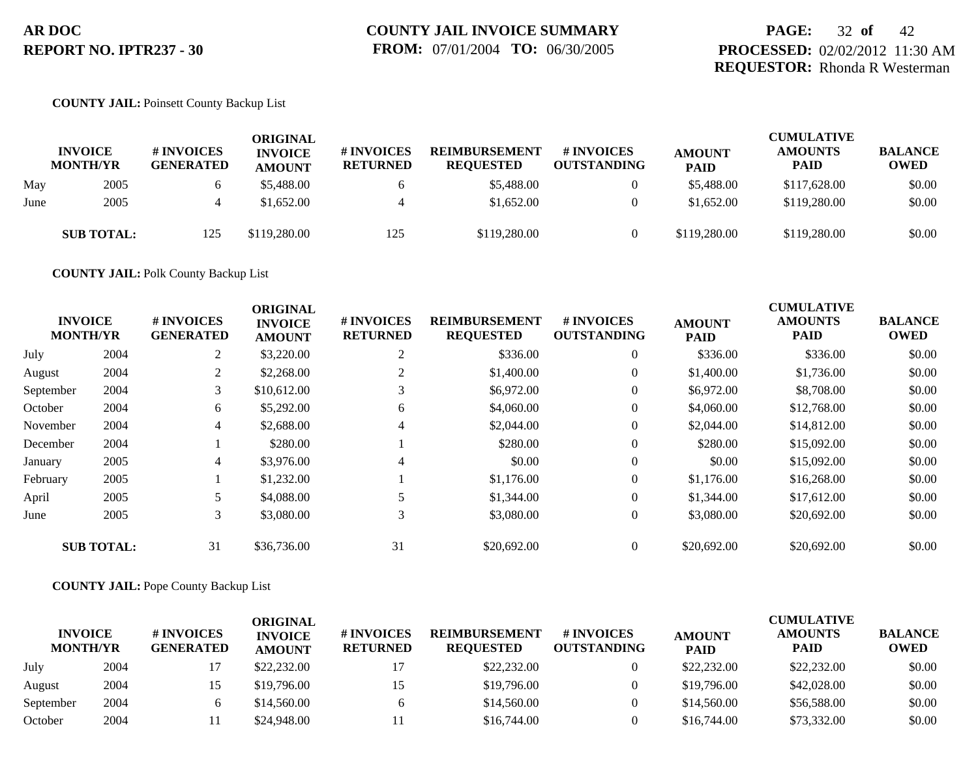## **PAGE:** 32 **of** 42 **PROCESSED:** 02/02/2012 11:30 AM **REQUESTOR:** Rhonda R Westerman

#### **COUNTY JAIL:** Poinsett County Backup List

|      | <b>INVOICE</b><br><b>MONTH/YR</b> | <b># INVOICES</b><br><b>GENERATED</b> | <b>ORIGINAL</b><br><b>INVOICE</b><br><b>AMOUNT</b> | <b>#INVOICES</b><br><b>RETURNED</b> | <b>REIMBURSEMENT</b><br><b>REQUESTED</b> | <b># INVOICES</b><br><b>OUTSTANDING</b> | <b>AMOUNT</b><br><b>PAID</b> | <b>CUMULATIVE</b><br><b>AMOUNTS</b><br>PAID | <b>BALANCE</b><br><b>OWED</b> |
|------|-----------------------------------|---------------------------------------|----------------------------------------------------|-------------------------------------|------------------------------------------|-----------------------------------------|------------------------------|---------------------------------------------|-------------------------------|
| May  | 2005                              |                                       | \$5,488.00                                         |                                     | \$5,488.00                               | 0                                       | \$5,488.00                   | \$117,628.00                                | \$0.00                        |
| June | 2005                              |                                       | \$1,652.00                                         |                                     | \$1,652.00                               | $\theta$                                | \$1,652.00                   | \$119,280.00                                | \$0.00                        |
|      | <b>SUB TOTAL:</b>                 | 125                                   | \$119,280.00                                       | 125                                 | \$119,280.00                             | 0                                       | \$119,280.00                 | \$119,280.00                                | \$0.00                        |

**COUNTY JAIL:** Polk County Backup List

| <b>INVOICE</b><br><b>MONTH/YR</b> |                   | # INVOICES<br><b>GENERATED</b> | <b>ORIGINAL</b><br><b>INVOICE</b><br><b>AMOUNT</b> | # INVOICES<br><b>RETURNED</b> | <b>REIMBURSEMENT</b><br><b>REQUESTED</b> | <b>#INVOICES</b><br><b>OUTSTANDING</b> | <b>AMOUNT</b><br><b>PAID</b> | <b>CUMULATIVE</b><br><b>AMOUNTS</b><br><b>PAID</b> | <b>BALANCE</b><br><b>OWED</b> |
|-----------------------------------|-------------------|--------------------------------|----------------------------------------------------|-------------------------------|------------------------------------------|----------------------------------------|------------------------------|----------------------------------------------------|-------------------------------|
| July                              | 2004              | 2                              | \$3,220.00                                         | 2                             | \$336.00                                 | $\overline{0}$                         | \$336.00                     | \$336.00                                           | \$0.00                        |
| August                            | 2004              | 2                              | \$2,268.00                                         | 2                             | \$1,400.00                               | $\overline{0}$                         | \$1,400.00                   | \$1,736.00                                         | \$0.00                        |
| September                         | 2004              | 3                              | \$10,612.00                                        |                               | \$6,972.00                               | $\overline{0}$                         | \$6,972.00                   | \$8,708.00                                         | \$0.00                        |
| October                           | 2004              | 6                              | \$5,292.00                                         | 6                             | \$4,060.00                               | $\overline{0}$                         | \$4,060.00                   | \$12,768.00                                        | \$0.00                        |
| November                          | 2004              | $\overline{4}$                 | \$2,688.00                                         | 4                             | \$2,044.00                               | $\overline{0}$                         | \$2,044.00                   | \$14,812.00                                        | \$0.00                        |
| December                          | 2004              |                                | \$280.00                                           |                               | \$280.00                                 | $\overline{0}$                         | \$280.00                     | \$15,092.00                                        | \$0.00                        |
| January                           | 2005              | $\overline{4}$                 | \$3,976.00                                         | 4                             | \$0.00                                   | $\overline{0}$                         | \$0.00                       | \$15,092.00                                        | \$0.00                        |
| February                          | 2005              |                                | \$1,232.00                                         |                               | \$1,176.00                               | $\overline{0}$                         | \$1,176.00                   | \$16,268.00                                        | \$0.00                        |
| April                             | 2005              |                                | \$4,088.00                                         |                               | \$1,344.00                               | $\overline{0}$                         | \$1,344.00                   | \$17,612.00                                        | \$0.00                        |
| June                              | 2005              | 3                              | \$3,080.00                                         | 3                             | \$3,080.00                               | $\overline{0}$                         | \$3,080.00                   | \$20,692.00                                        | \$0.00                        |
|                                   | <b>SUB TOTAL:</b> | 31                             | \$36,736.00                                        | 31                            | \$20,692.00                              | $\overline{0}$                         | \$20,692.00                  | \$20,692.00                                        | \$0.00                        |

### **COUNTY JAIL:** Pope County Backup List

| <b>INVOICE</b><br><b>MONTH/YR</b> |      | <b>#INVOICES</b><br><b>GENERATED</b> | ORIGINAL<br><b>INVOICE</b><br><b>AMOUNT</b> | # INVOICES<br><b>RETURNED</b> | <b>REIMBURSEMENT</b><br><b>REOUESTED</b> | <b>#INVOICES</b><br><b>OUTSTANDING</b> | <b>AMOUNT</b><br><b>PAID</b> | <b>CUMULATIVE</b><br><b>AMOUNTS</b><br><b>PAID</b> | <b>BALANCE</b><br><b>OWED</b> |
|-----------------------------------|------|--------------------------------------|---------------------------------------------|-------------------------------|------------------------------------------|----------------------------------------|------------------------------|----------------------------------------------------|-------------------------------|
| July                              | 2004 |                                      | \$22,232.00                                 | 17                            | \$22,232.00                              |                                        | \$22,232.00                  | \$22,232.00                                        | \$0.00                        |
| August                            | 2004 |                                      | \$19,796.00                                 | 15                            | \$19,796.00                              |                                        | \$19,796.00                  | \$42,028.00                                        | \$0.00                        |
| September                         | 2004 |                                      | \$14,560.00                                 |                               | \$14,560.00                              |                                        | \$14,560.00                  | \$56,588.00                                        | \$0.00                        |
| October                           | 2004 |                                      | \$24,948.00                                 |                               | \$16,744.00                              |                                        | \$16,744.00                  | \$73,332.00                                        | \$0.00                        |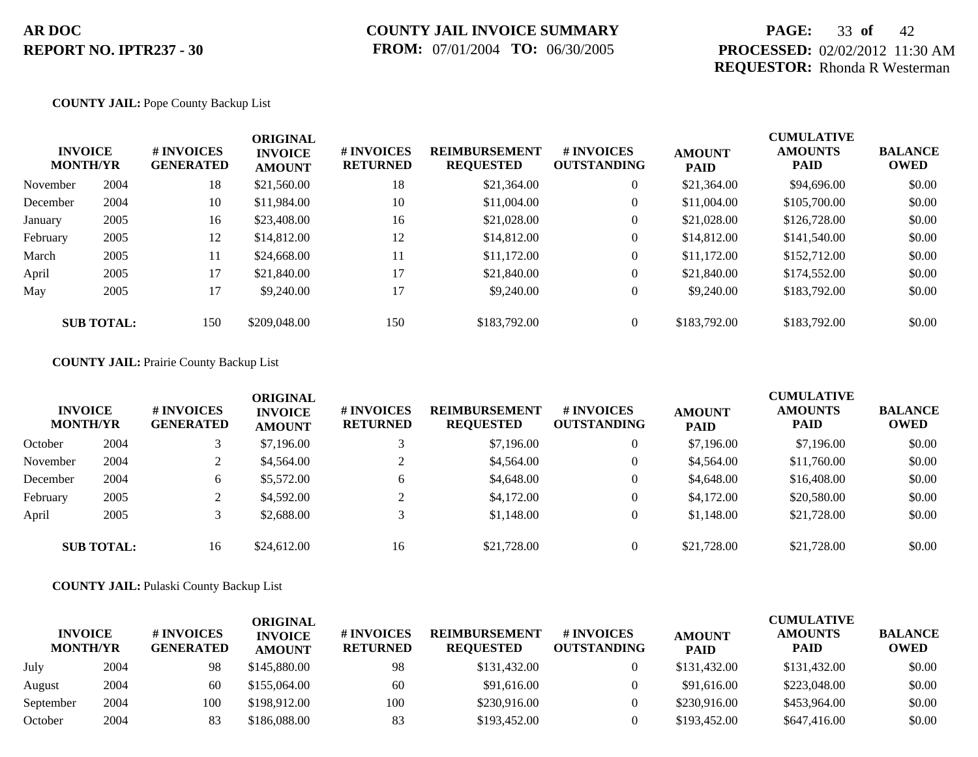## **PAGE:** 33 **of** 42 **PROCESSED:** 02/02/2012 11:30 AM **REQUESTOR:** Rhonda R Westerman

#### **COUNTY JAIL:** Pope County Backup List

| <b>INVOICE</b><br><b>MONTH/YR</b> |                   | # INVOICES<br><b>GENERATED</b> | <b>ORIGINAL</b><br><b>INVOICE</b><br><b>AMOUNT</b> | # INVOICES<br><b>RETURNED</b> | <b>REIMBURSEMENT</b><br><b>REQUESTED</b> | <b>#INVOICES</b><br><b>OUTSTANDING</b> | <b>AMOUNT</b><br><b>PAID</b> | <b>CUMULATIVE</b><br><b>AMOUNTS</b><br>PAID | <b>BALANCE</b><br>OWED |
|-----------------------------------|-------------------|--------------------------------|----------------------------------------------------|-------------------------------|------------------------------------------|----------------------------------------|------------------------------|---------------------------------------------|------------------------|
| November                          | 2004              | 18                             | \$21,560.00                                        | 18                            | \$21,364.00                              | $\overline{0}$                         | \$21,364.00                  | \$94,696.00                                 | \$0.00                 |
| December                          | 2004              | 10                             | \$11,984.00                                        | 10                            | \$11,004.00                              | $\theta$                               | \$11,004.00                  | \$105,700.00                                | \$0.00                 |
| January                           | 2005              | 16                             | \$23,408.00                                        | 16                            | \$21,028.00                              | $\overline{0}$                         | \$21,028.00                  | \$126,728.00                                | \$0.00                 |
| February                          | 2005              | 12                             | \$14,812.00                                        | 12                            | \$14,812.00                              | $\overline{0}$                         | \$14,812.00                  | \$141,540.00                                | \$0.00                 |
| March                             | 2005              | 11                             | \$24,668.00                                        | 11                            | \$11,172.00                              | $\overline{0}$                         | \$11,172.00                  | \$152,712.00                                | \$0.00                 |
| April                             | 2005              | 17                             | \$21,840.00                                        | 17                            | \$21,840.00                              | $\overline{0}$                         | \$21,840.00                  | \$174,552.00                                | \$0.00                 |
| May                               | 2005              | 17                             | \$9,240.00                                         | 17                            | \$9,240.00                               | $\overline{0}$                         | \$9,240.00                   | \$183,792.00                                | \$0.00                 |
|                                   | <b>SUB TOTAL:</b> | 150                            | \$209,048.00                                       | 150                           | \$183,792.00                             | $\overline{0}$                         | \$183,792.00                 | \$183,792.00                                | \$0.00                 |

**COUNTY JAIL:** Prairie County Backup List

| <b>INVOICE</b><br><b>MONTH/YR</b> |                   | <b># INVOICES</b><br><b>GENERATED</b> | <b>ORIGINAL</b><br><b>INVOICE</b><br><b>AMOUNT</b> | # INVOICES<br><b>RETURNED</b> | <b>REIMBURSEMENT</b><br><b>REQUESTED</b> | # INVOICES<br><b>OUTSTANDING</b> | <b>AMOUNT</b><br><b>PAID</b> | <b>CUMULATIVE</b><br><b>AMOUNTS</b><br><b>PAID</b> | <b>BALANCE</b><br><b>OWED</b> |
|-----------------------------------|-------------------|---------------------------------------|----------------------------------------------------|-------------------------------|------------------------------------------|----------------------------------|------------------------------|----------------------------------------------------|-------------------------------|
| October                           | 2004              |                                       | \$7,196.00                                         |                               | \$7,196.00                               | $\overline{0}$                   | \$7,196.00                   | \$7,196.00                                         | \$0.00                        |
| November                          | 2004              | ∠                                     | \$4,564.00                                         |                               | \$4,564.00                               | $\overline{0}$                   | \$4,564.00                   | \$11,760.00                                        | \$0.00                        |
| December                          | 2004              | 6                                     | \$5,572.00                                         | 6                             | \$4,648.00                               | $\overline{0}$                   | \$4,648.00                   | \$16,408.00                                        | \$0.00                        |
| February                          | 2005              |                                       | \$4,592.00                                         | $\bigcap$                     | \$4,172.00                               | $\overline{0}$                   | \$4,172.00                   | \$20,580.00                                        | \$0.00                        |
| April                             | 2005              |                                       | \$2,688.00                                         |                               | \$1,148.00                               | $\overline{0}$                   | \$1,148.00                   | \$21,728.00                                        | \$0.00                        |
|                                   | <b>SUB TOTAL:</b> | 16                                    | \$24,612.00                                        | 16                            | \$21,728.00                              | $\Omega$                         | \$21,728.00                  | \$21,728.00                                        | \$0.00                        |

**COUNTY JAIL:** Pulaski County Backup List

| <b>INVOICE</b><br><b>MONTH/YR</b> |      | # INVOICES<br><b>GENERATED</b> | ORIGINAL<br><b>INVOICE</b><br><b>AMOUNT</b> | # INVOICES<br><b>RETURNED</b> | <b>REIMBURSEMENT</b><br><b>REQUESTED</b> | # INVOICES<br><b>OUTSTANDING</b> | <b>AMOUNT</b><br><b>PAID</b> | <b>CUMULATIVE</b><br><b>AMOUNTS</b><br><b>PAID</b> | <b>BALANCE</b><br><b>OWED</b> |
|-----------------------------------|------|--------------------------------|---------------------------------------------|-------------------------------|------------------------------------------|----------------------------------|------------------------------|----------------------------------------------------|-------------------------------|
| July                              | 2004 | 98                             | \$145,880.00                                | 98                            | \$131,432.00                             |                                  | \$131,432.00                 | \$131,432.00                                       | \$0.00                        |
| August                            | 2004 | 60                             | \$155,064.00                                | 60                            | \$91,616.00                              |                                  | \$91,616.00                  | \$223,048.00                                       | \$0.00                        |
| September                         | 2004 | 100                            | \$198,912.00                                | 100                           | \$230,916.00                             |                                  | \$230,916.00                 | \$453,964.00                                       | \$0.00                        |
| October                           | 2004 | 83                             | \$186,088,00                                | 83                            | \$193,452.00                             |                                  | \$193,452.00                 | \$647,416.00                                       | \$0.00                        |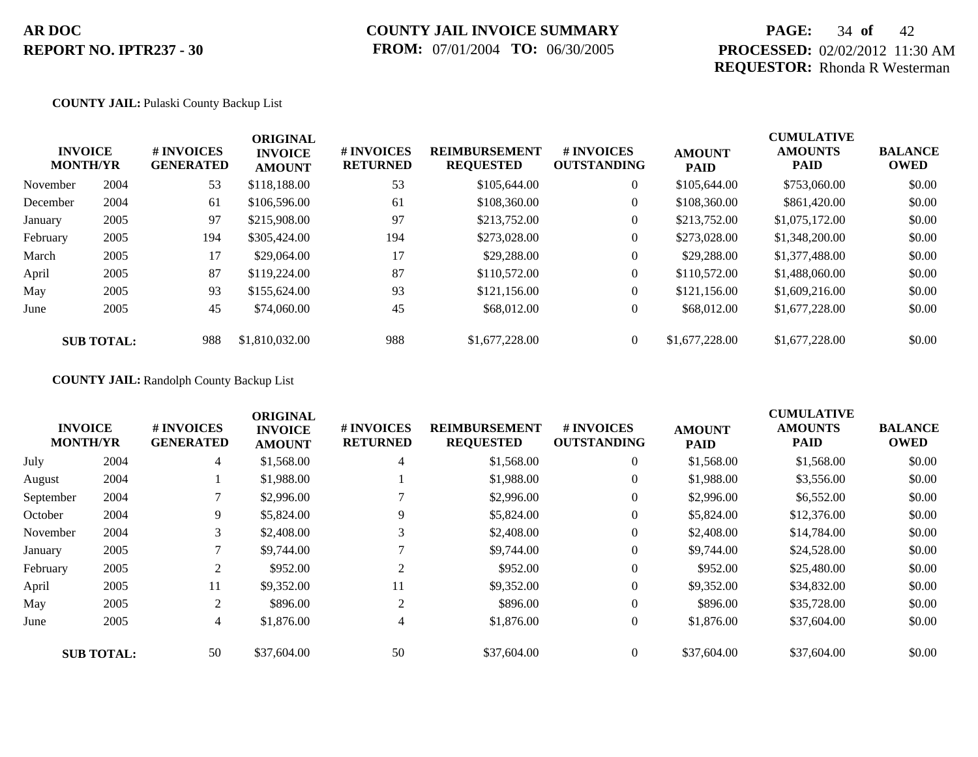## **COUNTY JAIL INVOICE SUMMARY FROM:** 07/01/2004 **TO:** 06/30/2005

## **PAGE:** 34 **of** 42 **PROCESSED:** 02/02/2012 11:30 AM **REQUESTOR:** Rhonda R Westerman

#### **COUNTY JAIL:** Pulaski County Backup List

|          | <b>INVOICE</b><br><b>MONTH/YR</b> | <b>#INVOICES</b><br><b>GENERATED</b> | <b>ORIGINAL</b><br><b>INVOICE</b><br><b>AMOUNT</b> | # INVOICES<br><b>RETURNED</b> | <b>REIMBURSEMENT</b><br><b>REQUESTED</b> | <b>#INVOICES</b><br><b>OUTSTANDING</b> | <b>AMOUNT</b><br><b>PAID</b> | <b>CUMULATIVE</b><br><b>AMOUNTS</b><br><b>PAID</b> | <b>BALANCE</b><br><b>OWED</b> |
|----------|-----------------------------------|--------------------------------------|----------------------------------------------------|-------------------------------|------------------------------------------|----------------------------------------|------------------------------|----------------------------------------------------|-------------------------------|
| November | 2004                              | 53                                   | \$118,188,00                                       | 53                            | \$105,644.00                             | $\overline{0}$                         | \$105,644.00                 | \$753,060.00                                       | \$0.00                        |
| December | 2004                              | 61                                   | \$106,596.00                                       | 61                            | \$108,360.00                             | $\overline{0}$                         | \$108,360.00                 | \$861,420.00                                       | \$0.00                        |
| January  | 2005                              | 97                                   | \$215,908.00                                       | 97                            | \$213,752.00                             | $\overline{0}$                         | \$213,752.00                 | \$1,075,172.00                                     | \$0.00                        |
| February | 2005                              | 194                                  | \$305,424.00                                       | 194                           | \$273,028.00                             | $\overline{0}$                         | \$273,028,00                 | \$1,348,200.00                                     | \$0.00                        |
| March    | 2005                              | 17                                   | \$29,064.00                                        | 17                            | \$29,288.00                              | $\overline{0}$                         | \$29,288.00                  | \$1,377,488.00                                     | \$0.00                        |
| April    | 2005                              | 87                                   | \$119,224.00                                       | 87                            | \$110,572.00                             | $\overline{0}$                         | \$110,572.00                 | \$1,488,060.00                                     | \$0.00                        |
| May      | 2005                              | 93                                   | \$155,624.00                                       | 93                            | \$121,156.00                             | $\overline{0}$                         | \$121,156.00                 | \$1,609,216.00                                     | \$0.00                        |
| June     | 2005                              | 45                                   | \$74,060.00                                        | 45                            | \$68,012.00                              | $\overline{0}$                         | \$68,012.00                  | \$1,677,228.00                                     | \$0.00                        |
|          | <b>SUB TOTAL:</b>                 | 988                                  | \$1,810,032,00                                     | 988                           | \$1,677,228,00                           | $\overline{0}$                         | \$1,677,228,00               | \$1,677,228.00                                     | \$0.00                        |

### **COUNTY JAIL:** Randolph County Backup List

|           |                                   | # INVOICES       | <b>ORIGINAL</b>                 |                               | <b>REIMBURSEMENT</b> | # INVOICES         |                              | <b>CUMULATIVE</b>             |                               |
|-----------|-----------------------------------|------------------|---------------------------------|-------------------------------|----------------------|--------------------|------------------------------|-------------------------------|-------------------------------|
|           | <b>INVOICE</b><br><b>MONTH/YR</b> | <b>GENERATED</b> | <b>INVOICE</b><br><b>AMOUNT</b> | # INVOICES<br><b>RETURNED</b> | <b>REQUESTED</b>     | <b>OUTSTANDING</b> | <b>AMOUNT</b><br><b>PAID</b> | <b>AMOUNTS</b><br><b>PAID</b> | <b>BALANCE</b><br><b>OWED</b> |
| July      | 2004                              | $\overline{4}$   | \$1,568.00                      | 4                             | \$1,568.00           | $\theta$           | \$1,568.00                   | \$1,568.00                    | \$0.00                        |
| August    | 2004                              |                  | \$1,988.00                      |                               | \$1,988.00           | $\overline{0}$     | \$1,988.00                   | \$3,556.00                    | \$0.00                        |
| September | 2004                              |                  | \$2,996.00                      |                               | \$2,996.00           | $\theta$           | \$2,996.00                   | \$6,552.00                    | \$0.00                        |
| October   | 2004                              | 9                | \$5,824.00                      | 9                             | \$5,824.00           | $\overline{0}$     | \$5,824.00                   | \$12,376.00                   | \$0.00                        |
| November  | 2004                              | 3                | \$2,408.00                      | 3                             | \$2,408.00           | $\overline{0}$     | \$2,408.00                   | \$14,784.00                   | \$0.00                        |
| January   | 2005                              |                  | \$9,744.00                      |                               | \$9,744.00           | $\overline{0}$     | \$9,744.00                   | \$24,528.00                   | \$0.00                        |
| February  | 2005                              | 2                | \$952.00                        | 2                             | \$952.00             | $\overline{0}$     | \$952.00                     | \$25,480.00                   | \$0.00                        |
| April     | 2005                              | 11               | \$9,352.00                      | 11                            | \$9,352.00           | $\overline{0}$     | \$9,352.00                   | \$34,832.00                   | \$0.00                        |
| May       | 2005                              | 2                | \$896.00                        | 2                             | \$896.00             | $\overline{0}$     | \$896.00                     | \$35,728.00                   | \$0.00                        |
| June      | 2005                              | $\overline{4}$   | \$1,876.00                      | $\overline{4}$                | \$1,876.00           | $\overline{0}$     | \$1,876.00                   | \$37,604.00                   | \$0.00                        |
|           | <b>SUB TOTAL:</b>                 | 50               | \$37,604.00                     | 50                            | \$37,604.00          | $\overline{0}$     | \$37,604.00                  | \$37,604.00                   | \$0.00                        |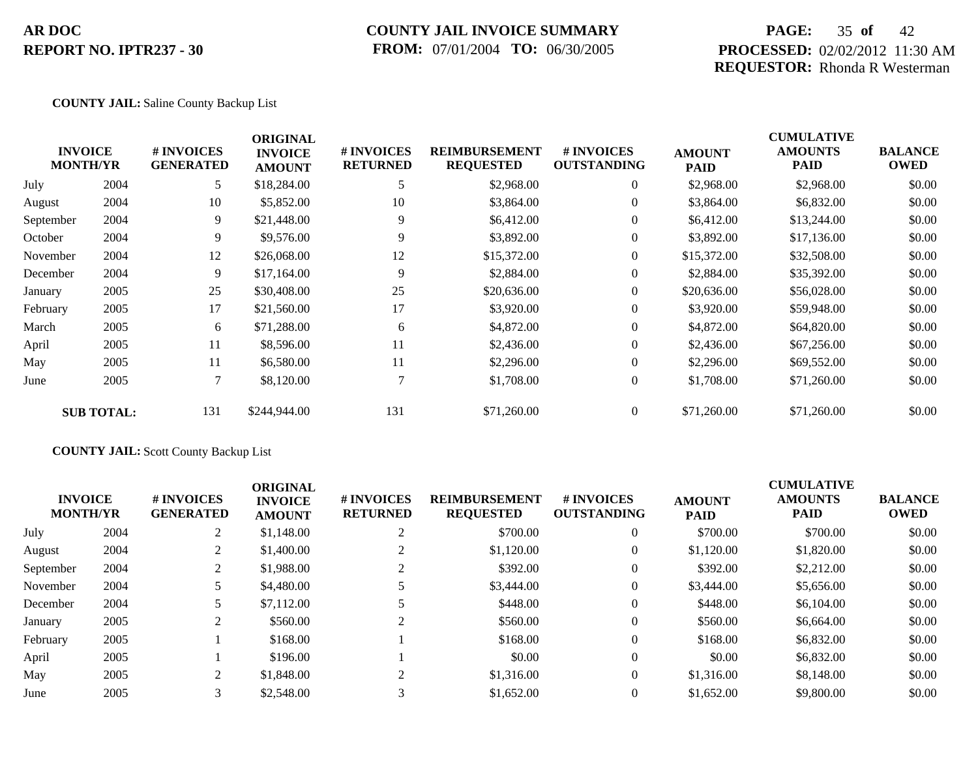### **COUNTY JAIL INVOICE SUMMARY FROM:** 07/01/2004 **TO:** 06/30/2005

## **PAGE:** 35 **of** 42 **PROCESSED:** 02/02/2012 11:30 AM **REQUESTOR:** Rhonda R Westerman

#### **COUNTY JAIL:** Saline County Backup List

|           | <b>INVOICE</b><br><b>MONTH/YR</b> | # INVOICES<br><b>GENERATED</b> | <b>ORIGINAL</b><br><b>INVOICE</b><br><b>AMOUNT</b> | # INVOICES<br><b>RETURNED</b> | <b>REIMBURSEMENT</b><br><b>REQUESTED</b> | <b># INVOICES</b><br><b>OUTSTANDING</b> | <b>AMOUNT</b><br><b>PAID</b> | <b>CUMULATIVE</b><br><b>AMOUNTS</b><br><b>PAID</b> | <b>BALANCE</b><br><b>OWED</b> |
|-----------|-----------------------------------|--------------------------------|----------------------------------------------------|-------------------------------|------------------------------------------|-----------------------------------------|------------------------------|----------------------------------------------------|-------------------------------|
| July      | 2004                              | 5                              | \$18,284.00                                        | 5                             | \$2,968.00                               | $\overline{0}$                          | \$2,968.00                   | \$2,968.00                                         | \$0.00                        |
| August    | 2004                              | 10                             | \$5,852.00                                         | 10                            | \$3,864.00                               | $\Omega$                                | \$3,864.00                   | \$6,832.00                                         | \$0.00                        |
| September | 2004                              | 9                              | \$21,448.00                                        | 9                             | \$6,412.00                               | $\overline{0}$                          | \$6,412.00                   | \$13,244.00                                        | \$0.00                        |
| October   | 2004                              | 9                              | \$9,576.00                                         | 9                             | \$3,892.00                               | $\overline{0}$                          | \$3,892.00                   | \$17,136.00                                        | \$0.00                        |
| November  | 2004                              | 12                             | \$26,068.00                                        | 12                            | \$15,372.00                              | $\overline{0}$                          | \$15,372.00                  | \$32,508.00                                        | \$0.00                        |
| December  | 2004                              | 9                              | \$17,164.00                                        | 9                             | \$2,884.00                               | $\overline{0}$                          | \$2,884.00                   | \$35,392.00                                        | \$0.00                        |
| January   | 2005                              | 25                             | \$30,408.00                                        | 25                            | \$20,636.00                              | $\overline{0}$                          | \$20,636.00                  | \$56,028.00                                        | \$0.00                        |
| February  | 2005                              | 17                             | \$21,560.00                                        | 17                            | \$3,920.00                               | $\overline{0}$                          | \$3,920.00                   | \$59,948.00                                        | \$0.00                        |
| March     | 2005                              | 6                              | \$71,288.00                                        | 6                             | \$4,872.00                               | $\overline{0}$                          | \$4,872.00                   | \$64,820.00                                        | \$0.00                        |
| April     | 2005                              | 11                             | \$8,596.00                                         | 11                            | \$2,436.00                               | $\overline{0}$                          | \$2,436.00                   | \$67,256.00                                        | \$0.00                        |
| May       | 2005                              | 11                             | \$6,580.00                                         | 11                            | \$2,296.00                               | $\overline{0}$                          | \$2,296.00                   | \$69,552.00                                        | \$0.00                        |
| June      | 2005                              | 7                              | \$8,120.00                                         |                               | \$1,708.00                               | $\overline{0}$                          | \$1,708.00                   | \$71,260.00                                        | \$0.00                        |
|           | <b>SUB TOTAL:</b>                 | 131                            | \$244,944.00                                       | 131                           | \$71,260.00                              | $\overline{0}$                          | \$71,260.00                  | \$71,260.00                                        | \$0.00                        |

### **COUNTY JAIL:** Scott County Backup List

| <b>INVOICE</b><br><b>MONTH/YR</b> |      | # INVOICES<br><b>GENERATED</b> | <b>ORIGINAL</b><br><b>INVOICE</b><br><b>AMOUNT</b> | # INVOICES<br><b>RETURNED</b> | <b>REIMBURSEMENT</b><br><b>REQUESTED</b> | # INVOICES<br><b>OUTSTANDING</b> | <b>AMOUNT</b><br><b>PAID</b> | <b>CUMULATIVE</b><br><b>AMOUNTS</b><br><b>PAID</b> | <b>BALANCE</b><br><b>OWED</b> |
|-----------------------------------|------|--------------------------------|----------------------------------------------------|-------------------------------|------------------------------------------|----------------------------------|------------------------------|----------------------------------------------------|-------------------------------|
| July                              | 2004 |                                | \$1,148.00                                         | 2                             | \$700.00                                 | $\overline{0}$                   | \$700.00                     | \$700.00                                           | \$0.00                        |
| August                            | 2004 |                                | \$1,400.00                                         |                               | \$1,120.00                               | $\overline{0}$                   | \$1,120.00                   | \$1,820.00                                         | \$0.00                        |
| September                         | 2004 |                                | \$1,988.00                                         |                               | \$392.00                                 | $\overline{0}$                   | \$392.00                     | \$2,212.00                                         | \$0.00                        |
| November                          | 2004 |                                | \$4,480.00                                         |                               | \$3,444.00                               | $\overline{0}$                   | \$3,444.00                   | \$5,656.00                                         | \$0.00                        |
| December                          | 2004 |                                | \$7,112.00                                         |                               | \$448.00                                 | $\overline{0}$                   | \$448.00                     | \$6,104.00                                         | \$0.00                        |
| January                           | 2005 |                                | \$560.00                                           |                               | \$560.00                                 | $\overline{0}$                   | \$560.00                     | \$6,664.00                                         | \$0.00                        |
| February                          | 2005 |                                | \$168.00                                           |                               | \$168.00                                 | $\overline{0}$                   | \$168.00                     | \$6,832.00                                         | \$0.00                        |
| April                             | 2005 |                                | \$196.00                                           |                               | \$0.00                                   | $\overline{0}$                   | \$0.00                       | \$6,832.00                                         | \$0.00                        |
| May                               | 2005 |                                | \$1,848.00                                         | $\gamma$                      | \$1,316.00                               | $\overline{0}$                   | \$1,316.00                   | \$8,148,00                                         | \$0.00                        |
| June                              | 2005 |                                | \$2,548.00                                         | $\sim$                        | \$1,652.00                               | $\overline{0}$                   | \$1,652.00                   | \$9,800.00                                         | \$0.00                        |
|                                   |      |                                |                                                    |                               |                                          |                                  |                              |                                                    |                               |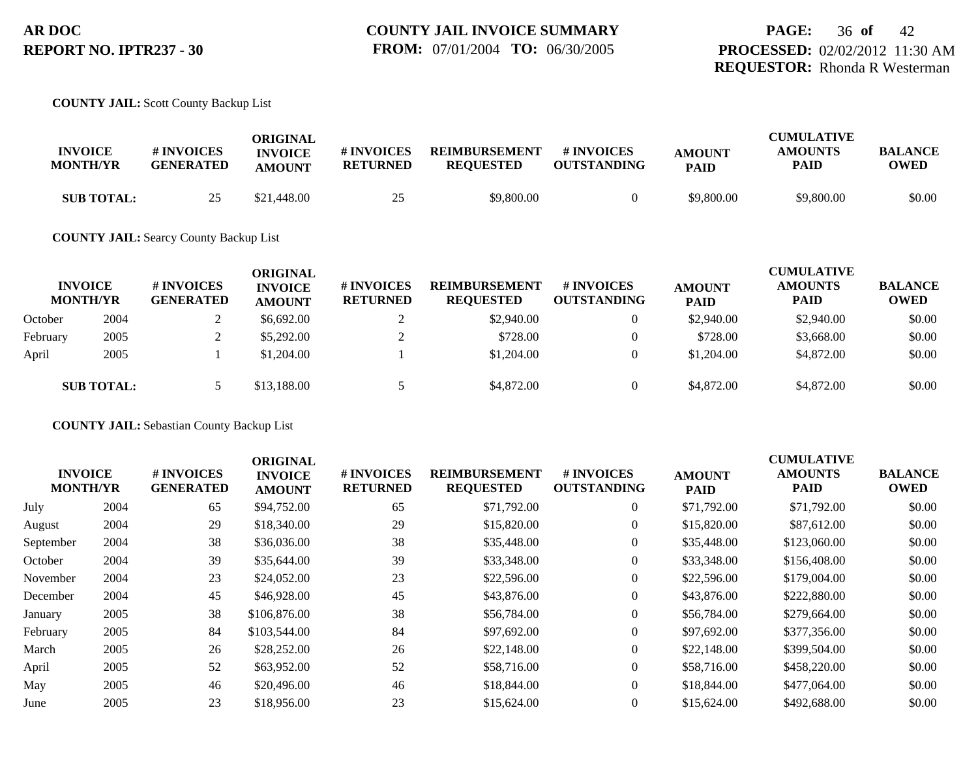#### **COUNTY JAIL:** Scott County Backup List

| <b>INVOICE</b><br><b>MONTH/YR</b> | # INVOICES<br><b>GENERATED</b> | ORIGINAL<br><b>INVOICE</b><br><b>AMOUNT</b> | # INVOICES<br><b>RETURNED</b> | <b>REIMBURSEMENT</b><br><b>REQUESTED</b> | # INVOICES<br><b>OUTSTANDING</b> | <b>AMOUNT</b><br><b>PAID</b> | <b>CUMULATIVE</b><br><b>AMOUNTS</b><br>PAID | <b>BALANCE</b><br>OWED |
|-----------------------------------|--------------------------------|---------------------------------------------|-------------------------------|------------------------------------------|----------------------------------|------------------------------|---------------------------------------------|------------------------|
| <b>SUB TOTAL:</b>                 |                                | \$21,448.00                                 | 25                            | \$9,800.00                               |                                  | \$9,800.00                   | \$9,800.00                                  | \$0.00                 |

#### **COUNTY JAIL:** Searcy County Backup List

|          | <b>INVOICE</b><br><b>MONTH/YR</b> | # INVOICES<br><b>GENERATED</b> | <b>ORIGINAL</b><br><b>INVOICE</b><br><b>AMOUNT</b> | <b>#INVOICES</b><br><b>RETURNED</b> | <b>REIMBURSEMENT</b><br><b>REQUESTED</b> | <b>#INVOICES</b><br><b>OUTSTANDING</b> | <b>AMOUNT</b><br><b>PAID</b> | <b>CUMULATIVE</b><br><b>AMOUNTS</b><br><b>PAID</b> | <b>BALANCE</b><br><b>OWED</b> |
|----------|-----------------------------------|--------------------------------|----------------------------------------------------|-------------------------------------|------------------------------------------|----------------------------------------|------------------------------|----------------------------------------------------|-------------------------------|
| October  | 2004                              |                                | \$6,692.00                                         |                                     | \$2,940.00                               | $\theta$                               | \$2,940.00                   | \$2,940.00                                         | \$0.00                        |
| February | 2005                              |                                | \$5,292.00                                         |                                     | \$728.00                                 | $\theta$                               | \$728.00                     | \$3,668.00                                         | \$0.00                        |
| April    | 2005                              |                                | \$1,204.00                                         |                                     | \$1,204.00                               | $\theta$                               | \$1,204.00                   | \$4,872.00                                         | \$0.00                        |
|          | <b>SUB TOTAL:</b>                 |                                | \$13,188,00                                        |                                     | \$4,872.00                               | $\overline{0}$                         | \$4,872.00                   | \$4,872.00                                         | \$0.00                        |

**COUNTY JAIL:** Sebastian County Backup List

| <b>INVOICE</b><br><b>MONTH/YR</b> |      | # INVOICES<br><b>GENERATED</b> | <b>ORIGINAL</b><br><b>INVOICE</b><br><b>AMOUNT</b> | # INVOICES<br><b>RETURNED</b> | <b>REIMBURSEMENT</b><br><b>REQUESTED</b> | # INVOICES<br><b>OUTSTANDING</b> | <b>AMOUNT</b><br><b>PAID</b> | <b>CUMULATIVE</b><br><b>AMOUNTS</b><br>PAID | <b>BALANCE</b><br><b>OWED</b> |
|-----------------------------------|------|--------------------------------|----------------------------------------------------|-------------------------------|------------------------------------------|----------------------------------|------------------------------|---------------------------------------------|-------------------------------|
| July                              | 2004 | 65                             | \$94,752.00                                        | 65                            | \$71,792.00                              | $\overline{0}$                   | \$71,792.00                  | \$71,792.00                                 | \$0.00                        |
| August                            | 2004 | 29                             | \$18,340.00                                        | 29                            | \$15,820.00                              | $\theta$                         | \$15,820.00                  | \$87,612.00                                 | \$0.00                        |
| September                         | 2004 | 38                             | \$36,036.00                                        | 38                            | \$35,448.00                              | $\overline{0}$                   | \$35,448.00                  | \$123,060.00                                | \$0.00                        |
| October                           | 2004 | 39                             | \$35,644.00                                        | 39                            | \$33,348.00                              | $\overline{0}$                   | \$33,348.00                  | \$156,408.00                                | \$0.00                        |
| November                          | 2004 | 23                             | \$24,052.00                                        | 23                            | \$22,596.00                              | $\overline{0}$                   | \$22,596.00                  | \$179,004.00                                | \$0.00                        |
| December                          | 2004 | 45                             | \$46,928.00                                        | 45                            | \$43,876.00                              | $\overline{0}$                   | \$43,876.00                  | \$222,880.00                                | \$0.00                        |
| January                           | 2005 | 38                             | \$106,876.00                                       | 38                            | \$56,784.00                              | $\overline{0}$                   | \$56,784.00                  | \$279,664.00                                | \$0.00                        |
| February                          | 2005 | 84                             | \$103,544.00                                       | 84                            | \$97,692.00                              | $\overline{0}$                   | \$97,692.00                  | \$377,356.00                                | \$0.00                        |
| March                             | 2005 | 26                             | \$28,252.00                                        | 26                            | \$22,148.00                              | $\overline{0}$                   | \$22,148.00                  | \$399,504.00                                | \$0.00                        |
| April                             | 2005 | 52                             | \$63,952.00                                        | 52                            | \$58,716.00                              | $\overline{0}$                   | \$58,716.00                  | \$458,220.00                                | \$0.00                        |
| May                               | 2005 | 46                             | \$20,496.00                                        | 46                            | \$18,844.00                              | $\overline{0}$                   | \$18,844.00                  | \$477,064.00                                | \$0.00                        |
| June                              | 2005 | 23                             | \$18,956.00                                        | 23                            | \$15,624.00                              | $\overline{0}$                   | \$15,624.00                  | \$492,688.00                                | \$0.00                        |
|                                   |      |                                |                                                    |                               |                                          |                                  |                              |                                             |                               |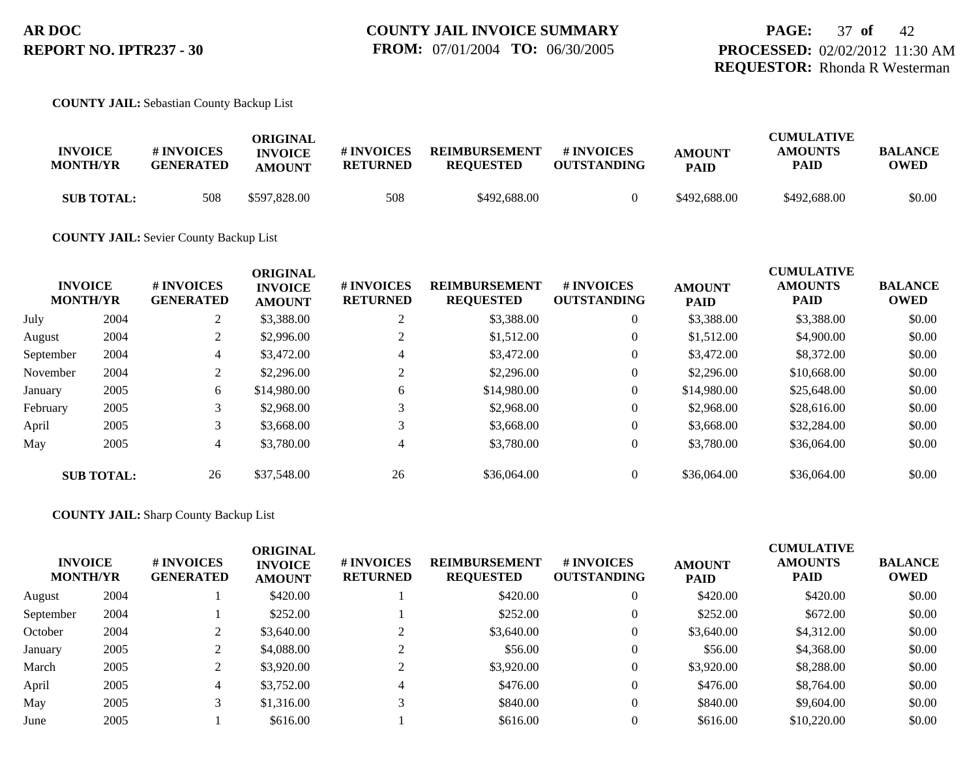**COUNTY JAIL:** Sebastian County Backup List

| <b>INVOICE</b><br><b>MONTH/YR</b> | <b>#INVOICES</b><br><b>GENERATED</b> | ORIGINAL<br><b>INVOICE</b><br><b>AMOUNT</b> | # INVOICES<br><b>RETURNED</b> | <b>REIMBURSEMENT</b><br><b>REQUESTED</b> | # INVOICES<br><b>OUTSTANDING</b> | <b>AMOUNT</b><br><b>PAID</b> | <b>CUMULATIVE</b><br><b>AMOUNTS</b><br>PAID | <b>BALANCE</b><br>OWED |
|-----------------------------------|--------------------------------------|---------------------------------------------|-------------------------------|------------------------------------------|----------------------------------|------------------------------|---------------------------------------------|------------------------|
| <b>SUB TOTAL:</b>                 | 508                                  | \$597,828.00                                | 508                           | \$492,688.00                             |                                  | \$492,688.00                 | \$492,688.00                                | \$0.00                 |

#### **COUNTY JAIL:** Sevier County Backup List

| <b>INVOICE</b><br><b>MONTH/YR</b> |                   | # INVOICES<br><b>GENERATED</b> | <b>ORIGINAL</b><br><b>INVOICE</b><br><b>AMOUNT</b> | # INVOICES<br><b>RETURNED</b> | <b>REIMBURSEMENT</b><br><b>REQUESTED</b> | # INVOICES<br><b>OUTSTANDING</b> | <b>AMOUNT</b><br><b>PAID</b> | <b>CUMULATIVE</b><br><b>AMOUNTS</b><br><b>PAID</b> | <b>BALANCE</b><br><b>OWED</b> |
|-----------------------------------|-------------------|--------------------------------|----------------------------------------------------|-------------------------------|------------------------------------------|----------------------------------|------------------------------|----------------------------------------------------|-------------------------------|
| July                              | 2004              | ◠<br>∠                         | \$3,388.00                                         | $\gamma$                      | \$3,388.00                               | $\overline{0}$                   | \$3,388.00                   | \$3,388.00                                         | \$0.00                        |
| August                            | 2004              | $\mathcal{L}$<br>∠             | \$2,996.00                                         |                               | \$1,512.00                               | $\overline{0}$                   | \$1,512.00                   | \$4,900.00                                         | \$0.00                        |
| September                         | 2004              | $\overline{4}$                 | \$3,472.00                                         | 4                             | \$3,472.00                               | $\overline{0}$                   | \$3,472.00                   | \$8,372.00                                         | \$0.00                        |
| November                          | 2004              | 2                              | \$2,296.00                                         |                               | \$2,296.00                               | $\overline{0}$                   | \$2,296.00                   | \$10,668.00                                        | \$0.00                        |
| January                           | 2005              | 6                              | \$14,980.00                                        | 6                             | \$14,980.00                              | $\overline{0}$                   | \$14,980.00                  | \$25,648.00                                        | \$0.00                        |
| February                          | 2005              | 3                              | \$2,968.00                                         |                               | \$2,968.00                               | $\overline{0}$                   | \$2,968.00                   | \$28,616.00                                        | \$0.00                        |
| April                             | 2005              | 3                              | \$3,668.00                                         | 3                             | \$3,668.00                               | $\overline{0}$                   | \$3,668.00                   | \$32,284.00                                        | \$0.00                        |
| May                               | 2005              | 4                              | \$3,780.00                                         | 4                             | \$3,780.00                               | $\overline{0}$                   | \$3,780.00                   | \$36,064.00                                        | \$0.00                        |
|                                   | <b>SUB TOTAL:</b> | 26                             | \$37,548.00                                        | 26                            | \$36,064.00                              | $\overline{0}$                   | \$36,064.00                  | \$36,064.00                                        | \$0.00                        |

#### **COUNTY JAIL:** Sharp County Backup List

|           | <b>INVOICE</b><br><b>MONTH/YR</b> | # INVOICES<br><b>GENERATED</b> | <b>ORIGINAL</b><br><b>INVOICE</b><br><b>AMOUNT</b> | # INVOICES<br><b>RETURNED</b> | <b>REIMBURSEMENT</b><br><b>REQUESTED</b> | <b># INVOICES</b><br><b>OUTSTANDING</b> | <b>AMOUNT</b><br><b>PAID</b> | <b>CUMULATIVE</b><br><b>AMOUNTS</b><br><b>PAID</b> | <b>BALANCE</b><br><b>OWED</b> |
|-----------|-----------------------------------|--------------------------------|----------------------------------------------------|-------------------------------|------------------------------------------|-----------------------------------------|------------------------------|----------------------------------------------------|-------------------------------|
| August    | 2004                              |                                | \$420.00                                           |                               | \$420.00                                 |                                         | \$420.00                     | \$420.00                                           | \$0.00                        |
| September | 2004                              |                                | \$252.00                                           |                               | \$252.00                                 |                                         | \$252.00                     | \$672.00                                           | \$0.00                        |
| October   | 2004                              |                                | \$3,640.00                                         |                               | \$3,640.00                               | 0                                       | \$3,640.00                   | \$4,312.00                                         | \$0.00                        |
| January   | 2005                              |                                | \$4,088.00                                         |                               | \$56.00                                  | $\overline{0}$                          | \$56.00                      | \$4,368.00                                         | \$0.00                        |
| March     | 2005                              |                                | \$3,920.00                                         |                               | \$3,920.00                               |                                         | \$3,920.00                   | \$8,288.00                                         | \$0.00                        |
| April     | 2005                              | 4                              | \$3,752.00                                         |                               | \$476.00                                 |                                         | \$476.00                     | \$8,764.00                                         | \$0.00                        |
| May       | 2005                              |                                | \$1,316.00                                         |                               | \$840.00                                 | $\theta$                                | \$840.00                     | \$9,604.00                                         | \$0.00                        |
| June      | 2005                              |                                | \$616.00                                           |                               | \$616.00                                 |                                         | \$616.00                     | \$10,220.00                                        | \$0.00                        |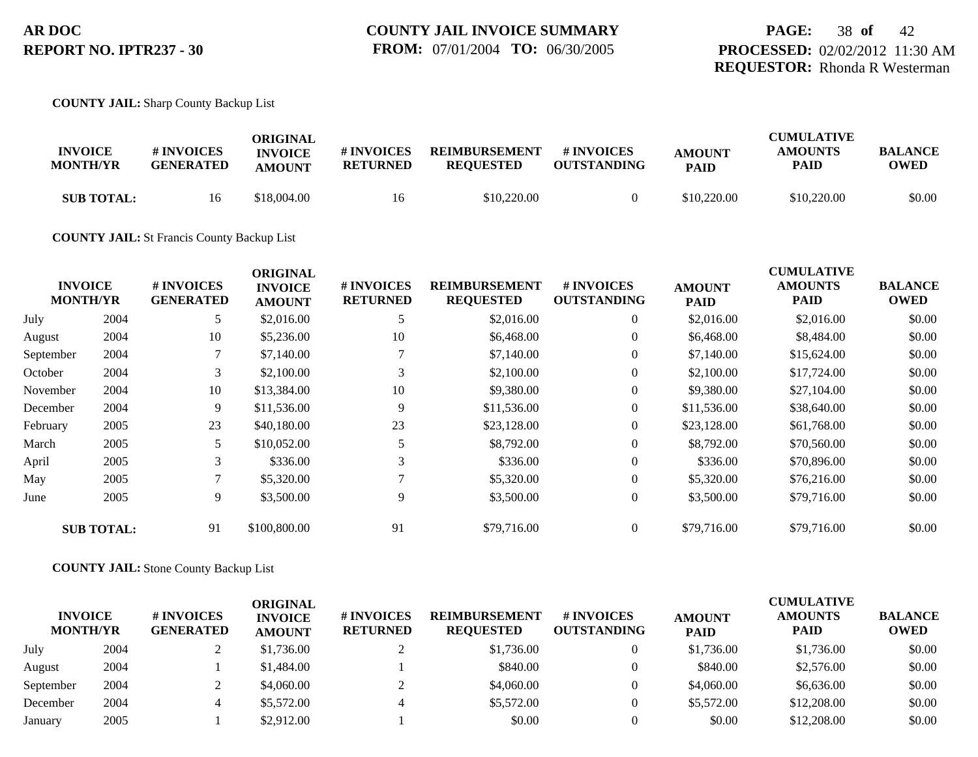#### **COUNTY JAIL:** Sharp County Backup List

| <b>INVOICE</b><br><b>MONTH/YR</b> | # INVOICES<br><b>GENERATED</b> | ORIGINAL<br><b>INVOICE</b><br><b>AMOUNT</b> | # INVOICES<br><b>RETURNED</b> | <b>REIMBURSEMENT</b><br><b>REOUESTED</b> | # INVOICES<br><b>OUTSTANDING</b> | <b>AMOUNT</b><br><b>PAID</b> | <b>CUMULATIVE</b><br><b>AMOUNTS</b><br>PAID | <b>BALANCE</b><br>OWED |
|-----------------------------------|--------------------------------|---------------------------------------------|-------------------------------|------------------------------------------|----------------------------------|------------------------------|---------------------------------------------|------------------------|
| <b>SUB TOTAL:</b>                 | 16                             | \$18.004.00                                 | 16                            | \$10,220.00                              |                                  | \$10,220.00                  | \$10,220.00                                 | \$0.00                 |

#### **COUNTY JAIL:** St Francis County Backup List

|           |                                   |                                | <b>ORIGINAL</b>                 |                               |                                          |                                  |                              | <b>CUMULATIVE</b>             |                               |
|-----------|-----------------------------------|--------------------------------|---------------------------------|-------------------------------|------------------------------------------|----------------------------------|------------------------------|-------------------------------|-------------------------------|
|           | <b>INVOICE</b><br><b>MONTH/YR</b> | # INVOICES<br><b>GENERATED</b> | <b>INVOICE</b><br><b>AMOUNT</b> | # INVOICES<br><b>RETURNED</b> | <b>REIMBURSEMENT</b><br><b>REQUESTED</b> | # INVOICES<br><b>OUTSTANDING</b> | <b>AMOUNT</b><br><b>PAID</b> | <b>AMOUNTS</b><br><b>PAID</b> | <b>BALANCE</b><br><b>OWED</b> |
| July      | 2004                              | 5                              | \$2,016.00                      |                               | \$2,016.00                               | $\overline{0}$                   | \$2,016.00                   | \$2,016.00                    | \$0.00                        |
| August    | 2004                              | 10                             | \$5,236.00                      | 10                            | \$6,468.00                               | $\overline{0}$                   | \$6,468.00                   | \$8,484.00                    | \$0.00                        |
| September | 2004                              |                                | \$7,140.00                      |                               | \$7,140.00                               | $\overline{0}$                   | \$7,140.00                   | \$15,624.00                   | \$0.00                        |
| October   | 2004                              | 3                              | \$2,100.00                      | 3                             | \$2,100.00                               | $\overline{0}$                   | \$2,100.00                   | \$17,724.00                   | \$0.00                        |
| November  | 2004                              | 10                             | \$13,384.00                     | 10                            | \$9,380.00                               | $\overline{0}$                   | \$9,380.00                   | \$27,104.00                   | \$0.00                        |
| December  | 2004                              | 9                              | \$11,536.00                     | 9                             | \$11,536.00                              | $\overline{0}$                   | \$11,536.00                  | \$38,640.00                   | \$0.00                        |
| February  | 2005                              | 23                             | \$40,180.00                     | 23                            | \$23,128.00                              | $\overline{0}$                   | \$23,128.00                  | \$61,768.00                   | \$0.00                        |
| March     | 2005                              | 5                              | \$10,052.00                     |                               | \$8,792.00                               | $\overline{0}$                   | \$8,792.00                   | \$70,560.00                   | \$0.00                        |
| April     | 2005                              | 3                              | \$336.00                        | 3                             | \$336.00                                 | $\overline{0}$                   | \$336.00                     | \$70,896.00                   | \$0.00                        |
| May       | 2005                              |                                | \$5,320.00                      |                               | \$5,320.00                               | $\overline{0}$                   | \$5,320.00                   | \$76,216.00                   | \$0.00                        |
| June      | 2005                              | 9                              | \$3,500.00                      | 9                             | \$3,500.00                               | $\overline{0}$                   | \$3,500.00                   | \$79,716.00                   | \$0.00                        |
|           | <b>SUB TOTAL:</b>                 | 91                             | \$100,800.00                    | 91                            | \$79,716.00                              | $\overline{0}$                   | \$79,716.00                  | \$79,716.00                   | \$0.00                        |

#### **COUNTY JAIL:** Stone County Backup List

| <b>INVOICE</b><br><b>MONTH/YR</b> |      | # INVOICES<br><b>GENERATED</b> | <b>ORIGINAL</b><br><b>INVOICE</b><br><b>AMOUNT</b> | # INVOICES<br><b>RETURNED</b> | <b>REIMBURSEMENT</b><br><b>REQUESTED</b> | <b>#INVOICES</b><br><b>OUTSTANDING</b> | <b>AMOUNT</b><br><b>PAID</b> | <b>CUMULATIVE</b><br><b>AMOUNTS</b><br><b>PAID</b> | <b>BALANCE</b><br><b>OWED</b> |
|-----------------------------------|------|--------------------------------|----------------------------------------------------|-------------------------------|------------------------------------------|----------------------------------------|------------------------------|----------------------------------------------------|-------------------------------|
| July                              | 2004 |                                | \$1,736.00                                         |                               | \$1,736.00                               |                                        | \$1,736.00                   | \$1,736.00                                         | \$0.00                        |
| August                            | 2004 |                                | \$1,484.00                                         |                               | \$840.00                                 |                                        | \$840.00                     | \$2,576.00                                         | \$0.00                        |
| September                         | 2004 |                                | \$4,060.00                                         |                               | \$4,060.00                               |                                        | \$4,060.00                   | \$6,636.00                                         | \$0.00                        |
| December                          | 2004 | 4                              | \$5,572.00                                         |                               | \$5,572.00                               |                                        | \$5,572.00                   | \$12,208.00                                        | \$0.00                        |
| January                           | 2005 |                                | \$2,912.00                                         |                               | \$0.00                                   |                                        | \$0.00                       | \$12,208.00                                        | \$0.00                        |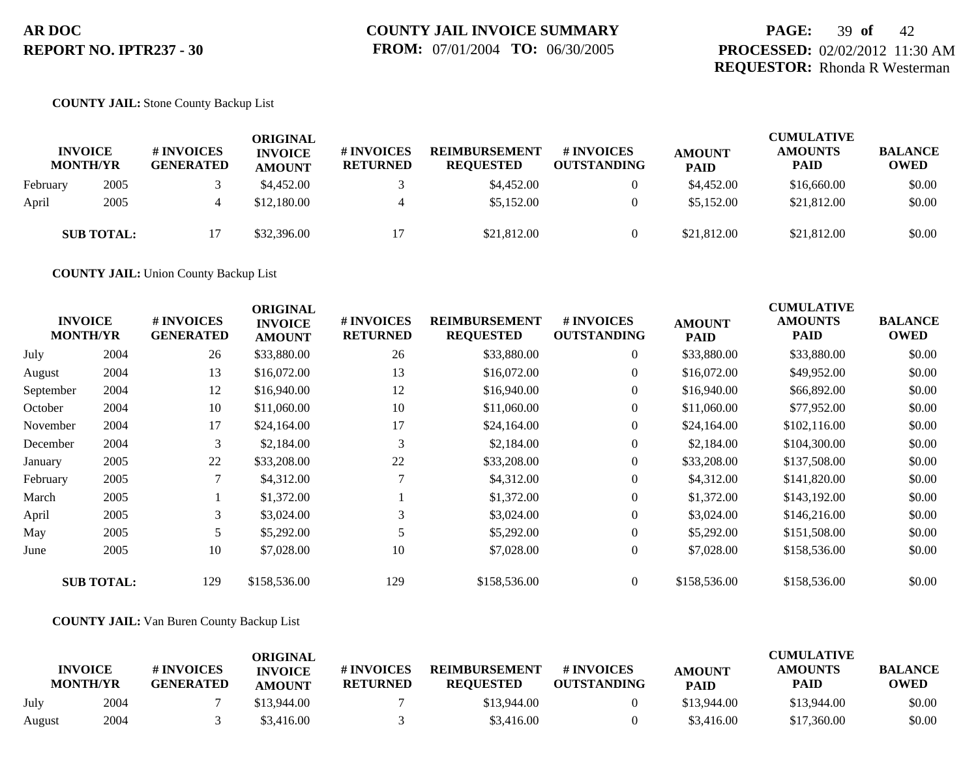## **PAGE:** 39 **of** 42 **PROCESSED:** 02/02/2012 11:30 AM **REQUESTOR:** Rhonda R Westerman

#### **COUNTY JAIL:** Stone County Backup List

| <b>INVOICE</b><br><b>MONTH/YR</b> |                   | # INVOICES<br><b>GENERATED</b> | ORIGINAL<br><b>INVOICE</b><br><b>AMOUNT</b> | # INVOICES<br><b>RETURNED</b> | <b>REIMBURSEMENT</b><br><b>REQUESTED</b> | # INVOICES<br><b>OUTSTANDING</b> | <b>AMOUNT</b><br><b>PAID</b> | <b>CUMULATIVE</b><br><b>AMOUNTS</b><br><b>PAID</b> | <b>BALANCE</b><br><b>OWED</b> |
|-----------------------------------|-------------------|--------------------------------|---------------------------------------------|-------------------------------|------------------------------------------|----------------------------------|------------------------------|----------------------------------------------------|-------------------------------|
| February                          | 2005              |                                | \$4,452.00                                  |                               | \$4,452.00                               | $\theta$                         | \$4,452.00                   | \$16,660.00                                        | \$0.00                        |
| April                             | 2005              |                                | \$12,180.00                                 | 4                             | \$5,152.00                               | $\theta$                         | \$5,152.00                   | \$21,812.00                                        | \$0.00                        |
|                                   | <b>SUB TOTAL:</b> |                                | \$32,396.00                                 |                               | \$21,812.00                              |                                  | \$21,812.00                  | \$21,812.00                                        | \$0.00                        |

**COUNTY JAIL:** Union County Backup List

|           | <b>INVOICE</b><br><b>MONTH/YR</b> | # INVOICES<br><b>GENERATED</b> | <b>ORIGINAL</b><br><b>INVOICE</b><br><b>AMOUNT</b> | # INVOICES<br><b>RETURNED</b> | <b>REIMBURSEMENT</b><br><b>REQUESTED</b> | <b># INVOICES</b><br><b>OUTSTANDING</b> | <b>AMOUNT</b><br><b>PAID</b> | <b>CUMULATIVE</b><br><b>AMOUNTS</b><br><b>PAID</b> | <b>BALANCE</b><br><b>OWED</b> |
|-----------|-----------------------------------|--------------------------------|----------------------------------------------------|-------------------------------|------------------------------------------|-----------------------------------------|------------------------------|----------------------------------------------------|-------------------------------|
| July      | 2004                              | 26                             | \$33,880.00                                        | 26                            | \$33,880.00                              | $\overline{0}$                          | \$33,880.00                  | \$33,880.00                                        | \$0.00                        |
| August    | 2004                              | 13                             | \$16,072.00                                        | 13                            | \$16,072.00                              | $\overline{0}$                          | \$16,072.00                  | \$49,952.00                                        | \$0.00                        |
| September | 2004                              | 12                             | \$16,940.00                                        | 12                            | \$16,940.00                              | $\overline{0}$                          | \$16,940.00                  | \$66,892.00                                        | \$0.00                        |
| October   | 2004                              | 10                             | \$11,060.00                                        | 10                            | \$11,060.00                              | $\overline{0}$                          | \$11,060.00                  | \$77,952.00                                        | \$0.00                        |
| November  | 2004                              | 17                             | \$24,164.00                                        | 17                            | \$24,164.00                              | $\overline{0}$                          | \$24,164.00                  | \$102,116.00                                       | \$0.00                        |
| December  | 2004                              | 3                              | \$2,184.00                                         | 3                             | \$2,184.00                               | $\overline{0}$                          | \$2,184.00                   | \$104,300.00                                       | \$0.00                        |
| January   | 2005                              | 22                             | \$33,208.00                                        | 22                            | \$33,208.00                              | $\overline{0}$                          | \$33,208.00                  | \$137,508.00                                       | \$0.00                        |
| February  | 2005                              |                                | \$4,312.00                                         |                               | \$4,312.00                               | $\overline{0}$                          | \$4,312.00                   | \$141,820.00                                       | \$0.00                        |
| March     | 2005                              |                                | \$1,372.00                                         |                               | \$1,372.00                               | $\overline{0}$                          | \$1,372.00                   | \$143,192.00                                       | \$0.00                        |
| April     | 2005                              | 3                              | \$3,024.00                                         | 3                             | \$3,024.00                               | $\overline{0}$                          | \$3,024.00                   | \$146,216.00                                       | \$0.00                        |
| May       | 2005                              | 5                              | \$5,292.00                                         |                               | \$5,292.00                               | $\overline{0}$                          | \$5,292.00                   | \$151,508.00                                       | \$0.00                        |
| June      | 2005                              | 10                             | \$7,028.00                                         | 10                            | \$7,028.00                               | $\overline{0}$                          | \$7,028.00                   | \$158,536.00                                       | \$0.00                        |
|           | <b>SUB TOTAL:</b>                 | 129                            | \$158,536.00                                       | 129                           | \$158,536.00                             | $\overline{0}$                          | \$158,536.00                 | \$158,536.00                                       | \$0.00                        |

#### **COUNTY JAIL:** Van Buren County Backup List

| <b>INVOICE</b><br><b>MONTH/YR</b> |      | # INVOICES<br><b>GENERATED</b> | ORIGINAL<br><b>INVOICE</b><br><b>AMOUNT</b> | # INVOICES<br><b>RETURNED</b> | <b>REIMBURSEMENT</b><br><b>REOUESTED</b> | # INVOICES<br><b>OUTSTANDING</b> | <b>AMOUNT</b><br><b>PAID</b> | CUMULATIVE<br><b>AMOUNTS</b><br><b>PAID</b> | <b>BALANCE</b><br><b>OWED</b> |
|-----------------------------------|------|--------------------------------|---------------------------------------------|-------------------------------|------------------------------------------|----------------------------------|------------------------------|---------------------------------------------|-------------------------------|
| July                              | 2004 |                                | \$13,944.00                                 |                               | \$13,944.00                              |                                  | \$13,944.00                  | \$13,944.00                                 | \$0.00                        |
| August                            | 2004 |                                | \$3,416.00                                  |                               | \$3,416.00                               |                                  | \$3,416.00                   | \$17,360.00                                 | \$0.00                        |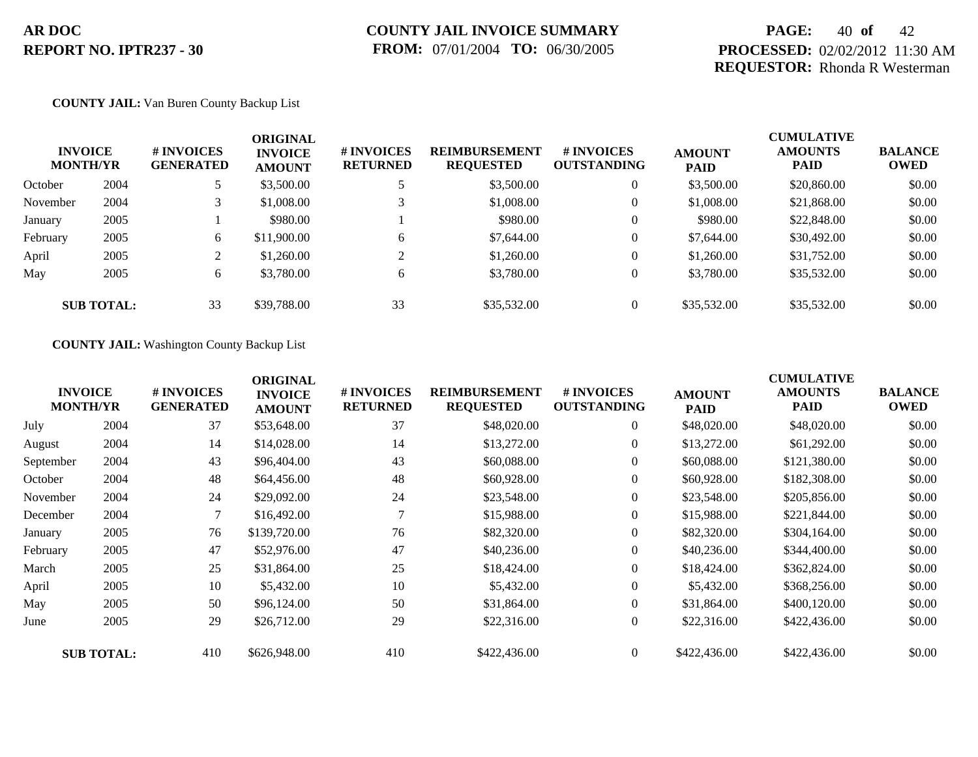## **PAGE:** 40 **of** 42 **PROCESSED:** 02/02/2012 11:30 AM **REQUESTOR:** Rhonda R Westerman

#### **COUNTY JAIL:** Van Buren County Backup List

| <b>INVOICE</b><br><b>MONTH/YR</b> |                   | # INVOICES<br><b>GENERATED</b> | <b>ORIGINAL</b><br><b>INVOICE</b><br><b>AMOUNT</b> | # INVOICES<br><b>RETURNED</b> | <b>REIMBURSEMENT</b><br><b>REQUESTED</b> | <b>#INVOICES</b><br><b>OUTSTANDING</b> | <b>AMOUNT</b><br><b>PAID</b> | <b>CUMULATIVE</b><br><b>AMOUNTS</b><br><b>PAID</b> | <b>BALANCE</b><br><b>OWED</b> |
|-----------------------------------|-------------------|--------------------------------|----------------------------------------------------|-------------------------------|------------------------------------------|----------------------------------------|------------------------------|----------------------------------------------------|-------------------------------|
| October                           | 2004              |                                | \$3,500.00                                         |                               | \$3,500.00                               | $\overline{0}$                         | \$3,500.00                   | \$20,860.00                                        | \$0.00                        |
| November                          | 2004              |                                | \$1,008.00                                         |                               | \$1,008.00                               | $\overline{0}$                         | \$1,008.00                   | \$21,868.00                                        | \$0.00                        |
| January                           | 2005              |                                | \$980.00                                           |                               | \$980.00                                 | $\overline{0}$                         | \$980.00                     | \$22,848.00                                        | \$0.00                        |
| February                          | 2005              | 6                              | \$11,900.00                                        | 6                             | \$7,644.00                               | $\overline{0}$                         | \$7,644.00                   | \$30,492.00                                        | \$0.00                        |
| April                             | 2005              | 2                              | \$1,260.00                                         |                               | \$1,260.00                               | $\overline{0}$                         | \$1,260.00                   | \$31,752.00                                        | \$0.00                        |
| May                               | 2005              | 6                              | \$3,780.00                                         | 6                             | \$3,780.00                               | $\overline{0}$                         | \$3,780.00                   | \$35,532.00                                        | \$0.00                        |
|                                   | <b>SUB TOTAL:</b> | 33                             | \$39,788.00                                        | 33                            | \$35,532.00                              | $\overline{0}$                         | \$35,532.00                  | \$35,532.00                                        | \$0.00                        |

**COUNTY JAIL:** Washington County Backup List

|           | <b>INVOICE</b><br><b>MONTH/YR</b> | # INVOICES<br><b>GENERATED</b> | <b>ORIGINAL</b><br><b>INVOICE</b><br><b>AMOUNT</b> | # INVOICES<br><b>RETURNED</b> | <b>REIMBURSEMENT</b><br><b>REQUESTED</b> | <b># INVOICES</b><br><b>OUTSTANDING</b> | <b>AMOUNT</b><br><b>PAID</b> | <b>CUMULATIVE</b><br><b>AMOUNTS</b><br><b>PAID</b> | <b>BALANCE</b><br><b>OWED</b> |
|-----------|-----------------------------------|--------------------------------|----------------------------------------------------|-------------------------------|------------------------------------------|-----------------------------------------|------------------------------|----------------------------------------------------|-------------------------------|
| July      | 2004                              | 37                             | \$53,648.00                                        | 37                            | \$48,020.00                              | $\overline{0}$                          | \$48,020.00                  | \$48,020.00                                        | \$0.00                        |
| August    | 2004                              | 14                             | \$14,028.00                                        | 14                            | \$13,272.00                              | $\overline{0}$                          | \$13,272.00                  | \$61,292.00                                        | \$0.00                        |
| September | 2004                              | 43                             | \$96,404.00                                        | 43                            | \$60,088.00                              | $\overline{0}$                          | \$60,088,00                  | \$121,380.00                                       | \$0.00                        |
| October   | 2004                              | 48                             | \$64,456.00                                        | 48                            | \$60,928.00                              | $\overline{0}$                          | \$60,928.00                  | \$182,308.00                                       | \$0.00                        |
| November  | 2004                              | 24                             | \$29,092.00                                        | 24                            | \$23,548.00                              | $\overline{0}$                          | \$23,548.00                  | \$205,856.00                                       | \$0.00                        |
| December  | 2004                              | $\tau$                         | \$16,492.00                                        |                               | \$15,988.00                              | $\overline{0}$                          | \$15,988.00                  | \$221,844.00                                       | \$0.00                        |
| January   | 2005                              | 76                             | \$139,720.00                                       | 76                            | \$82,320.00                              | $\overline{0}$                          | \$82,320.00                  | \$304,164.00                                       | \$0.00                        |
| February  | 2005                              | 47                             | \$52,976.00                                        | 47                            | \$40,236.00                              | $\overline{0}$                          | \$40,236.00                  | \$344,400.00                                       | \$0.00                        |
| March     | 2005                              | 25                             | \$31,864.00                                        | 25                            | \$18,424.00                              | $\overline{0}$                          | \$18,424.00                  | \$362,824.00                                       | \$0.00                        |
| April     | 2005                              | 10                             | \$5,432.00                                         | 10                            | \$5,432.00                               | $\overline{0}$                          | \$5,432.00                   | \$368,256.00                                       | \$0.00                        |
| May       | 2005                              | 50                             | \$96,124.00                                        | 50                            | \$31,864.00                              | $\overline{0}$                          | \$31,864.00                  | \$400,120.00                                       | \$0.00                        |
| June      | 2005                              | 29                             | \$26,712.00                                        | 29                            | \$22,316.00                              | $\overline{0}$                          | \$22,316.00                  | \$422,436.00                                       | \$0.00                        |
|           | <b>SUB TOTAL:</b>                 | 410                            | \$626,948.00                                       | 410                           | \$422,436.00                             | $\overline{0}$                          | \$422,436.00                 | \$422,436.00                                       | \$0.00                        |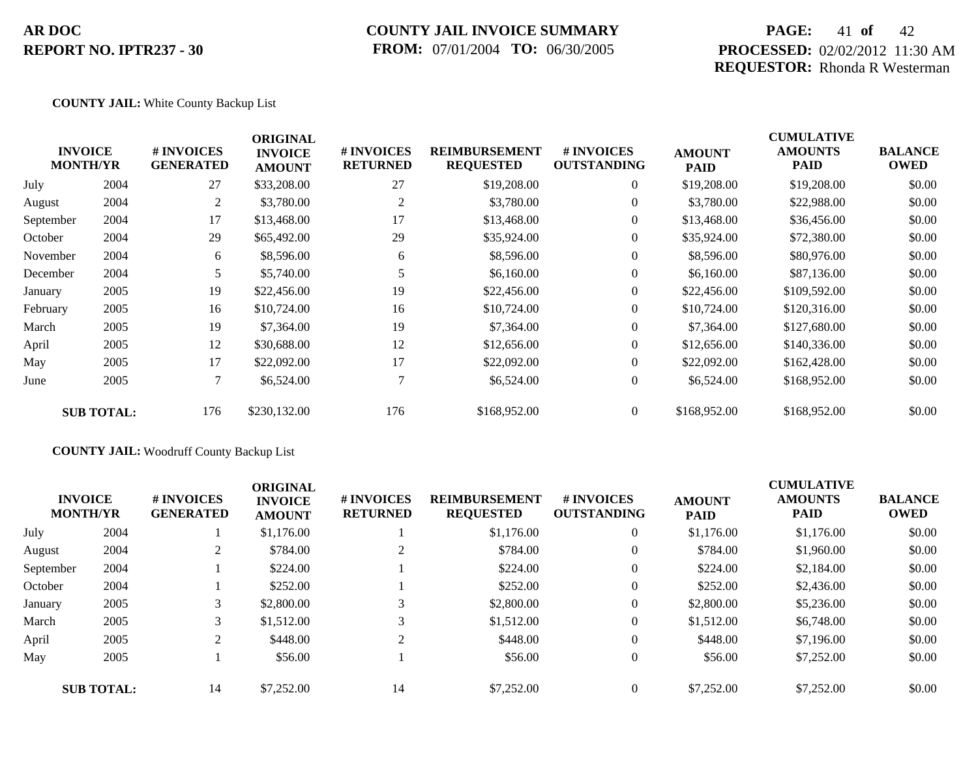### **COUNTY JAIL INVOICE SUMMARY FROM:** 07/01/2004 **TO:** 06/30/2005

## **PAGE:** 41 **of** 42 **PROCESSED:** 02/02/2012 11:30 AM **REQUESTOR:** Rhonda R Westerman

#### **COUNTY JAIL:** White County Backup List

|           | <b>INVOICE</b><br><b>MONTH/YR</b> | # INVOICES<br><b>GENERATED</b> | <b>ORIGINAL</b><br><b>INVOICE</b><br><b>AMOUNT</b> | # INVOICES<br><b>RETURNED</b> | <b>REIMBURSEMENT</b><br><b>REQUESTED</b> | # INVOICES<br><b>OUTSTANDING</b> | <b>AMOUNT</b><br><b>PAID</b> | <b>CUMULATIVE</b><br><b>AMOUNTS</b><br>PAID | <b>BALANCE</b><br><b>OWED</b> |
|-----------|-----------------------------------|--------------------------------|----------------------------------------------------|-------------------------------|------------------------------------------|----------------------------------|------------------------------|---------------------------------------------|-------------------------------|
| July      | 2004                              | 27                             | \$33,208.00                                        | 27                            | \$19,208.00                              | $\overline{0}$                   | \$19,208.00                  | \$19,208.00                                 | \$0.00                        |
| August    | 2004                              | 2                              | \$3,780.00                                         | 2                             | \$3,780.00                               | $\overline{0}$                   | \$3,780.00                   | \$22,988.00                                 | \$0.00                        |
| September | 2004                              | 17                             | \$13,468.00                                        | 17                            | \$13,468.00                              | $\overline{0}$                   | \$13,468.00                  | \$36,456.00                                 | \$0.00                        |
| October   | 2004                              | 29                             | \$65,492.00                                        | 29                            | \$35,924.00                              | $\overline{0}$                   | \$35,924.00                  | \$72,380.00                                 | \$0.00                        |
| November  | 2004                              | 6                              | \$8,596.00                                         | 6                             | \$8,596.00                               | $\overline{0}$                   | \$8,596.00                   | \$80,976.00                                 | \$0.00                        |
| December  | 2004                              | 5.                             | \$5,740.00                                         |                               | \$6,160.00                               | $\overline{0}$                   | \$6,160.00                   | \$87,136.00                                 | \$0.00                        |
| January   | 2005                              | 19                             | \$22,456.00                                        | 19                            | \$22,456.00                              | $\overline{0}$                   | \$22,456.00                  | \$109,592.00                                | \$0.00                        |
| February  | 2005                              | 16                             | \$10,724.00                                        | 16                            | \$10,724.00                              | $\overline{0}$                   | \$10,724.00                  | \$120,316.00                                | \$0.00                        |
| March     | 2005                              | 19                             | \$7,364.00                                         | 19                            | \$7,364.00                               | $\overline{0}$                   | \$7,364.00                   | \$127,680.00                                | \$0.00                        |
| April     | 2005                              | 12                             | \$30,688.00                                        | 12                            | \$12,656.00                              | $\overline{0}$                   | \$12,656.00                  | \$140,336.00                                | \$0.00                        |
| May       | 2005                              | 17                             | \$22,092.00                                        | 17                            | \$22,092.00                              | $\overline{0}$                   | \$22,092.00                  | \$162,428.00                                | \$0.00                        |
| June      | 2005                              |                                | \$6,524.00                                         | 7                             | \$6,524.00                               | $\overline{0}$                   | \$6,524.00                   | \$168,952.00                                | \$0.00                        |
|           | <b>SUB TOTAL:</b>                 | 176                            | \$230,132.00                                       | 176                           | \$168,952.00                             | $\overline{0}$                   | \$168,952.00                 | \$168,952.00                                | \$0.00                        |

### **COUNTY JAIL:** Woodruff County Backup List

| <b>INVOICE</b><br><b>MONTH/YR</b> |                   | # INVOICES<br><b>GENERATED</b> | <b>ORIGINAL</b><br><b>INVOICE</b><br><b>AMOUNT</b> | # INVOICES<br><b>RETURNED</b> | <b>REIMBURSEMENT</b><br><b>REQUESTED</b> | # INVOICES<br><b>OUTSTANDING</b> | <b>AMOUNT</b><br><b>PAID</b> | <b>CUMULATIVE</b><br><b>AMOUNTS</b><br><b>PAID</b> | <b>BALANCE</b><br><b>OWED</b> |
|-----------------------------------|-------------------|--------------------------------|----------------------------------------------------|-------------------------------|------------------------------------------|----------------------------------|------------------------------|----------------------------------------------------|-------------------------------|
| July                              | 2004              |                                | \$1,176.00                                         |                               | \$1,176.00                               | $\overline{0}$                   | \$1,176.00                   | \$1,176.00                                         | \$0.00                        |
| August                            | 2004              |                                | \$784.00                                           |                               | \$784.00                                 | $\overline{0}$                   | \$784.00                     | \$1,960.00                                         | \$0.00                        |
| September                         | 2004              |                                | \$224.00                                           |                               | \$224.00                                 | $\overline{0}$                   | \$224.00                     | \$2,184.00                                         | \$0.00                        |
| October                           | 2004              |                                | \$252.00                                           |                               | \$252.00                                 | $\overline{0}$                   | \$252.00                     | \$2,436.00                                         | \$0.00                        |
| January                           | 2005              |                                | \$2,800.00                                         | 3                             | \$2,800.00                               | $\theta$                         | \$2,800.00                   | \$5,236.00                                         | \$0.00                        |
| March                             | 2005              |                                | \$1,512.00                                         | 3                             | \$1,512.00                               | $\theta$                         | \$1,512.00                   | \$6,748.00                                         | \$0.00                        |
| April                             | 2005              | $\gamma$                       | \$448.00                                           | $\gamma$                      | \$448.00                                 | $\overline{0}$                   | \$448.00                     | \$7,196,00                                         | \$0.00                        |
| May                               | 2005              |                                | \$56.00                                            |                               | \$56.00                                  | $\theta$                         | \$56.00                      | \$7,252.00                                         | \$0.00                        |
|                                   | <b>SUB TOTAL:</b> | 14                             | \$7,252.00                                         | 14                            | \$7,252.00                               | $\theta$                         | \$7,252.00                   | \$7,252,00                                         | \$0.00                        |